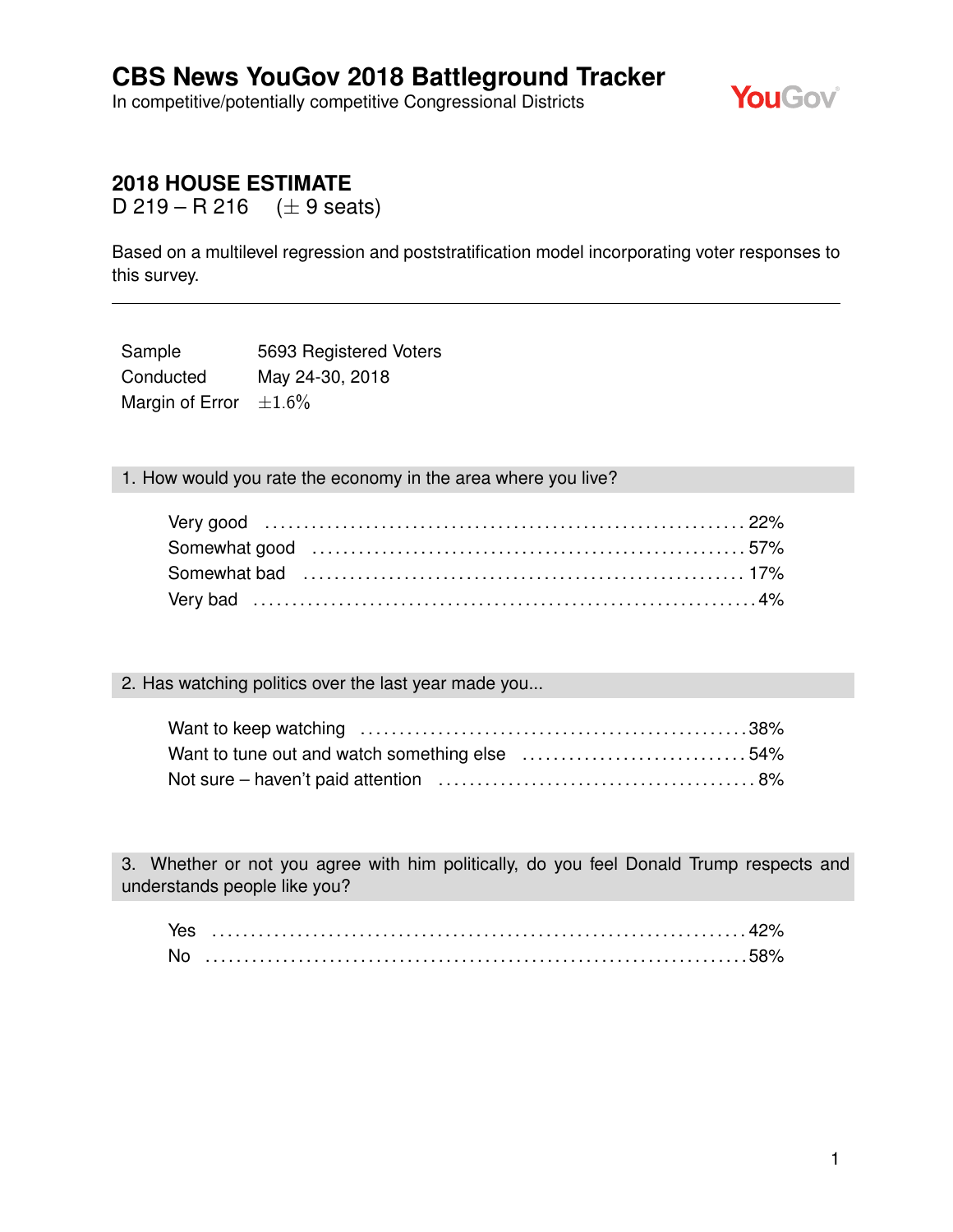In competitive/potentially competitive Congressional Districts



## **2018 HOUSE ESTIMATE**

D 219 – R 216 (*±* 9 seats)

Based on a multilevel regression and poststratification model incorporating voter responses to this survey.

Sample 5693 Registered Voters Conducted May 24-30, 2018 Margin of Error *±*1.6%

1. How would you rate the economy in the area where you live?

| Somewhat bad (and the continuum continuum control of the south of the south of the south of the south states in the south states of the south states of the south states of the south states of the south states of the south |  |
|-------------------------------------------------------------------------------------------------------------------------------------------------------------------------------------------------------------------------------|--|
|                                                                                                                                                                                                                               |  |

#### 2. Has watching politics over the last year made you...

3. Whether or not you agree with him politically, do you feel Donald Trump respects and understands people like you?

| Yes |  |
|-----|--|
|     |  |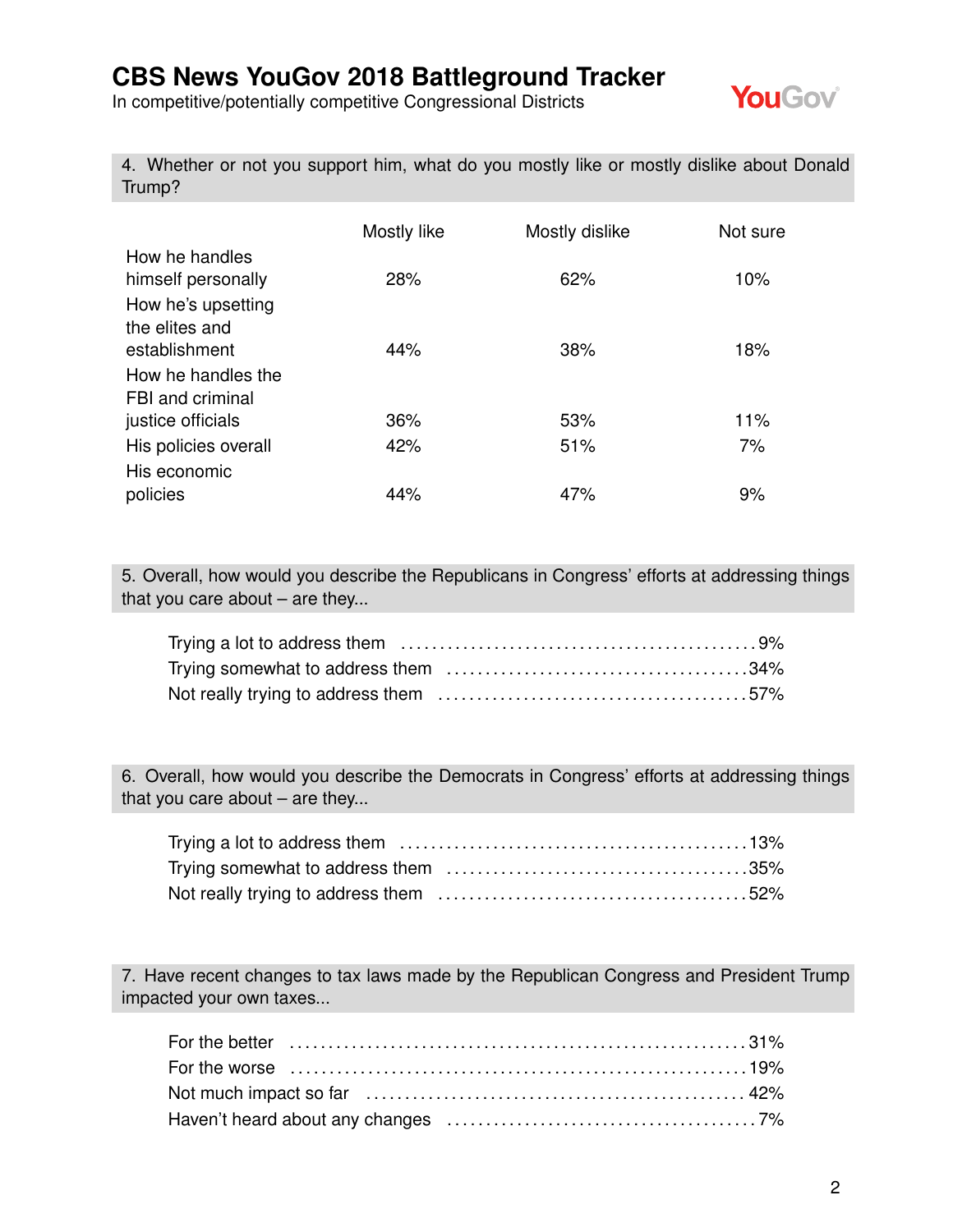In competitive/potentially competitive Congressional Districts



4. Whether or not you support him, what do you mostly like or mostly dislike about Donald Trump?

|                                                            | Mostly like | Mostly dislike | Not sure  |
|------------------------------------------------------------|-------------|----------------|-----------|
| How he handles<br>himself personally<br>How he's upsetting | 28%         | 62%            | 10%       |
| the elites and<br>establishment                            | 44%         | 38%            | 18%       |
| How he handles the<br>FBI and criminal                     |             |                |           |
| justice officials<br>His policies overall                  | 36%<br>42%  | 53%<br>51%     | 11%<br>7% |
| His economic<br>policies                                   | 44%         | 47%            | 9%        |

5. Overall, how would you describe the Republicans in Congress' efforts at addressing things that you care about  $-$  are they...

6. Overall, how would you describe the Democrats in Congress' efforts at addressing things that you care about – are they...

7. Have recent changes to tax laws made by the Republican Congress and President Trump impacted your own taxes...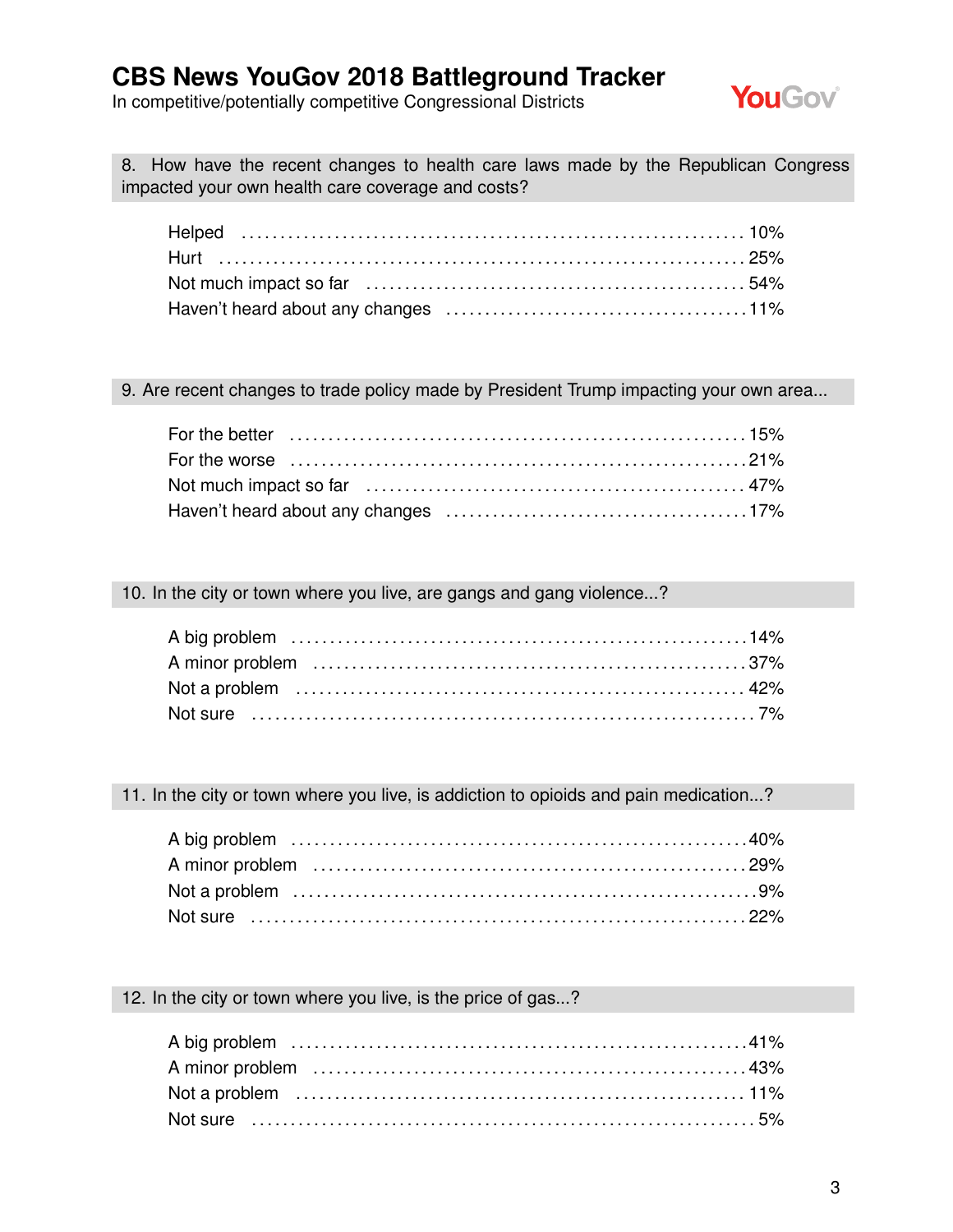In competitive/potentially competitive Congressional Districts



8. How have the recent changes to health care laws made by the Republican Congress impacted your own health care coverage and costs?

#### 9. Are recent changes to trade policy made by President Trump impacting your own area...

#### 10. In the city or town where you live, are gangs and gang violence...?

11. In the city or town where you live, is addiction to opioids and pain medication...?

#### 12. In the city or town where you live, is the price of gas...?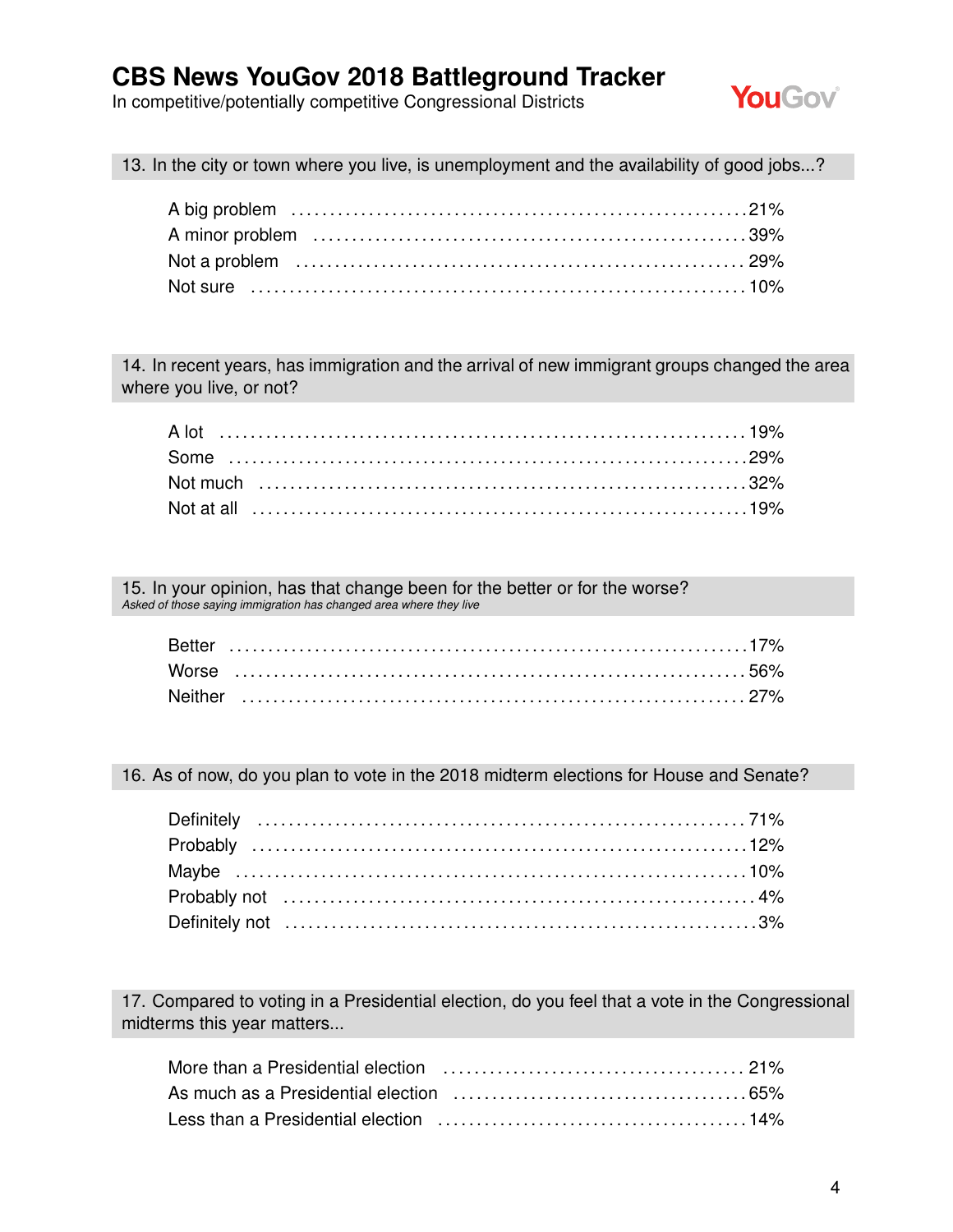In competitive/potentially competitive Congressional Districts



13. In the city or town where you live, is unemployment and the availability of good jobs...?

14. In recent years, has immigration and the arrival of new immigrant groups changed the area where you live, or not?

15. In your opinion, has that change been for the better or for the worse? *Asked of those saying immigration has changed area where they live*

16. As of now, do you plan to vote in the 2018 midterm elections for House and Senate?

17. Compared to voting in a Presidential election, do you feel that a vote in the Congressional midterms this year matters...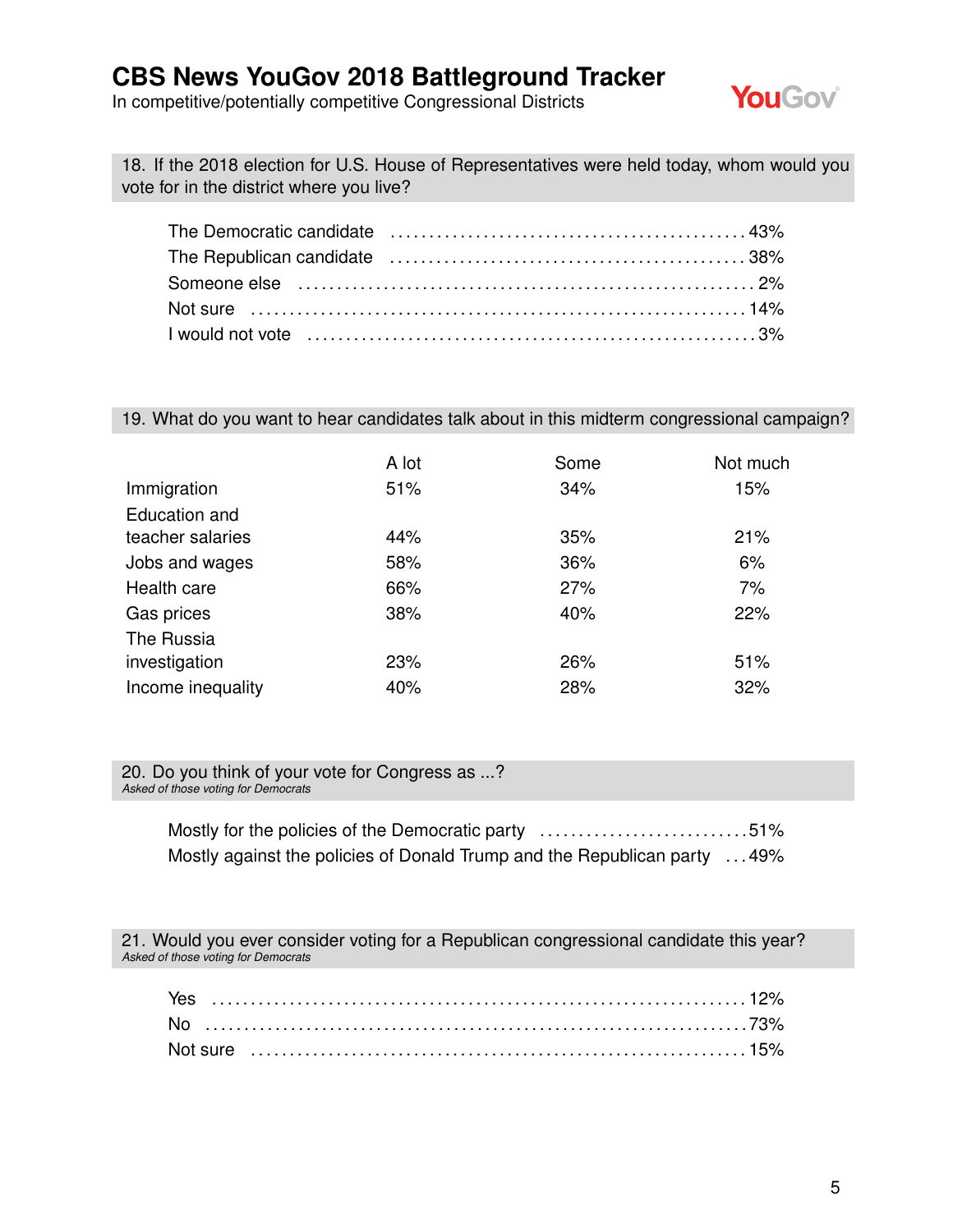In competitive/potentially competitive Congressional Districts



18. If the 2018 election for U.S. House of Representatives were held today, whom would you vote for in the district where you live?

| Someone else (and the continuum control of the control of the control of the control of the control of the control of the control of the control of the control of the control of the control of the control of the control of |  |
|--------------------------------------------------------------------------------------------------------------------------------------------------------------------------------------------------------------------------------|--|
|                                                                                                                                                                                                                                |  |
|                                                                                                                                                                                                                                |  |

#### 19. What do you want to hear candidates talk about in this midterm congressional campaign?

|                   | A lot | Some | Not much |
|-------------------|-------|------|----------|
| Immigration       | 51%   | 34%  | 15%      |
| Education and     |       |      |          |
| teacher salaries  | 44%   | 35%  | 21%      |
| Jobs and wages    | 58%   | 36%  | 6%       |
| Health care       | 66%   | 27%  | 7%       |
| Gas prices        | 38%   | 40%  | 22%      |
| The Russia        |       |      |          |
| investigation     | 23%   | 26%  | 51%      |
| Income inequality | 40%   | 28%  | 32%      |

20. Do you think of your vote for Congress as ...? *Asked of those voting for Democrats*

> Mostly for the policies of the Democratic party .................................51% Mostly against the policies of Donald Trump and the Republican party ... 49%

21. Would you ever consider voting for a Republican congressional candidate this year? *Asked of those voting for Democrats*

| Yes |  |  |  |  |  |  |  |  |  |  |  |  |  |  |  |  |  |  |  |  |  |
|-----|--|--|--|--|--|--|--|--|--|--|--|--|--|--|--|--|--|--|--|--|--|
|     |  |  |  |  |  |  |  |  |  |  |  |  |  |  |  |  |  |  |  |  |  |
|     |  |  |  |  |  |  |  |  |  |  |  |  |  |  |  |  |  |  |  |  |  |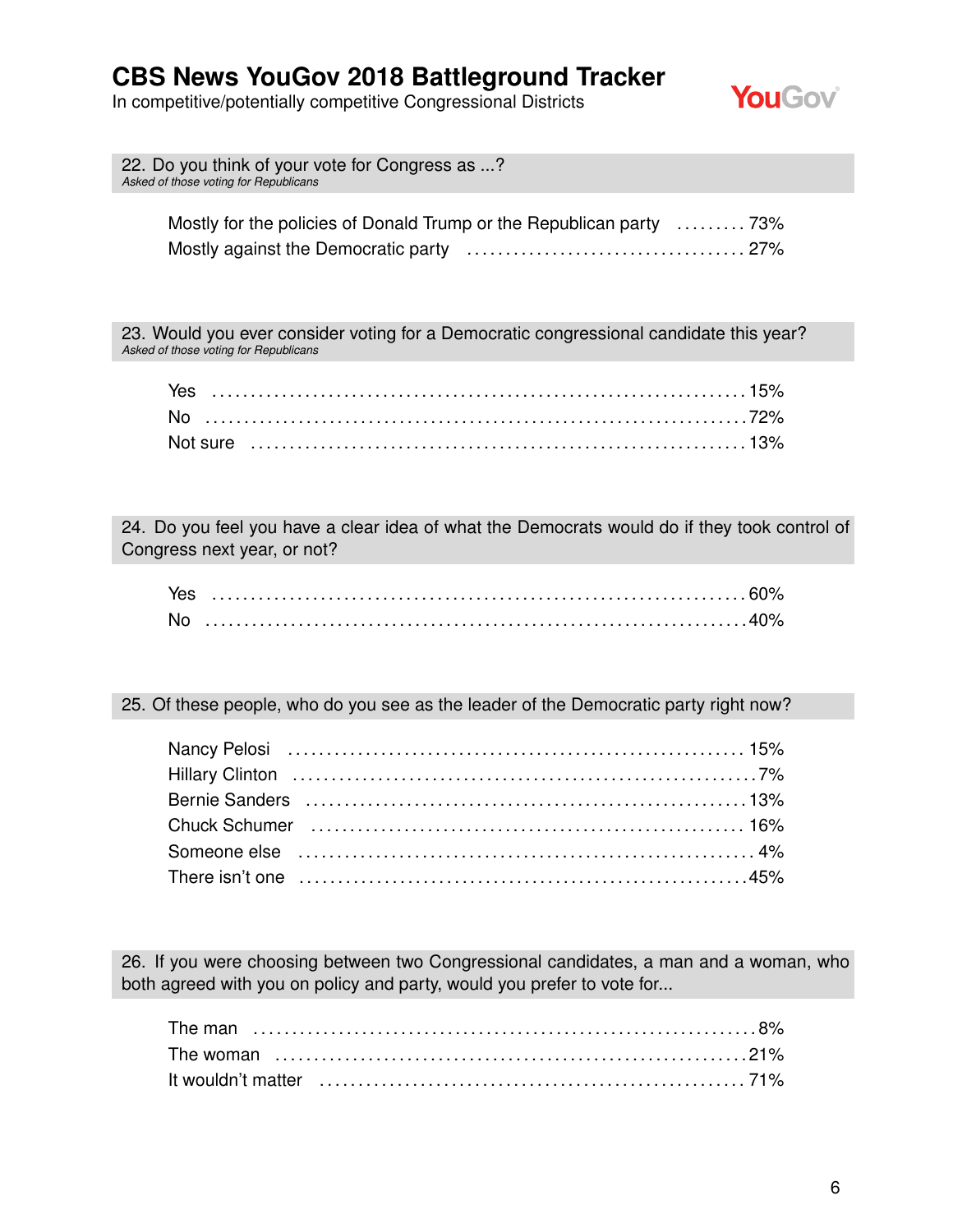In competitive/potentially competitive Congressional Districts



| 22. Do you think of your vote for Congress as ?<br>Asked of those voting for Republicans |  |
|------------------------------------------------------------------------------------------|--|
| Mostly for the policies of Donald Trump or the Republican party 73%                      |  |

Mostly against the Democratic party . . . . . . . . . . . . . . . . . . . . . . . . . . . . . . . . . . . . 27%

23. Would you ever consider voting for a Democratic congressional candidate this year? *Asked of those voting for Republicans*

| Yes |  |  |  |  |  |  |  |  |  |  |  |  |  |  |  |  |  |  |  |  |  |  |  |
|-----|--|--|--|--|--|--|--|--|--|--|--|--|--|--|--|--|--|--|--|--|--|--|--|
|     |  |  |  |  |  |  |  |  |  |  |  |  |  |  |  |  |  |  |  |  |  |  |  |
|     |  |  |  |  |  |  |  |  |  |  |  |  |  |  |  |  |  |  |  |  |  |  |  |

24. Do you feel you have a clear idea of what the Democrats would do if they took control of Congress next year, or not?

| <b>Nc</b> |  |
|-----------|--|

25. Of these people, who do you see as the leader of the Democratic party right now?

| Chuck Schumer (and the contract of the change of the change of the change of the change of the school of the c |  |
|----------------------------------------------------------------------------------------------------------------|--|
| Someone else (all allergian and the component and the series of the series and the series and the series and t |  |
|                                                                                                                |  |

26. If you were choosing between two Congressional candidates, a man and a woman, who both agreed with you on policy and party, would you prefer to vote for...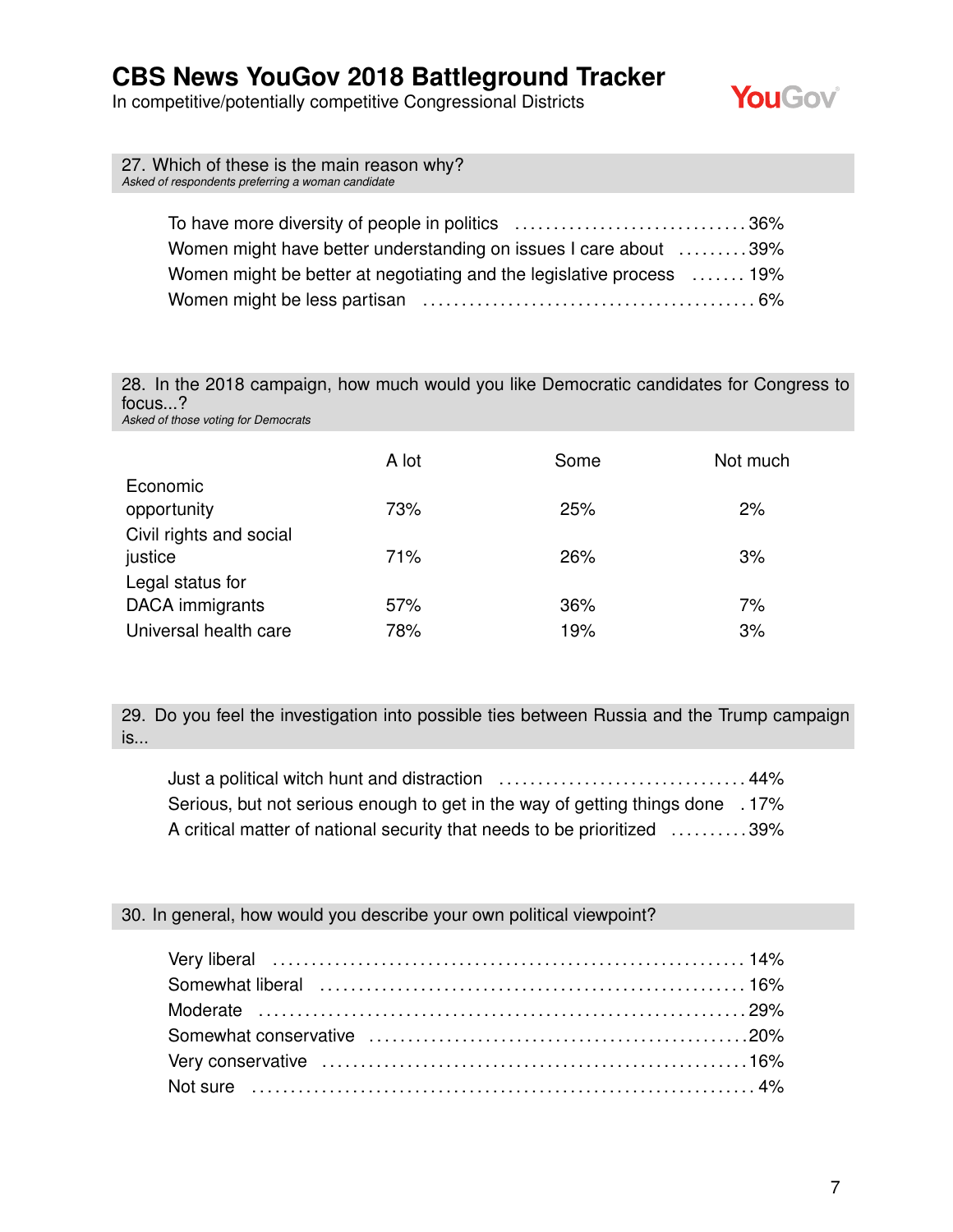In competitive/potentially competitive Congressional Districts



| 27. Which of these is the main reason why?<br>Asked of respondents preferring a woman candidate |  |
|-------------------------------------------------------------------------------------------------|--|
|                                                                                                 |  |
| Women might have better understanding on issues I care about 39%                                |  |
| Women might be better at negotiating and the legislative process  19%                           |  |
|                                                                                                 |  |
|                                                                                                 |  |

28. In the 2018 campaign, how much would you like Democratic candidates for Congress to focus...? *Asked of those voting for Democrats*

|                                     | A lot | Some | Not much |
|-------------------------------------|-------|------|----------|
| Economic<br>opportunity             | 73%   | 25%  | 2%       |
| Civil rights and social<br>justice  | 71%   | 26%  | 3%       |
| Legal status for<br>DACA immigrants | 57%   | 36%  | 7%       |
| Universal health care               | 78%   | 19%  | 3%       |

29. Do you feel the investigation into possible ties between Russia and the Trump campaign is...

Just a political witch hunt and distraction . . . . . . . . . . . . . . . . . . . . . . . . . . . . . . . . 44% Serious, but not serious enough to get in the way of getting things done . 17% A critical matter of national security that needs to be prioritized ..........39%

#### 30. In general, how would you describe your own political viewpoint?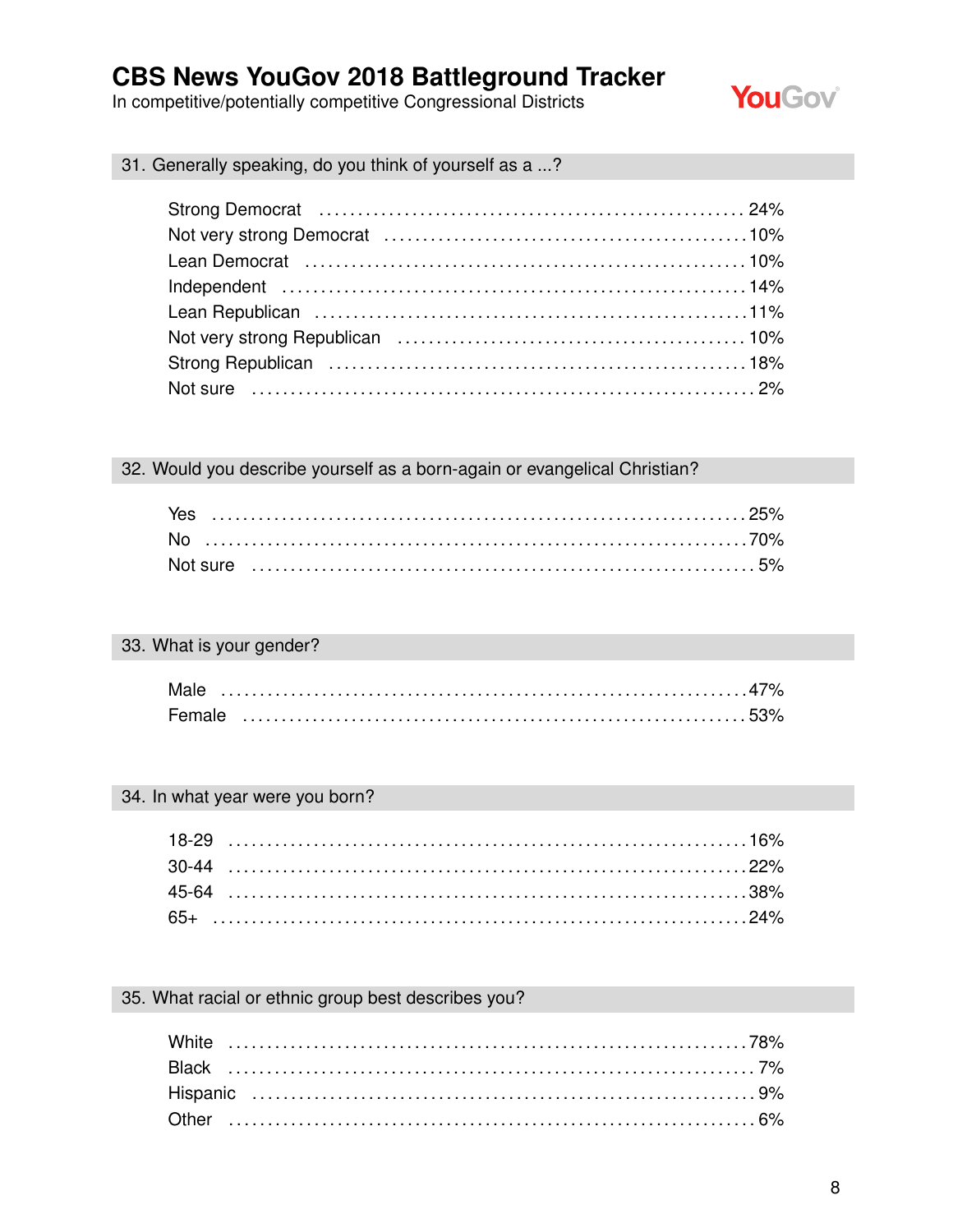In competitive/potentially competitive Congressional Districts



31. Generally speaking, do you think of yourself as a ...?

#### 32. Would you describe yourself as a born-again or evangelical Christian?

### 33. What is your gender?

| Mal    |  |  |  |  |  |  |  |  |  |  |  |  |  |  |  |  |  |  |  |  |  |  |  |
|--------|--|--|--|--|--|--|--|--|--|--|--|--|--|--|--|--|--|--|--|--|--|--|--|
| Female |  |  |  |  |  |  |  |  |  |  |  |  |  |  |  |  |  |  |  |  |  |  |  |

### 34. In what year were you born?

### 35. What racial or ethnic group best describes you?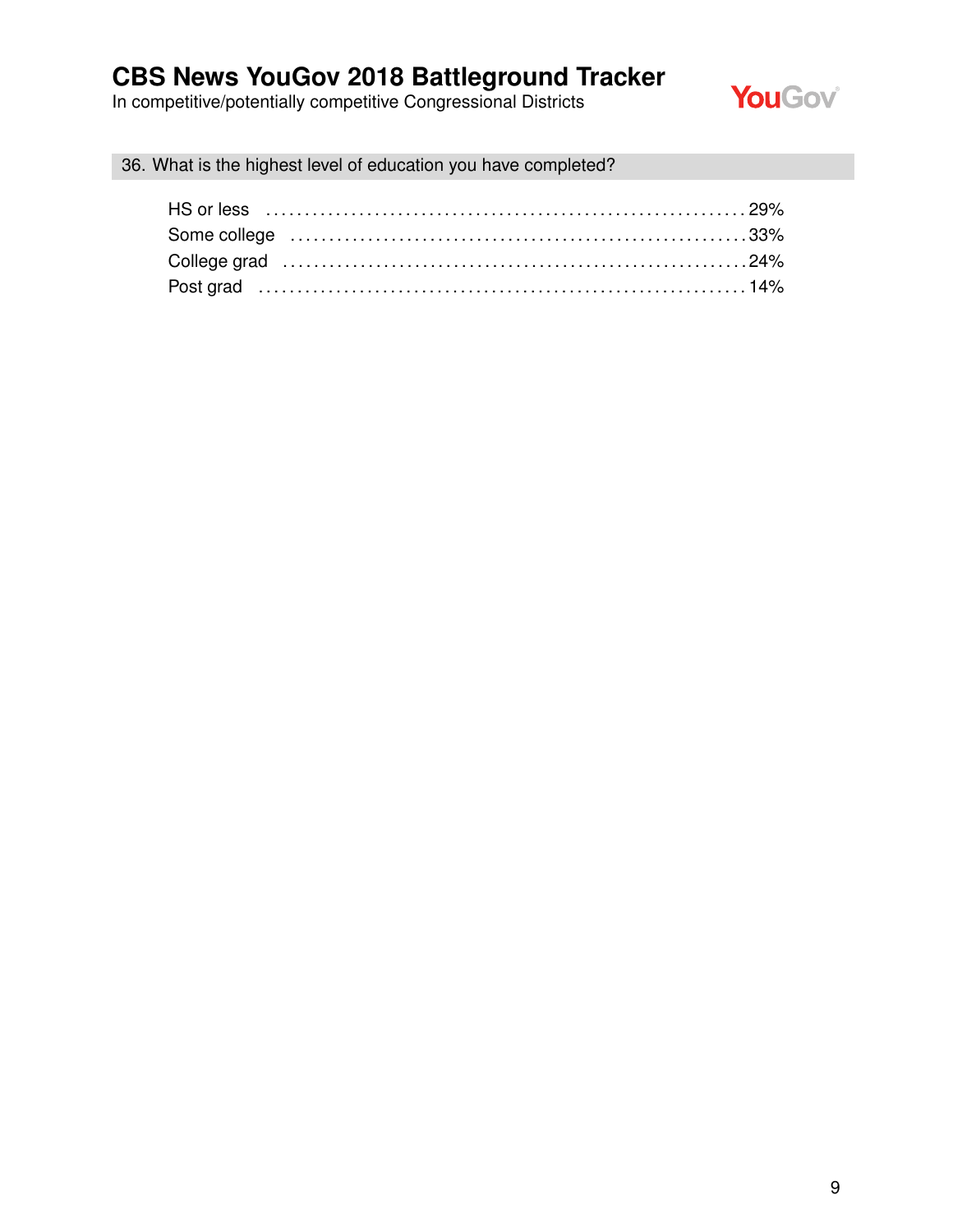In competitive/potentially competitive Congressional Districts



36. What is the highest level of education you have completed?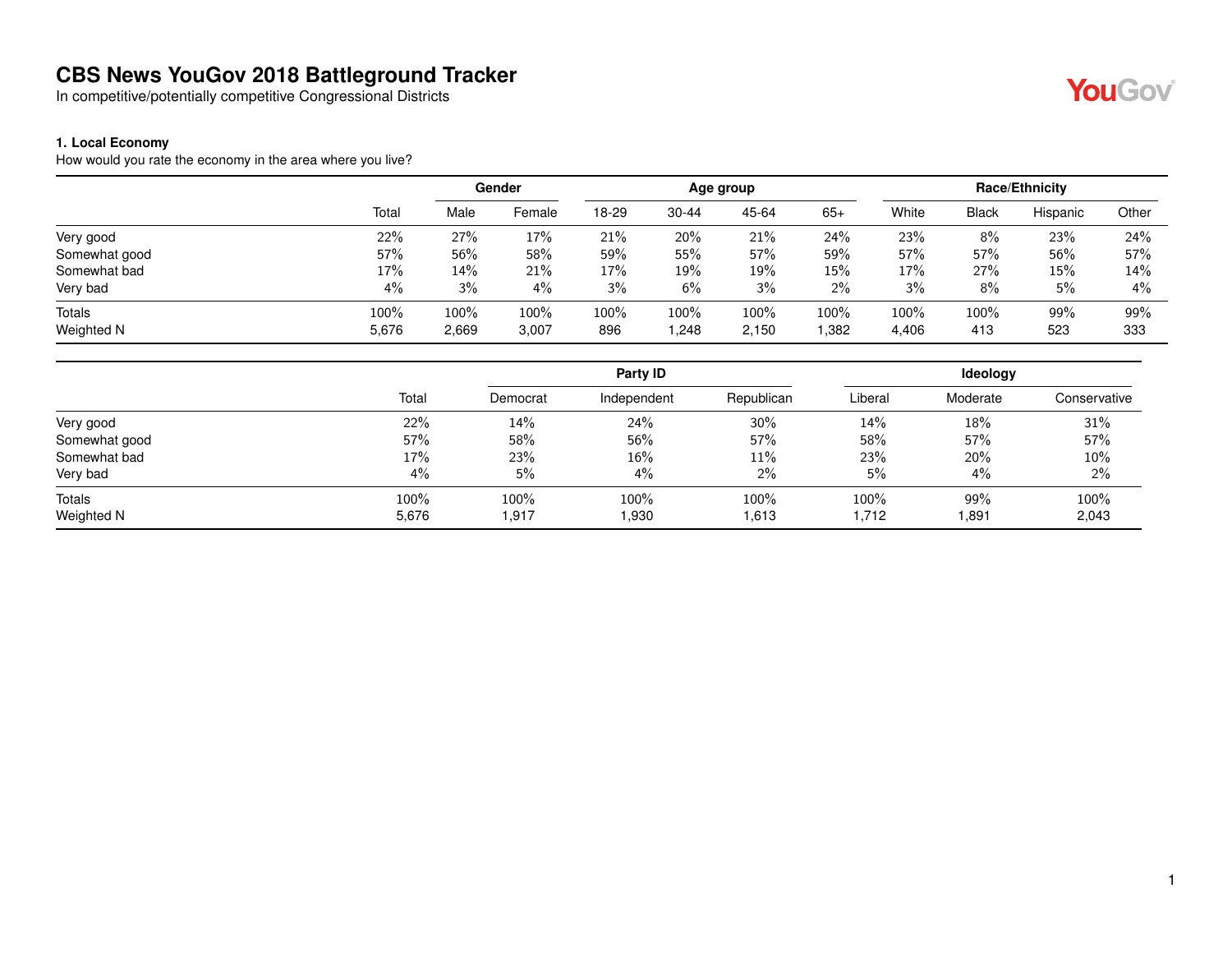In competitive/potentially competitive Congressional Districts

#### **1. Local Economy**

How would you rate the economy in the area where you live?

|               |       |       | Gender |       |           | Age group |       |       |              | Race/Ethnicity |       |
|---------------|-------|-------|--------|-------|-----------|-----------|-------|-------|--------------|----------------|-------|
|               | Total | Male  | Female | 18-29 | $30 - 44$ | 45-64     | $65+$ | White | <b>Black</b> | Hispanic       | Other |
| Very good     | 22%   | 27%   | 17%    | 21%   | 20%       | 21%       | 24%   | 23%   | 8%           | 23%            | 24%   |
| Somewhat good | 57%   | 56%   | 58%    | 59%   | 55%       | 57%       | 59%   | 57%   | 57%          | 56%            | 57%   |
| Somewhat bad  | 17%   | 14%   | 21%    | 17%   | 19%       | 19%       | 15%   | 17%   | 27%          | 15%            | 14%   |
| Very bad      | 4%    | 3%    | 4%     | 3%    | 6%        | 3%        | $2\%$ | 3%    | 8%           | 5%             | 4%    |
| <b>Totals</b> | 100%  | 100%  | 100%   | 100%  | 100%      | 100%      | 100%  | 100%  | 100%         | 99%            | 99%   |
| Weighted N    | 5,676 | 2,669 | 3,007  | 896   | 248. ا    | 2,150     | 1,382 | 4,406 | 413          | 523            | 333   |

|               |       |          | Party ID    |            |         | Ideology |              |
|---------------|-------|----------|-------------|------------|---------|----------|--------------|
|               | Total | Democrat | Independent | Republican | Liberal | Moderate | Conservative |
| Very good     | 22%   | 14%      | 24%         | 30%        | 14%     | 18%      | 31%          |
| Somewhat good | 57%   | 58%      | 56%         | 57%        | 58%     | 57%      | 57%          |
| Somewhat bad  | 17%   | 23%      | 16%         | 11%        | 23%     | 20%      | 10%          |
| Very bad      | 4%    | 5%       | 4%          | 2%         | 5%      | 4%       | 2%           |
| Totals        | 100%  | 100%     | 100%        | 100%       | 100%    | 99%      | 100%         |
| Weighted N    | 5,676 | 1,917    | 1,930       | 1,613      | 1,712   | 891. ا   | 2,043        |

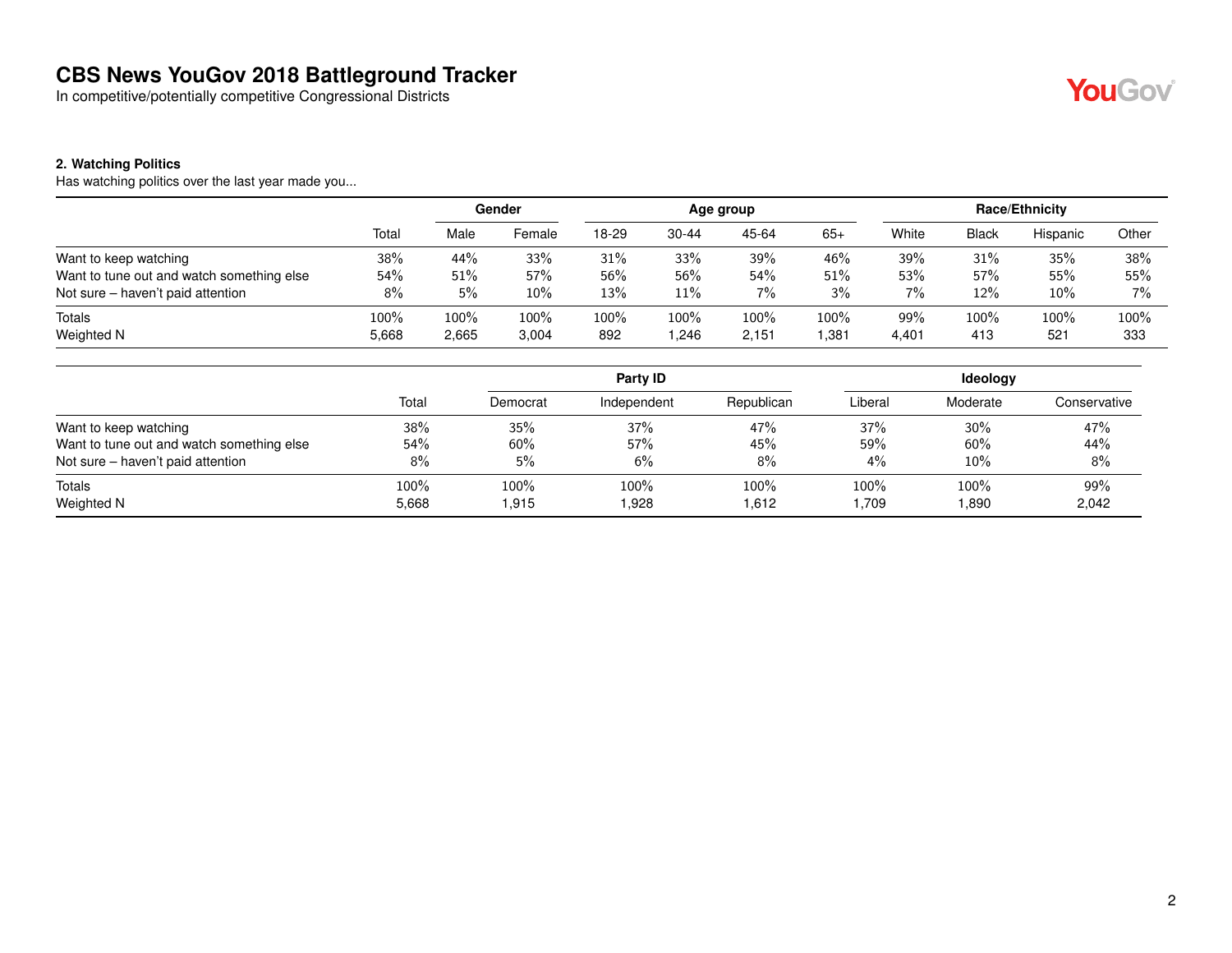In competitive/potentially competitive Congressional Districts

#### **2. Watching Politics**

Has watching politics over the last year made you...

|                                           |       |       | Gender  |         |           | Age group |       |       |              | Race/Ethnicity |       |
|-------------------------------------------|-------|-------|---------|---------|-----------|-----------|-------|-------|--------------|----------------|-------|
|                                           | Total | Male  | Female  | 18-29   | $30 - 44$ | 45-64     | $65+$ | White | <b>Black</b> | Hispanic       | Other |
| Want to keep watching                     | 38%   | 44%   | 33%     | 31%     | 33%       | 39%       | 46%   | 39%   | 31%          | 35%            | 38%   |
| Want to tune out and watch something else | 54%   | 51%   | 57%     | 56%     | 56%       | 54%       | 51%   | 53%   | 57%          | 55%            | 55%   |
| Not sure – haven't paid attention         | 8%    | 5%    | $10\%$  | 13%     | 11%       | 7%        | 3%    | $7\%$ | 12%          | 10%            | $7\%$ |
| Totals                                    | 100%  | 100%  | $100\%$ | $100\%$ | 100%      | 100%      | 100%  | 99%   | 100%         | 100%           | 100%  |
| Weighted N                                | 5,668 | 2,665 | 3,004   | 892     | .246      | 2.151     | .381  | 4,401 | 413          | 521            | 333   |

|                                           |       |          | Party ID    |            |         | Ideology |              |
|-------------------------------------------|-------|----------|-------------|------------|---------|----------|--------------|
|                                           | Total | Democrat | Independent | Republican | Liberal | Moderate | Conservative |
| Want to keep watching                     | 38%   | 35%      | 37%         | 47%        | 37%     | 30%      | 47%          |
| Want to tune out and watch something else | 54%   | 60%      | 57%         | 45%        | 59%     | 60%      | 44%          |
| Not sure – haven't paid attention         | 8%    | 5%       | 6%          | 8%         | $4\%$   | 10%      | 8%           |
| Totals                                    | 100%  | 100%     | 100%        | 100%       | 100%    | 100%     | 99%          |
| Weighted N                                | 5,668 | 915. ا   | 1,928       | 1,612      | .709    | 1,890    | 2,042        |

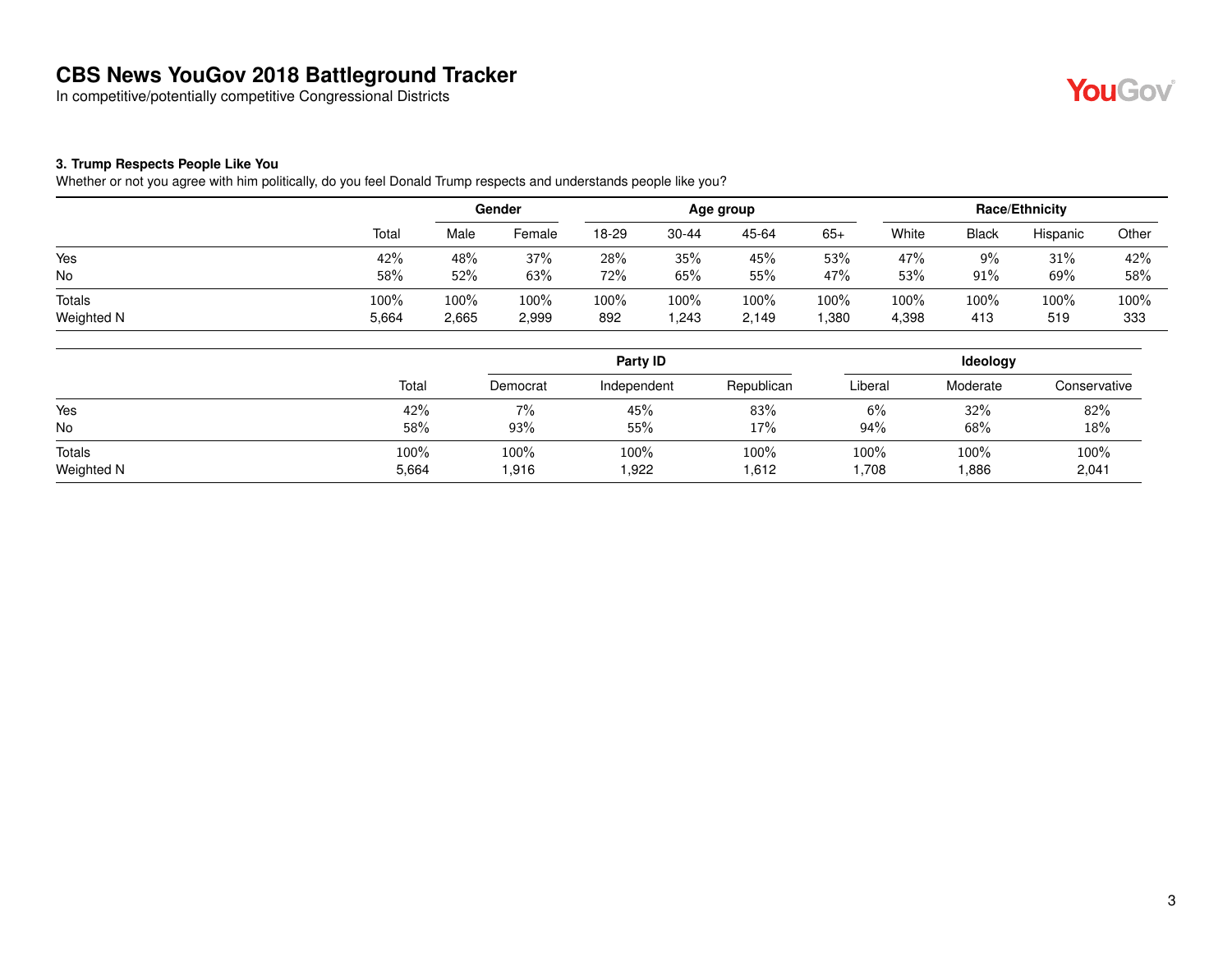In competitive/potentially competitive Congressional Districts



#### **3. Trump Respects People Like You**

Whether or not you agree with him politically, do you feel Donald Trump respects and understands people like you?

|            |       |       | Gender |       |       | Age group |       |       |              | Race/Ethnicity |       |
|------------|-------|-------|--------|-------|-------|-----------|-------|-------|--------------|----------------|-------|
|            | Total | Male  | Female | 18-29 | 30-44 | 45-64     | $65+$ | White | <b>Black</b> | Hispanic       | Other |
| Yes        | 42%   | 48%   | 37%    | 28%   | 35%   | 45%       | 53%   | 47%   | 9%           | 31%            | 42%   |
| No         | 58%   | 52%   | 63%    | 72%   | 65%   | 55%       | 47%   | 53%   | 91%          | 69%            | 58%   |
| Totals     | 100%  | 100%  | 100%   | 100%  | 100%  | 100%      | 100%  | 100%  | 100%         | 100%           | 100%  |
| Weighted N | 5,664 | 2,665 | 2,999  | 892   | .243  | 2,149     | ,380  | 4,398 | 413          | 519            | 333   |

|            |       |          | Party ID    |            |         | Ideology |              |
|------------|-------|----------|-------------|------------|---------|----------|--------------|
|            | Total | Democrat | Independent | Republican | Liberal | Moderate | Conservative |
| Yes        | 42%   | 7%       | 45%         | 83%        | 6%      | 32%      | 82%          |
| No         | 58%   | 93%      | 55%         | 17%        | 94%     | 68%      | 18%          |
| Totals     | 100%  | 100%     | 100%        | 100%       | 100%    | 100%     | 100%         |
| Weighted N | 5,664 | 916. ا   | 1,922       | 1,612      | 1,708   | ,886     | 2,041        |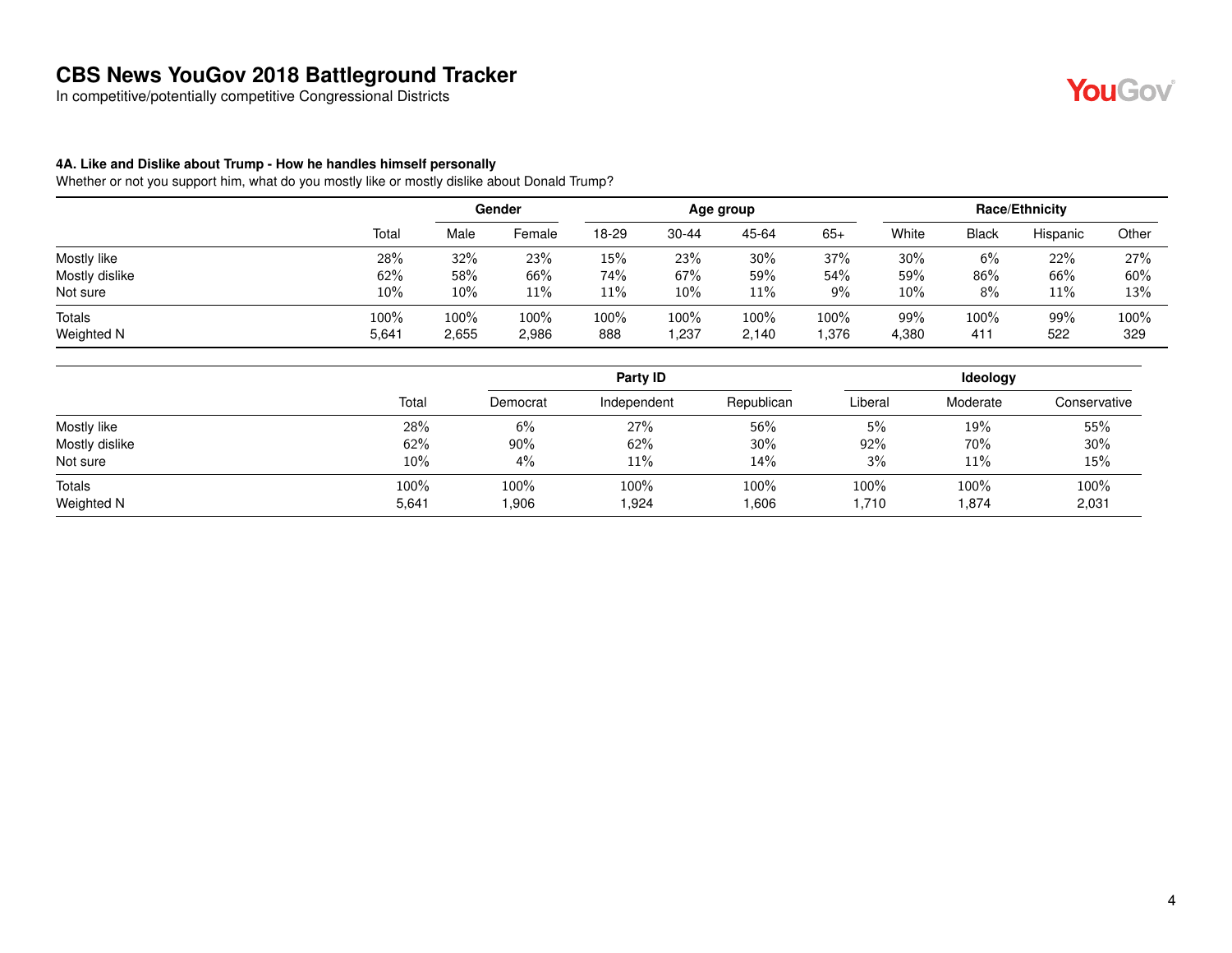In competitive/potentially competitive Congressional Districts

#### **4A. Like and Dislike about Trump - How he handles himself personally**

Whether or not you support him, what do you mostly like or mostly dislike about Donald Trump?

|                |       |        | Gender |       |           | Age group |       |        |              | Race/Ethnicity |       |
|----------------|-------|--------|--------|-------|-----------|-----------|-------|--------|--------------|----------------|-------|
|                | Total | Male   | Female | 18-29 | $30 - 44$ | 45-64     | $65+$ | White  | <b>Black</b> | Hispanic       | Other |
| Mostly like    | 28%   | 32%    | 23%    | 15%   | 23%       | $30\%$    | 37%   | 30%    | 6%           | 22%            | 27%   |
| Mostly dislike | 62%   | 58%    | 66%    | 74%   | 67%       | 59%       | 54%   | 59%    | 86%          | 66%            | 60%   |
| Not sure       | 10%   | $10\%$ | 11%    | 11%   | 10%       | 11%       | $9\%$ | $10\%$ | 8%           | 11%            | 13%   |
| <b>Totals</b>  | 100%  | 100%   | 100%   | 100%  | 100%      | 100%      | 100%  | 99%    | 100%         | 99%            | 100%  |
| Weighted N     | 5,641 | 2,655  | 2,986  | 888   | ,237      | 2,140     | .376  | 4,380  | 411          | 522            | 329   |

|                |       |          | Party ID    |            | <b>Ideology</b> |          |              |  |
|----------------|-------|----------|-------------|------------|-----------------|----------|--------------|--|
|                | Total | Democrat | Independent | Republican | Liberal         | Moderate | Conservative |  |
| Mostly like    | 28%   | 6%       | 27%         | 56%        | 5%              | 19%      | 55%          |  |
| Mostly dislike | 62%   | 90%      | 62%         | $30\%$     | 92%             | 70%      | 30%          |  |
| Not sure       | 10%   | 4%       | 11%         | 14%        | 3%              | 11%      | 15%          |  |
| Totals         | 100%  | 100%     | 100%        | 100%       | 100%            | 100%     | 100%         |  |
| Weighted N     | 5,641 | 0.906    | 1,924       | 1,606      | 710. ا          | 1,874    | 2,031        |  |

YouGov®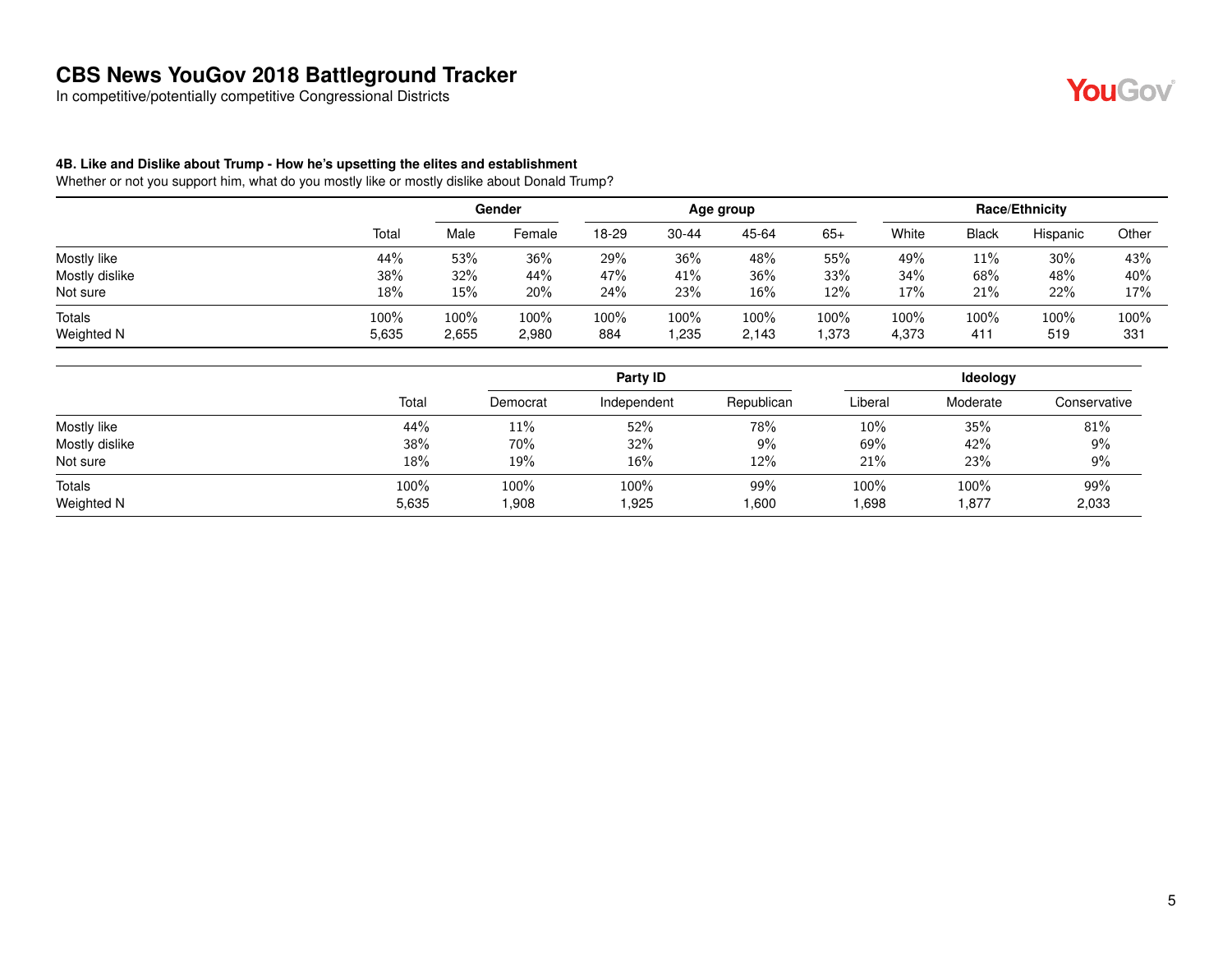In competitive/potentially competitive Congressional Districts

## YouGov®

#### **4B. Like and Dislike about Trump - How he's upsetting the elites and establishment**

|                      |               | Gender        |               | Age group   |                |               |              | <b>Race/Ethnicity</b> |              |             |                |
|----------------------|---------------|---------------|---------------|-------------|----------------|---------------|--------------|-----------------------|--------------|-------------|----------------|
|                      | Total         | Male          | Female        | 18-29       | $30 - 44$      | 45-64         | $65+$        | White                 | <b>Black</b> | Hispanic    | Other          |
| Mostly like          | 44%           | 53%           | 36%           | 29%         | 36%            | 48%           | 55%          | 49%                   | 11%          | 30%         | 43%            |
| Mostly dislike       | 38%           | 32%           | 44%           | 47%         | 41%            | 36%           | 33%          | 34%                   | 68%          | 48%         | 40%            |
| Not sure             | 18%           | 15%           | 20%           | 24%         | 23%            | 16%           | 12%          | 17%                   | 21%          | 22%         | 17%            |
| Totals<br>Weighted N | 100%<br>5,635 | 100%<br>2,655 | 100%<br>2,980 | 100%<br>884 | 100%<br>235. ا | 100%<br>2,143 | 100%<br>.373 | 100%<br>4,373         | 100%<br>411  | 100%<br>519 | $100\%$<br>331 |

|       | Party ID |               |              |                | Ideology      |              |  |  |
|-------|----------|---------------|--------------|----------------|---------------|--------------|--|--|
| Total | Democrat | Independent   | Republican   | Liberal        | Moderate      | Conservative |  |  |
| 44%   | 11%      | 52%           | 78%          | $10\%$         | 35%           | 81%          |  |  |
| 38%   | 70%      | 32%           | 9%           | 69%            | 42%           | 9%           |  |  |
| 18%   | 19%      | 16%           | 12%          | 21%            | 23%           | 9%           |  |  |
| 100%  | 100%     | 100%<br>1,925 | 99%<br>1,600 | 100%<br>698. ا | 100%<br>1,877 | 99%<br>2,033 |  |  |
|       |          | 5,635<br>.908 |              |                |               |              |  |  |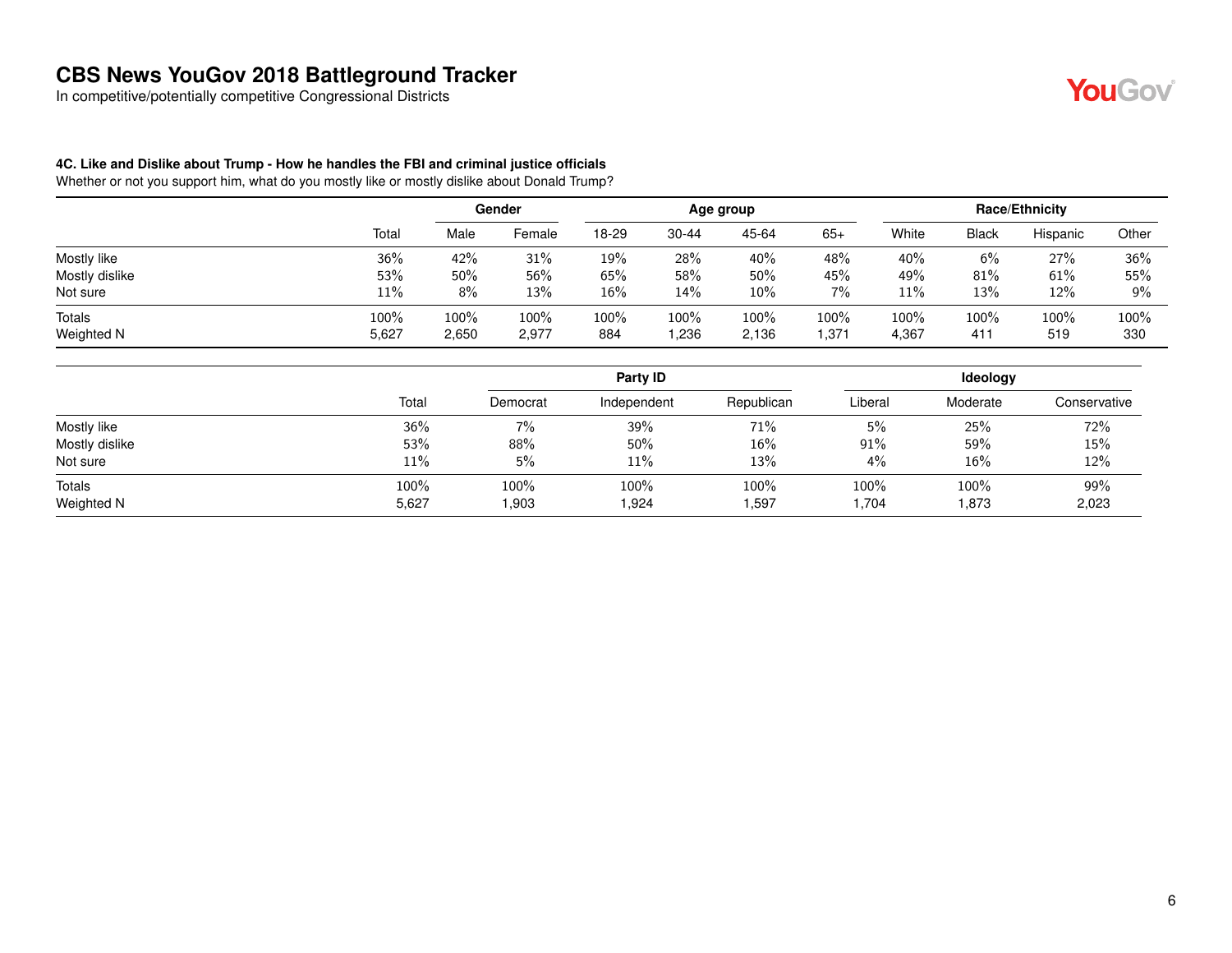In competitive/potentially competitive Congressional Districts



#### **4C. Like and Dislike about Trump - How he handles the FBI and criminal justice officials**

|                      |               |               | Gender        |             |              | Age group     |                |               |              | <b>Race/Ethnicity</b> |                |
|----------------------|---------------|---------------|---------------|-------------|--------------|---------------|----------------|---------------|--------------|-----------------------|----------------|
|                      | Total         | Male          | Female        | 18-29       | 30-44        | 45-64         | $65+$          | White         | <b>Black</b> | Hispanic              | Other          |
| Mostly like          | 36%           | 42%           | 31%           | 19%         | 28%          | 40%           | 48%            | 40%           | 6%           | 27%                   | 36%            |
| Mostly dislike       | 53%           | 50%           | 56%           | 65%         | 58%          | 50%           | 45%            | 49%           | 81%          | 61%                   | 55%            |
| Not sure             | 11%           | 8%            | 13%           | $16\%$      | 14%          | $10\%$        | 7%             | 11%           | 13%          | 12%                   | 9%             |
| Totals<br>Weighted N | 100%<br>5,627 | 100%<br>2,650 | 100%<br>2,977 | 100%<br>884 | 100%<br>.236 | 100%<br>2,136 | 100%<br>371. ا | 100%<br>4,367 | 100%<br>411  | 100%<br>519           | $100\%$<br>330 |

|                |       |          | Party ID    |            | Ideology |          |              |  |
|----------------|-------|----------|-------------|------------|----------|----------|--------------|--|
|                | Total | Democrat | Independent | Republican | Liberal  | Moderate | Conservative |  |
| Mostly like    | 36%   | $7\%$    | 39%         | 71%        | 5%       | 25%      | 72%          |  |
| Mostly dislike | 53%   | 88%      | 50%         | 16%        | $91\%$   | 59%      | 15%          |  |
| Not sure       | 11%   | 5%       | $11\%$      | 13%        | 4%       | 16%      | 12%          |  |
| Totals         | 100%  | 100%     | 100%        | 100%       | 100%     | 100%     | 99%          |  |
| Weighted N     | 5,627 | .903     | 1,924       | i,597      | 1,704    | 1,873    | 2,023        |  |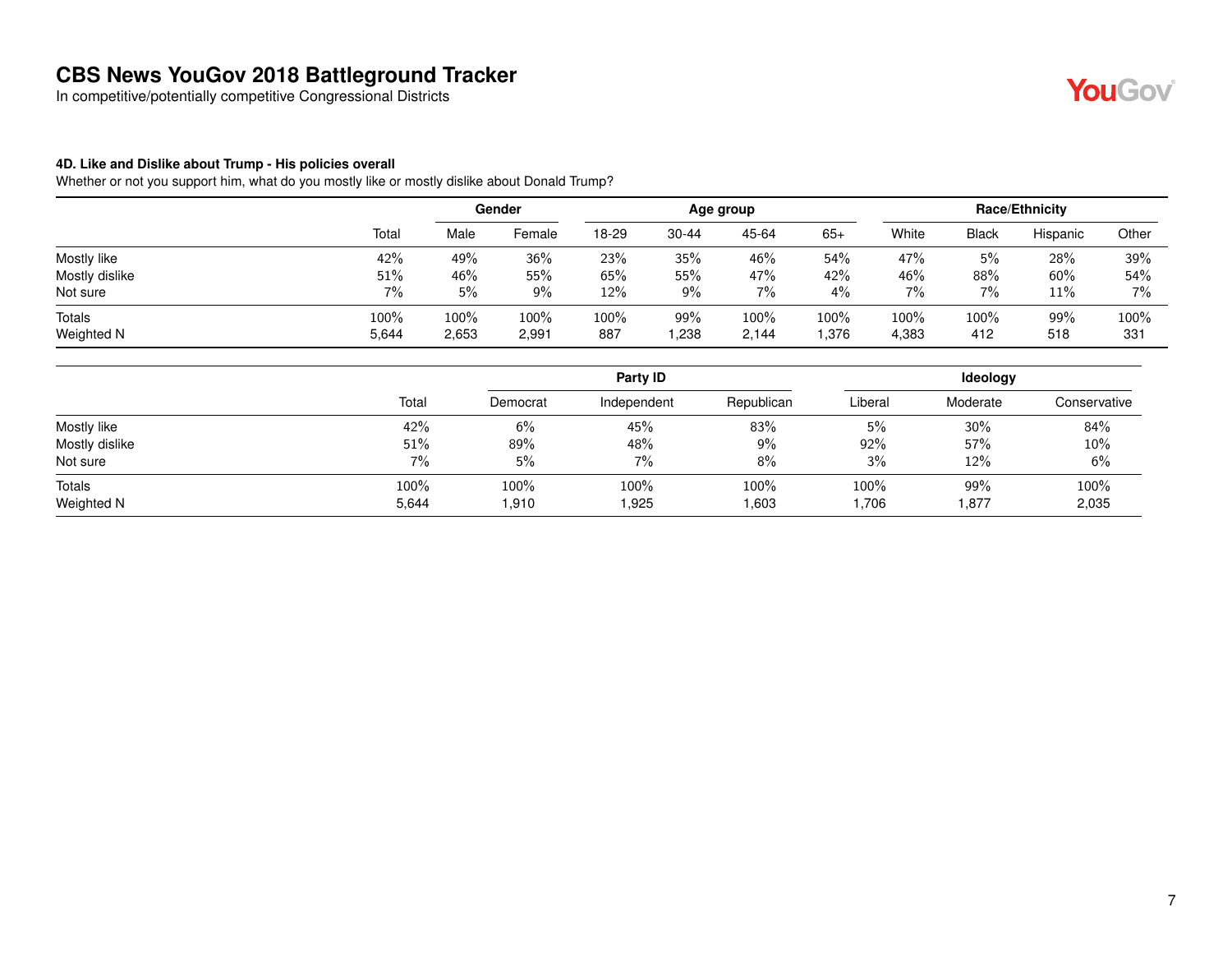In competitive/potentially competitive Congressional Districts

## YouGov®

#### **4D. Like and Dislike about Trump - His policies overall**

|                      |               | Gender        |               |             | Age group   |               |                |               | <b>Race/Ethnicity</b> |            |                |  |
|----------------------|---------------|---------------|---------------|-------------|-------------|---------------|----------------|---------------|-----------------------|------------|----------------|--|
|                      | Total         | Male          | Female        | 18-29       | 30-44       | 45-64         | $65+$          | White         | <b>Black</b>          | Hispanic   | Other          |  |
| Mostly like          | 42%           | 49%           | 36%           | 23%         | 35%         | 46%           | 54%            | 47%           | 5%                    | 28%        | 39%            |  |
| Mostly dislike       | 51%           | 46%           | 55%           | 65%         | 55%         | 47%           | 42%            | 46%           | 88%                   | 60%        | 54%            |  |
| Not sure             | 7%            | 5%            | $9\%$         | 12%         | 9%          | 7%            | 4%             | 7%            | $7\%$                 | 11%        | $7\%$          |  |
| Totals<br>Weighted N | 100%<br>5,644 | 100%<br>2,653 | 100%<br>2,991 | 100%<br>887 | 99%<br>.238 | 100%<br>2,144 | 100%<br>376. ا | 100%<br>4,383 | 100%<br>412           | 99%<br>518 | $100\%$<br>331 |  |

|                      |               | Party ID      |               |               |              |             | Ideology      |  |  |  |
|----------------------|---------------|---------------|---------------|---------------|--------------|-------------|---------------|--|--|--|
|                      | Total         | Democrat      | Independent   | Republican    | Liberal      | Moderate    | Conservative  |  |  |  |
| Mostly like          | 42%           | 6%            | 45%           | 83%           | 5%           | 30%         | 84%           |  |  |  |
| Mostly dislike       | 51%           | 89%           | 48%           | $9\%$         | 92%          | 57%         | 10%           |  |  |  |
| Not sure             | 7%            | 5%            | 7%            | 8%            | 3%           | 12%         | 6%            |  |  |  |
| Totals<br>Weighted N | 100%<br>5,644 | 100%<br>1,910 | 100%<br>1,925 | 100%<br>1,603 | 100%<br>706، | 99%<br>,877 | 100%<br>2,035 |  |  |  |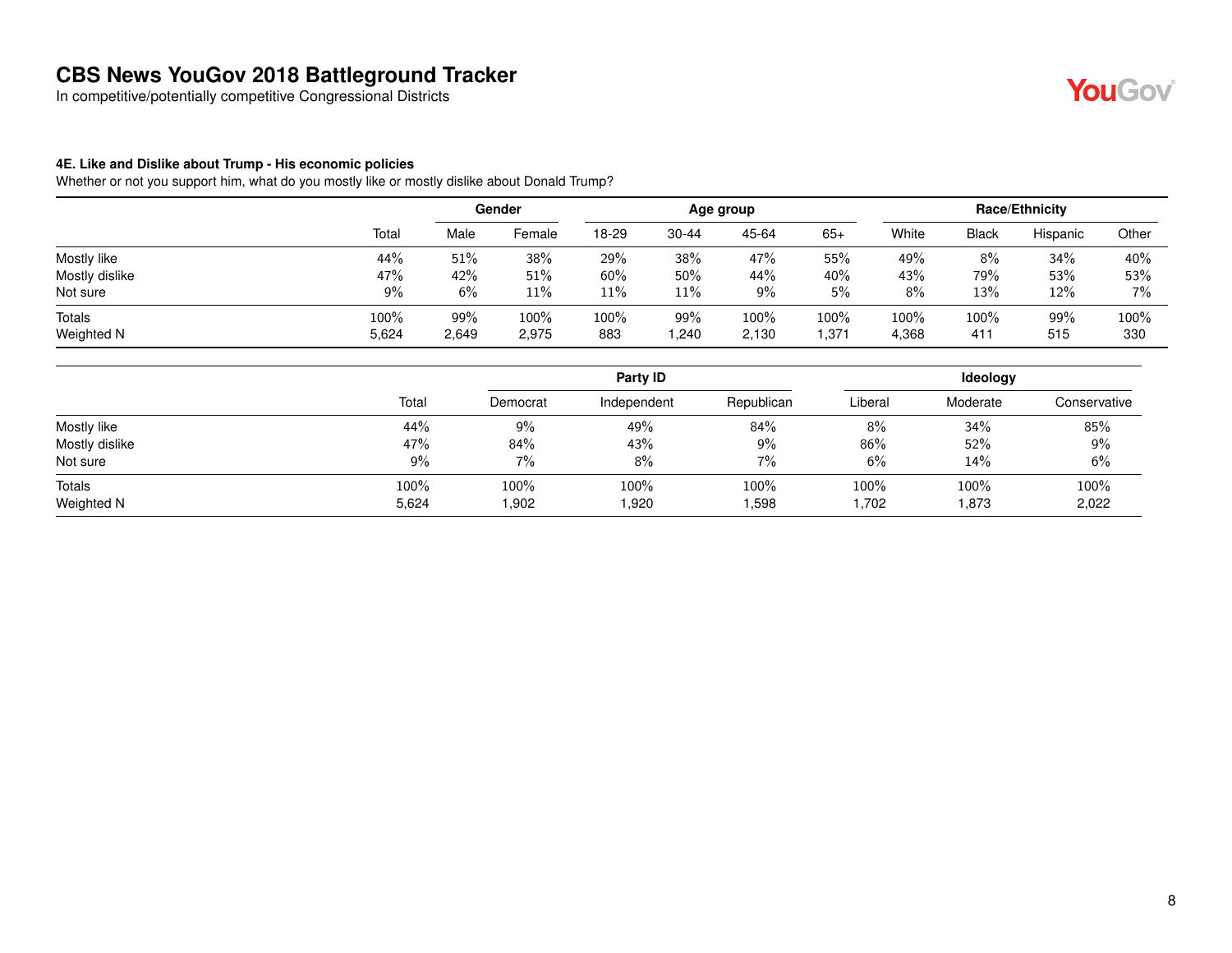In competitive/potentially competitive Congressional Districts

## **YouGov**

#### **4E. Like and Dislike about Trump - His economic policies**

|                      |               |              | Gender        | Age group   |             |               |               | <b>Race/Ethnicity</b> |              |            |                |
|----------------------|---------------|--------------|---------------|-------------|-------------|---------------|---------------|-----------------------|--------------|------------|----------------|
|                      | Total         | Male         | Female        | 18-29       | 30-44       | 45-64         | $65+$         | White                 | <b>Black</b> | Hispanic   | Other          |
| Mostly like          | 44%           | 51%          | 38%           | 29%         | 38%         | 47%           | 55%           | 49%                   | 8%           | 34%        | 40%            |
| Mostly dislike       | 47%           | 42%          | 51%           | 60%         | 50%         | 44%           | 40%           | 43%                   | 79%          | 53%        | 53%            |
| Not sure             | 9%            | 6%           | 11%           | 11%         | 11%         | 9%            | 5%            | 8%                    | 13%          | 12%        | 7%             |
| Totals<br>Weighted N | 100%<br>5,624 | 99%<br>2,649 | 100%<br>2,975 | 100%<br>883 | 99%<br>,240 | 100%<br>2,130 | 100%<br>1,371 | 100%<br>4,368         | 100%<br>411  | 99%<br>515 | $100\%$<br>330 |

|                |       |          | Party ID    |            | Ideology |          |              |  |
|----------------|-------|----------|-------------|------------|----------|----------|--------------|--|
|                | Total | Democrat | Independent | Republican | Liberal  | Moderate | Conservative |  |
| Mostly like    | 44%   | 9%       | 49%         | 84%        | 8%       | 34%      | 85%          |  |
| Mostly dislike | 47%   | 84%      | 43%         | $9\%$      | 86%      | 52%      | $9\%$        |  |
| Not sure       | 9%    | 7%       | 8%          | 7%         | 6%       | 14%      | 6%           |  |
| <b>Totals</b>  | 100%  | 100%     | 100%        | 100%       | 100%     | 100%     | 100%         |  |
| Weighted N     | 5,624 | .902     | 920         | 598, ا     | .702     | 1,873    | 2,022        |  |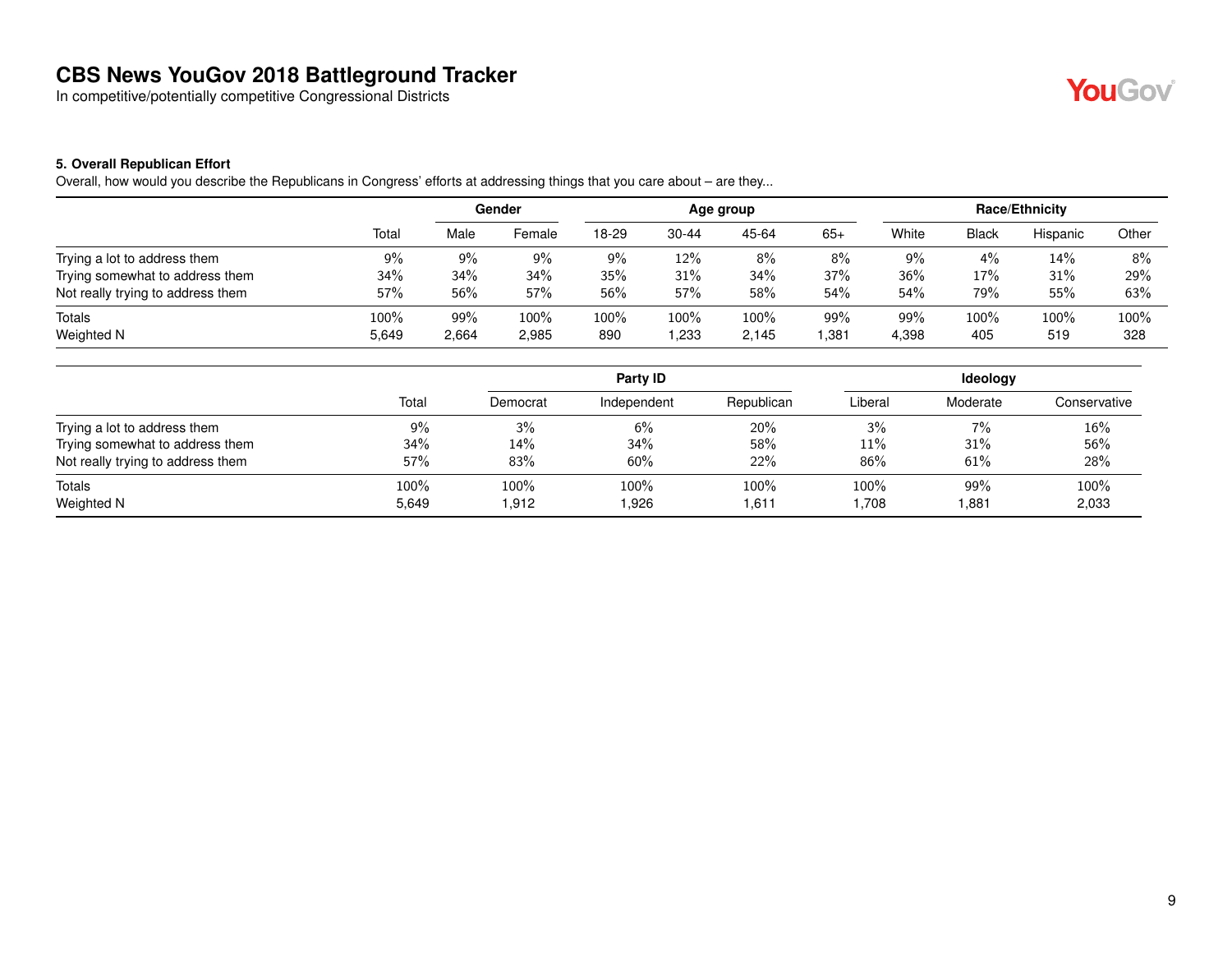In competitive/potentially competitive Congressional Districts



#### **5. Overall Republican Effort**

Overall, how would you describe the Republicans in Congress' efforts at addressing things that you care about – are they...

|                                   |       |       | Gender |       |           | Age group |       |       |              | <b>Race/Ethnicity</b> |       |
|-----------------------------------|-------|-------|--------|-------|-----------|-----------|-------|-------|--------------|-----------------------|-------|
|                                   | Total | Male  | Female | 18-29 | $30 - 44$ | 45-64     | $65+$ | White | <b>Black</b> | Hispanic              | Other |
| Trying a lot to address them      | 9%    | 9%    | 9%     | 9%    | 12%       | 8%        | 8%    | 9%    | 4%           | 14%                   | 8%    |
| Trying somewhat to address them   | 34%   | 34%   | 34%    | 35%   | 31%       | 34%       | 37%   | 36%   | 17%          | 31%                   | 29%   |
| Not really trying to address them | 57%   | 56%   | 57%    | 56%   | 57%       | 58%       | 54%   | 54%   | 79%          | 55%                   | 63%   |
| <b>Totals</b>                     | 100%  | 99%   | 100%   | 100%  | 100%      | 100%      | 99%   | 99%   | 100%         | 100%                  | 100%  |
| <b>Weighted N</b>                 | 5.649 | 2,664 | 2,985  | 890   | .233      | 2.145     | .381  | 4,398 | 405          | 519                   | 328   |

|                                   |               |               | Party ID      |               |              | <b>Ideology</b> |               |
|-----------------------------------|---------------|---------------|---------------|---------------|--------------|-----------------|---------------|
|                                   | Total         | Democrat      | Independent   | Republican    | Liberal      | Moderate        | Conservative  |
| Trying a lot to address them      | 9%            | 3%            | 6%            | 20%           | 3%           | $7\%$           | 16%           |
| Trying somewhat to address them   | 34%           | 14%           | 34%           | 58%           | 11%          | 31%             | 56%           |
| Not really trying to address them | 57%           | 83%           | 60%           | 22%           | 86%          | 61%             | 28%           |
| Totals<br>Weighted N              | 100%<br>5,649 | 100%<br>1,912 | 100%<br>1,926 | 100%<br>1,611 | 100%<br>.708 | 99%<br>881. ا   | 100%<br>2,033 |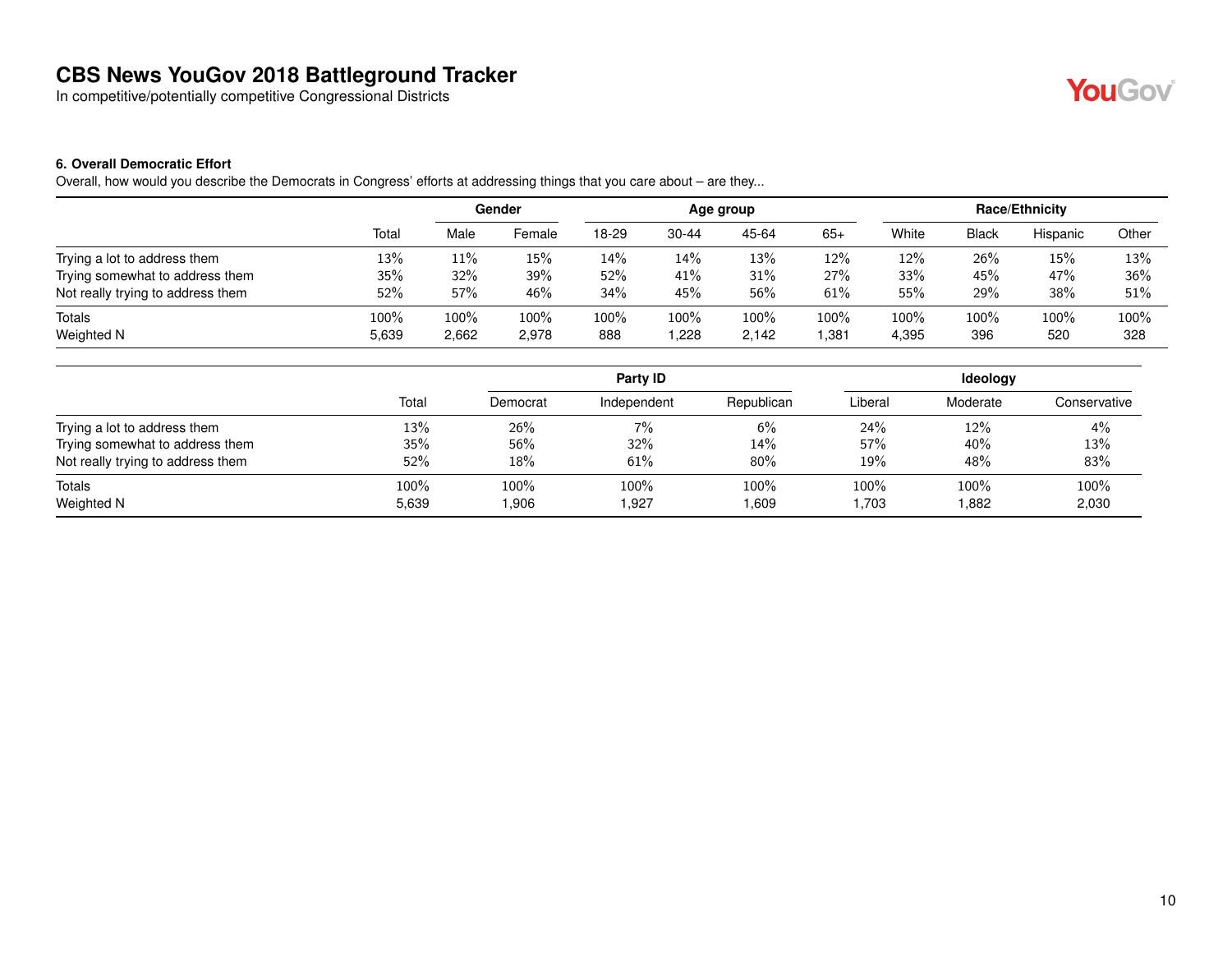In competitive/potentially competitive Congressional Districts

## **YouGov**

#### **6. Overall Democratic Effort**

Overall, how would you describe the Democrats in Congress' efforts at addressing things that you care about – are they...

|                                   |       |       | Gender | Age group |           |       |       | Race/Ethnicity |              |          |       |
|-----------------------------------|-------|-------|--------|-----------|-----------|-------|-------|----------------|--------------|----------|-------|
|                                   | Total | Male  | Female | 18-29     | $30 - 44$ | 45-64 | $65+$ | White          | <b>Black</b> | Hispanic | Other |
| Trying a lot to address them      | 13%   | 11%   | 15%    | 14%       | 14%       | 13%   | 12%   | 12%            | 26%          | 15%      | 13%   |
| Trying somewhat to address them   | 35%   | 32%   | 39%    | 52%       | 41%       | 31%   | 27%   | 33%            | 45%          | 47%      | 36%   |
| Not really trying to address them | 52%   | 57%   | 46%    | 34%       | 45%       | 56%   | 61%   | 55%            | 29%          | 38%      | 51%   |
| Totals                            | 100%  | 100%  | 100%   | 100%      | 100%      | 100%  | 100%  | $100\%$        | 100%         | 100%     | 100%  |
| Weighted N                        | 5,639 | 2,662 | 2,978  | 888       | ,228      | 2,142 | .381  | 4,395          | 396          | 520      | 328   |

|                                   |               | Party ID     |               |               | <b>Ideology</b>   |               |               |  |
|-----------------------------------|---------------|--------------|---------------|---------------|-------------------|---------------|---------------|--|
|                                   | Total         | Democrat     | Independent   | Republican    | Liberal           | Moderate      | Conservative  |  |
| Trying a lot to address them      | 13%           | 26%          | 7%            | 6%            | 24%               | $12\%$        | 4%            |  |
| Trying somewhat to address them   | 35%           | 56%          | 32%           | 14%           | 57%               | 40%           | 13%           |  |
| Not really trying to address them | 52%           | 18%          | 61%           | 80%           | 19%               | 48%           | 83%           |  |
| Totals<br>Weighted N              | 100%<br>5,639 | 100%<br>906. | 100%<br>1,927 | 100%<br>1,609 | $100\%$<br>703. ا | 100%<br>0.882 | 100%<br>2,030 |  |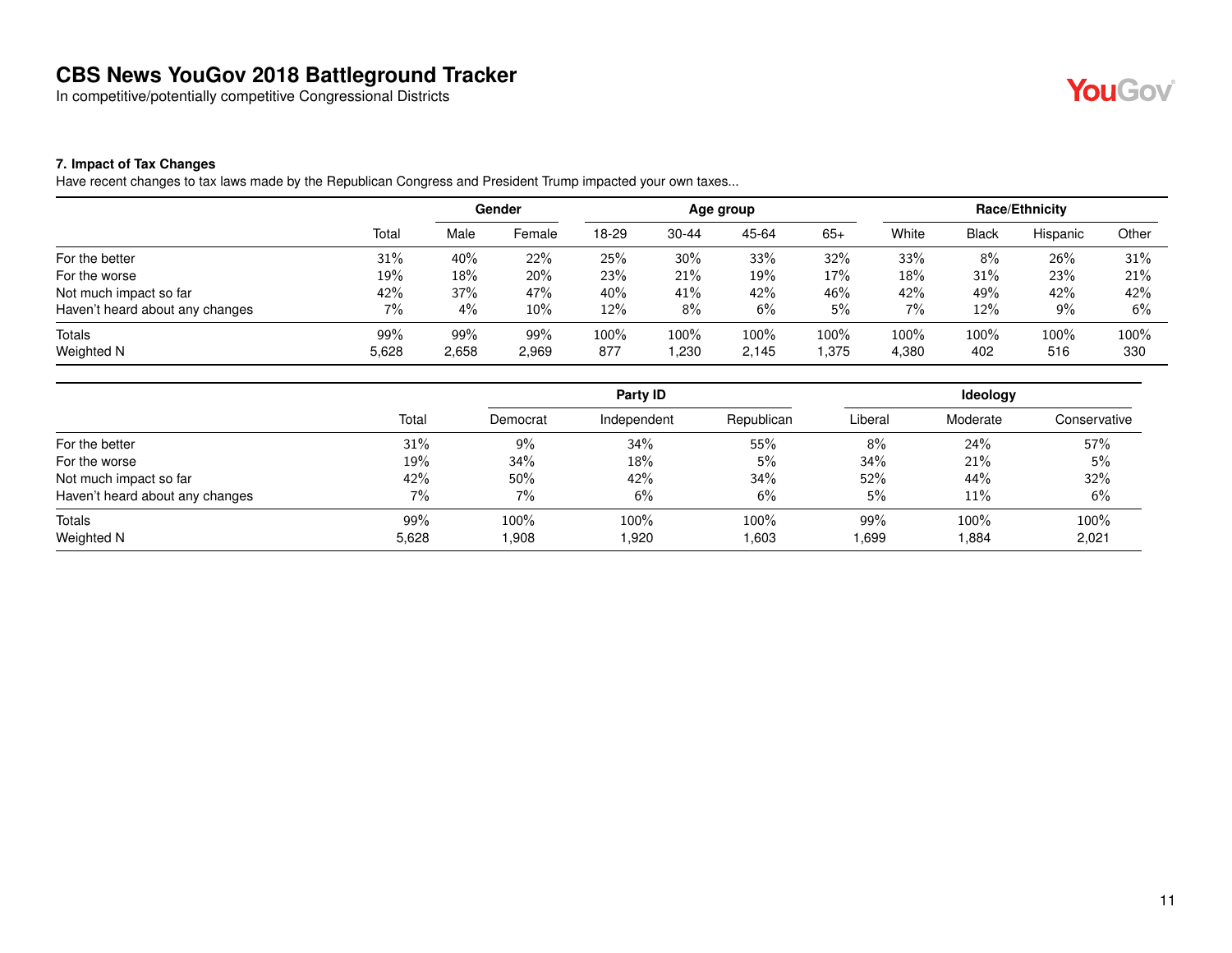In competitive/potentially competitive Congressional Districts

## YouGov®

#### **7. Impact of Tax Changes**

Have recent changes to tax laws made by the Republican Congress and President Trump impacted your own taxes...

|                                 |       | Gender<br>Age group |        |       | Race/Ethnicity |       |       |       |              |          |       |
|---------------------------------|-------|---------------------|--------|-------|----------------|-------|-------|-------|--------------|----------|-------|
|                                 | Total | Male                | Female | 18-29 | $30 - 44$      | 45-64 | $65+$ | White | <b>Black</b> | Hispanic | Other |
| For the better                  | 31%   | 40%                 | 22%    | 25%   | 30%            | 33%   | 32%   | 33%   | 8%           | 26%      | 31%   |
| For the worse                   | 19%   | 18%                 | 20%    | 23%   | 21%            | 19%   | 17%   | 18%   | 31%          | 23%      | 21%   |
| Not much impact so far          | 42%   | 37%                 | 47%    | 40%   | 41%            | 42%   | 46%   | 42%   | 49%          | 42%      | 42%   |
| Haven't heard about any changes | 7%    | 4%                  | $10\%$ | 12%   | 8%             | 6%    | 5%    | 7%    | 12%          | 9%       | 6%    |
| <b>Totals</b>                   | 99%   | 99%                 | 99%    | 100%  | 100%           | 100%  | 100%  | 100%  | 100%         | 100%     | 100%  |
| Weighted N                      | 5,628 | 2,658               | 2,969  | 877   | 1,230          | 2,145 | .375  | 4,380 | 402          | 516      | 330   |

|                                 |       |          | Party ID    |             | <b>Ideology</b> |          |              |  |
|---------------------------------|-------|----------|-------------|-------------|-----------------|----------|--------------|--|
|                                 | Total | Democrat | Independent | Republican  | Liberal         | Moderate | Conservative |  |
| For the better                  | 31%   | 9%       | 34%         | 55%         | 8%              | 24%      | 57%          |  |
| For the worse                   | 19%   | 34%      | 18%         | 5%          | 34%             | 21%      | 5%           |  |
| Not much impact so far          | 42%   | 50%      | 42%         | 34%         | 52%             | 44%      | 32%          |  |
| Haven't heard about any changes | $7\%$ | 7%       | 6%          | 6%          | 5%              | 11%      | 6%           |  |
| Totals                          | 99%   | 100%     | 100%        | 100%        | 99%             | 100%     | 100%         |  |
| Weighted N                      | 5,628 | 808,1    | 1,920       | <b>603.</b> | .699            | .884     | 2,021        |  |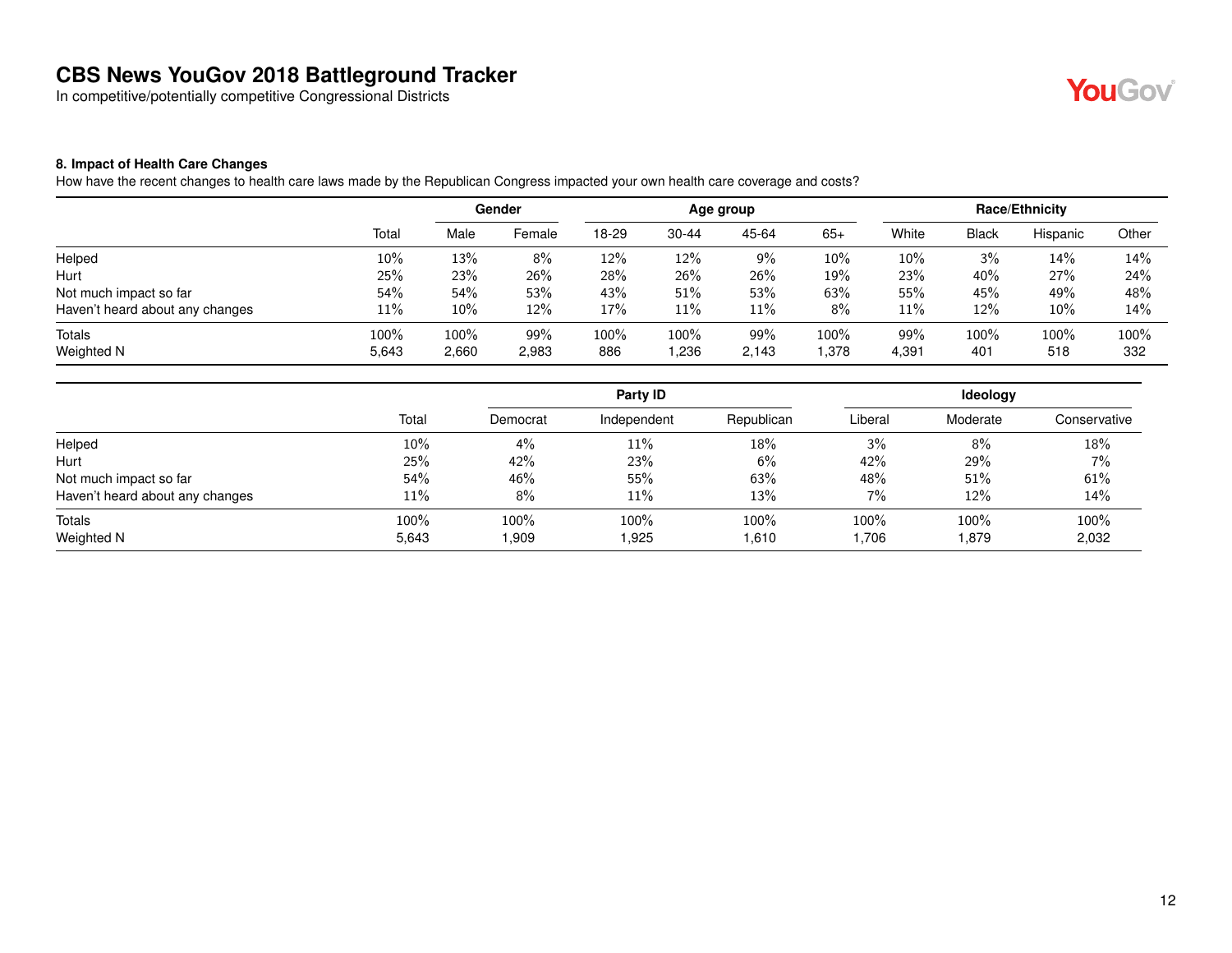In competitive/potentially competitive Congressional Districts



#### **8. Impact of Health Care Changes**

How have the recent changes to health care laws made by the Republican Congress impacted your own health care coverage and costs?

|                                 |       | Gender<br>Age group |        |       |           | <b>Race/Ethnicity</b> |        |       |       |          |       |
|---------------------------------|-------|---------------------|--------|-------|-----------|-----------------------|--------|-------|-------|----------|-------|
|                                 | Total | Male                | Female | 18-29 | $30 - 44$ | 45-64                 | $65+$  | White | Black | Hispanic | Other |
| Helped                          | 10%   | 13%                 | 8%     | 12%   | 12%       | 9%                    | 10%    | 10%   | 3%    | 14%      | 14%   |
| Hurt                            | 25%   | 23%                 | 26%    | 28%   | 26%       | 26%                   | 19%    | 23%   | 40%   | 27%      | 24%   |
| Not much impact so far          | 54%   | 54%                 | 53%    | 43%   | 51%       | 53%                   | 63%    | 55%   | 45%   | 49%      | 48%   |
| Haven't heard about any changes | 11%   | $10\%$              | 12%    | 17%   | 11%       | 11%                   | 8%     | 11%   | 12%   | 10%      | 14%   |
| <b>Totals</b>                   | 100%  | 100%                | 99%    | 100%  | 100%      | 99%                   | 100%   | 99%   | 100%  | 100%     | 100%  |
| Weighted N                      | 5,643 | 2,660               | 2,983  | 886   | .236      | 2,143                 | 378. ا | 4,391 | 401   | 518      | 332   |

|                                 |       |          | Party ID    |            |         | <b>Ideology</b> |              |
|---------------------------------|-------|----------|-------------|------------|---------|-----------------|--------------|
|                                 | Total | Democrat | Independent | Republican | Liberal | Moderate        | Conservative |
| Helped                          | 10%   | 4%       | 11%         | 18%        | 3%      | 8%              | 18%          |
| Hurt                            | 25%   | 42%      | 23%         | 6%         | 42%     | 29%             | 7%           |
| Not much impact so far          | 54%   | 46%      | 55%         | 63%        | 48%     | 51%             | 61%          |
| Haven't heard about any changes | 11%   | 8%       | 11%         | 13%        | 7%      | 12%             | 14%          |
| Totals                          | 100%  | 100%     | 100%        | 100%       | 100%    | 100%            | 100%         |
| Weighted N                      | 5,643 | 0.909    | 1,925       | 1,610      | 1,706   | 879. ا          | 2,032        |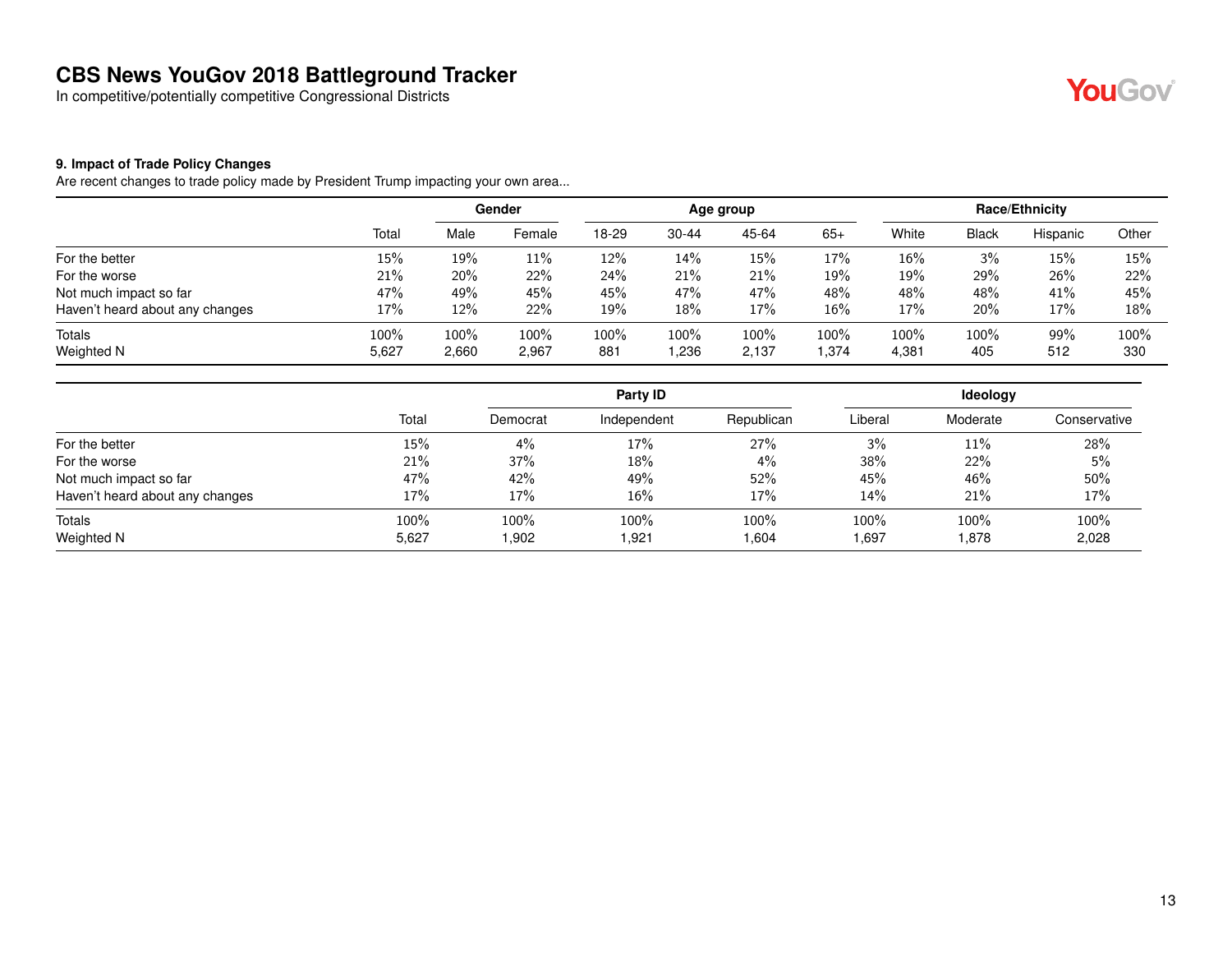In competitive/potentially competitive Congressional Districts



#### **9. Impact of Trade Policy Changes**

Are recent changes to trade policy made by President Trump impacting your own area...

|                                 |       |         | Gender  |       |           | Age group |       |       |       | <b>Race/Ethnicity</b> |       |
|---------------------------------|-------|---------|---------|-------|-----------|-----------|-------|-------|-------|-----------------------|-------|
|                                 | Total | Male    | Female  | 18-29 | $30 - 44$ | 45-64     | $65+$ | White | Black | Hispanic              | Other |
| For the better                  | 15%   | 19%     | 11%     | 12%   | 14%       | 15%       | 17%   | 16%   | 3%    | 15%                   | 15%   |
| For the worse                   | 21%   | 20%     | 22%     | 24%   | 21%       | 21%       | 19%   | 19%   | 29%   | 26%                   | 22%   |
| Not much impact so far          | 47%   | 49%     | 45%     | 45%   | 47%       | 47%       | 48%   | 48%   | 48%   | 41%                   | 45%   |
| Haven't heard about any changes | 17%   | 12%     | 22%     | 19%   | 18%       | 17%       | 16%   | 17%   | 20%   | 17%                   | 18%   |
| Totals                          | 100%  | $100\%$ | $100\%$ | 100%  | 100%      | 100%      | 100%  | 100%  | 100%  | 99%                   | 100%  |
| Weighted N                      | 5,627 | 2,660   | 2,967   | 881   | .236      | 2,137     | 1,374 | 4,381 | 405   | 512                   | 330   |

|                                 |       |          | Party ID    |            | Ideology |          |              |  |
|---------------------------------|-------|----------|-------------|------------|----------|----------|--------------|--|
|                                 | Total | Democrat | Independent | Republican | Liberal  | Moderate | Conservative |  |
| For the better                  | 15%   | 4%       | 17%         | 27%        | 3%       | 11%      | 28%          |  |
| For the worse                   | 21%   | 37%      | 18%         | $4\%$      | 38%      | 22%      | 5%           |  |
| Not much impact so far          | 47%   | 42%      | 49%         | 52%        | 45%      | 46%      | 50%          |  |
| Haven't heard about any changes | 17%   | 17%      | 16%         | 17%        | $14\%$   | 21%      | 17%          |  |
| Totals                          | 100%  | 100%     | 100%        | 100%       | 100%     | 100%     | 100%         |  |
| Weighted N                      | 5,627 | 1,902    | 1,921       | 604. ا     | 1,697    | 878. ا   | 2,028        |  |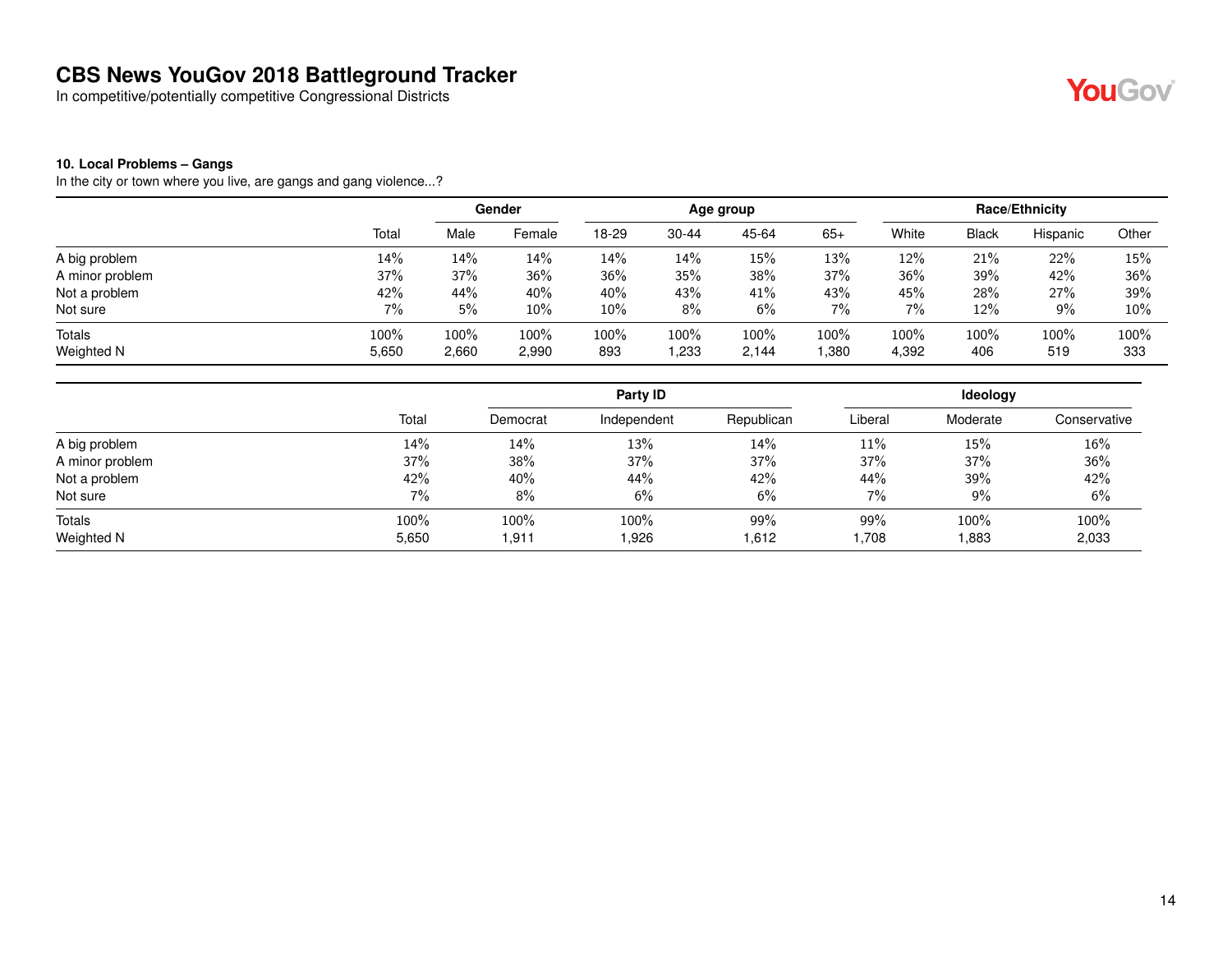In competitive/potentially competitive Congressional Districts



#### **10. Local Problems – Gangs**

In the city or town where you live, are gangs and gang violence...?

|                 |       | Gender  |        | Age group |           |       |       | Race/Ethnicity |              |          |       |
|-----------------|-------|---------|--------|-----------|-----------|-------|-------|----------------|--------------|----------|-------|
|                 | Total | Male    | Female | 18-29     | $30 - 44$ | 45-64 | $65+$ | White          | <b>Black</b> | Hispanic | Other |
| A big problem   | 14%   | 14%     | 14%    | 14%       | 14%       | 15%   | 13%   | 12%            | 21%          | 22%      | 15%   |
| A minor problem | 37%   | 37%     | 36%    | 36%       | 35%       | 38%   | 37%   | 36%            | 39%          | 42%      | 36%   |
| Not a problem   | 42%   | 44%     | 40%    | 40%       | 43%       | 41%   | 43%   | 45%            | 28%          | 27%      | 39%   |
| Not sure        | 7%    | 5%      | 10%    | 10%       | 8%        | 6%    | 7%    | 7%             | 12%          | 9%       | 10%   |
| Totals          | 100%  | $100\%$ | 100%   | 100%      | 100%      | 100%  | 100%  | 100%           | 100%         | 100%     | 100%  |
| Weighted N      | 5,650 | 2,660   | 2,990  | 893       | .233      | 2,144 | ,380  | 4,392          | 406          | 519      | 333   |

|                 |       |          | Party ID    |            |         | Ideology |              |
|-----------------|-------|----------|-------------|------------|---------|----------|--------------|
|                 | Total | Democrat | Independent | Republican | Liberal | Moderate | Conservative |
| A big problem   | 14%   | 14%      | 13%         | 14%        | 11%     | 15%      | 16%          |
| A minor problem | 37%   | 38%      | 37%         | 37%        | 37%     | 37%      | 36%          |
| Not a problem   | 42%   | 40%      | 44%         | 42%        | 44%     | 39%      | 42%          |
| Not sure        | $7\%$ | 8%       | 6%          | 6%         | 7%      | 9%       | 6%           |
| Totals          | 100%  | 100%     | 100%        | 99%        | 99%     | 100%     | 100%         |
| Weighted N      | 5,650 | 1.911    | 1,926       | 1,612      | 1,708   | .883     | 2,033        |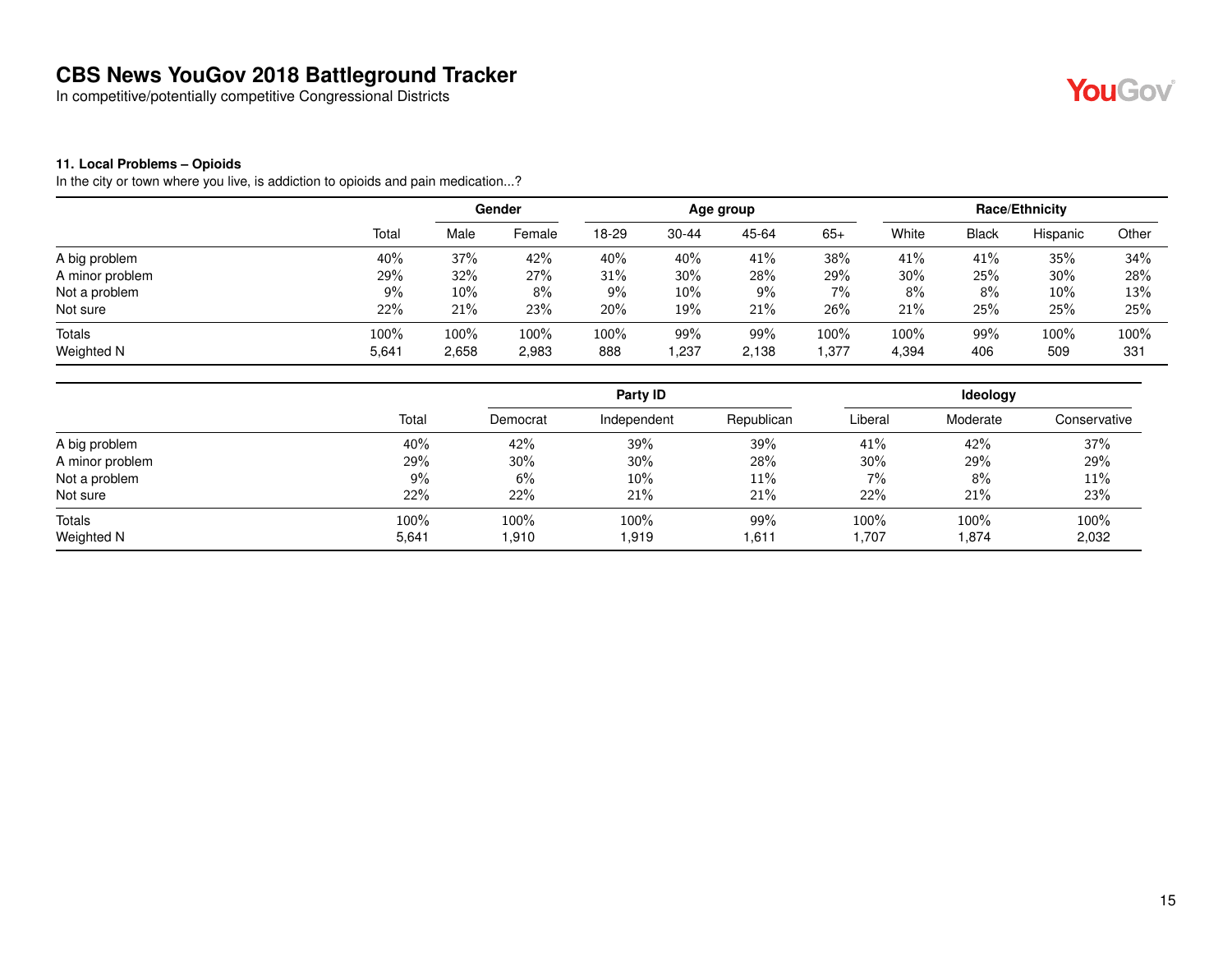In competitive/potentially competitive Congressional Districts



#### **11. Local Problems – Opioids**

In the city or town where you live, is addiction to opioids and pain medication...?

|                 |       |        | Gender  |       |           | Age group |         |       |              | Race/Ethnicity |       |
|-----------------|-------|--------|---------|-------|-----------|-----------|---------|-------|--------------|----------------|-------|
|                 | Total | Male   | Female  | 18-29 | $30 - 44$ | 45-64     | $65+$   | White | <b>Black</b> | Hispanic       | Other |
| A big problem   | 40%   | 37%    | 42%     | 40%   | 40%       | 41%       | 38%     | 41%   | 41%          | 35%            | 34%   |
| A minor problem | 29%   | 32%    | 27%     | 31%   | 30%       | 28%       | 29%     | 30%   | 25%          | 30%            | 28%   |
| Not a problem   | 9%    | $10\%$ | 8%      | 9%    | 10%       | 9%        | 7%      | 8%    | 8%           | 10%            | 13%   |
| Not sure        | 22%   | 21%    | 23%     | 20%   | 19%       | 21%       | 26%     | 21%   | 25%          | 25%            | 25%   |
| Totals          | 100%  | 100%   | $100\%$ | 100%  | 99%       | 99%       | $100\%$ | 100%  | 99%          | 100%           | 100%  |
| Weighted N      | 5,641 | 2,658  | 2,983   | 888   | . 237     | 2,138     | ,377    | 4,394 | 406          | 509            | 331   |

|                 |       |          | Party ID    |            |         | Ideology |              |
|-----------------|-------|----------|-------------|------------|---------|----------|--------------|
|                 | Total | Democrat | Independent | Republican | Liberal | Moderate | Conservative |
| A big problem   | 40%   | 42%      | 39%         | 39%        | 41%     | 42%      | 37%          |
| A minor problem | 29%   | 30%      | 30%         | 28%        | 30%     | 29%      | 29%          |
| Not a problem   | 9%    | 6%       | 10%         | 11%        | 7%      | 8%       | 11%          |
| Not sure        | 22%   | 22%      | 21%         | 21%        | 22%     | 21%      | 23%          |
| Totals          | 100%  | 100%     | 100%        | 99%        | 100%    | 100%     | 100%         |
| Weighted N      | 5,641 | 1,910    | 1.919       | 1,611      | 1,707   | .874     | 2,032        |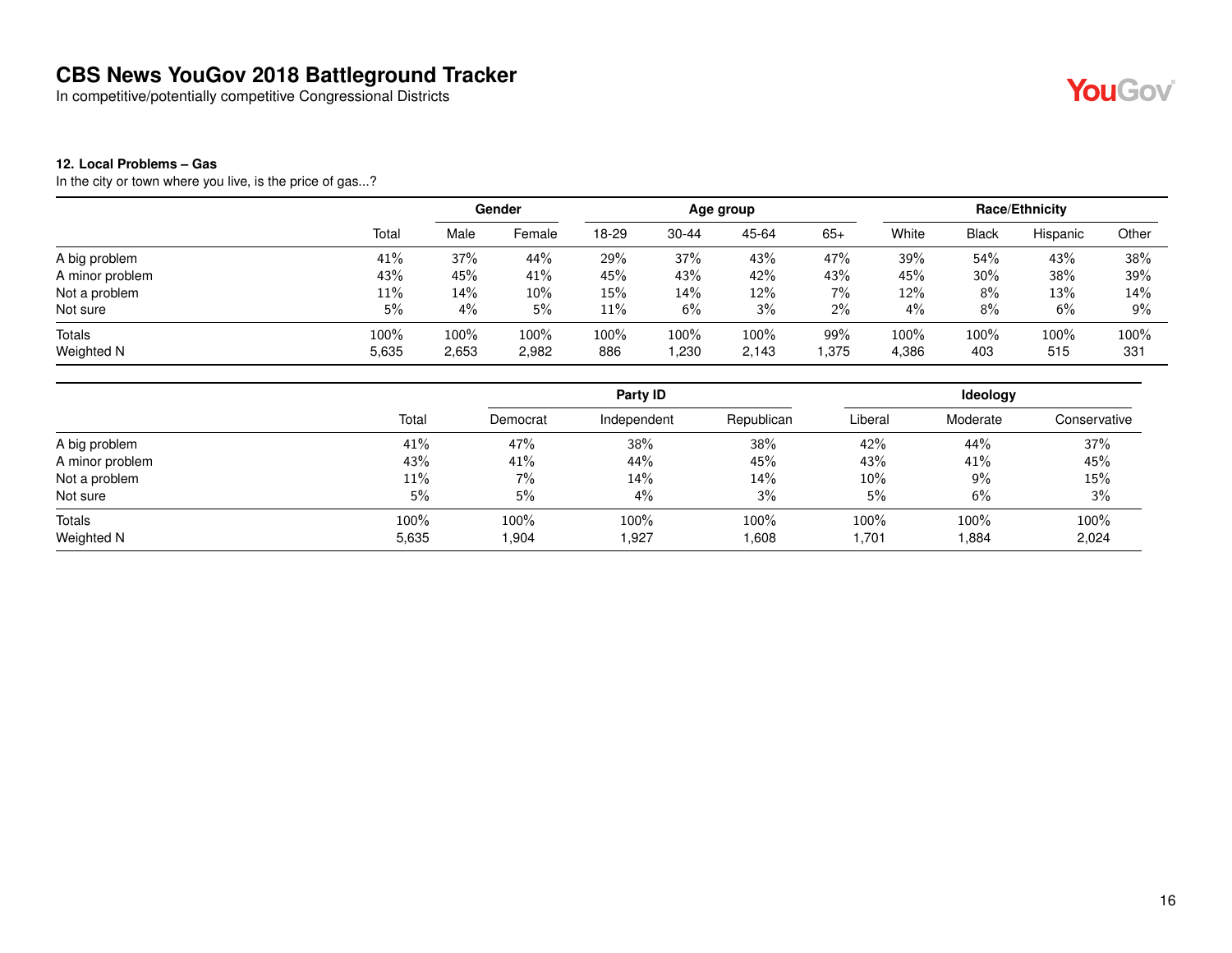In competitive/potentially competitive Congressional Districts

## YouGov®

#### **12. Local Problems – Gas**

In the city or town where you live, is the price of gas...?

|                 |       | Gender |        | Age group |           |       |       | Race/Ethnicity |              |          |       |
|-----------------|-------|--------|--------|-----------|-----------|-------|-------|----------------|--------------|----------|-------|
|                 | Total | Male   | Female | 18-29     | $30 - 44$ | 45-64 | $65+$ | White          | <b>Black</b> | Hispanic | Other |
| A big problem   | 41%   | 37%    | 44%    | 29%       | 37%       | 43%   | 47%   | 39%            | 54%          | 43%      | 38%   |
| A minor problem | 43%   | 45%    | 41%    | 45%       | 43%       | 42%   | 43%   | 45%            | 30%          | 38%      | 39%   |
| Not a problem   | 11%   | 14%    | 10%    | 15%       | 14%       | 12%   | 7%    | 12%            | 8%           | 13%      | 14%   |
| Not sure        | 5%    | 4%     | 5%     | 11%       | 6%        | 3%    | 2%    | 4%             | 8%           | 6%       | $9\%$ |
| Totals          | 100%  | 100%   | 100%   | 100%      | 100%      | 100%  | 99%   | 100%           | $100\%$      | 100%     | 100%  |
| Weighted N      | 5,635 | 2,653  | 2,982  | 886       | 1,230     | 2,143 | .375  | 4,386          | 403          | 515      | 331   |

|                 |       |          | Party ID    |            |         | Ideology |              |
|-----------------|-------|----------|-------------|------------|---------|----------|--------------|
|                 | Total | Democrat | Independent | Republican | Liberal | Moderate | Conservative |
| A big problem   | 41%   | 47%      | 38%         | 38%        | 42%     | 44%      | 37%          |
| A minor problem | 43%   | 41%      | 44%         | 45%        | 43%     | 41%      | 45%          |
| Not a problem   | 11%   | 7%       | 14%         | 14%        | 10%     | 9%       | 15%          |
| Not sure        | 5%    | 5%       | 4%          | 3%         | 5%      | 6%       | 3%           |
| Totals          | 100%  | 100%     | 100%        | 100%       | 100%    | 100%     | 100%         |
| Weighted N      | 5,635 | 1,904    | .927        | 1,608      | 1,701   | .884     | 2,024        |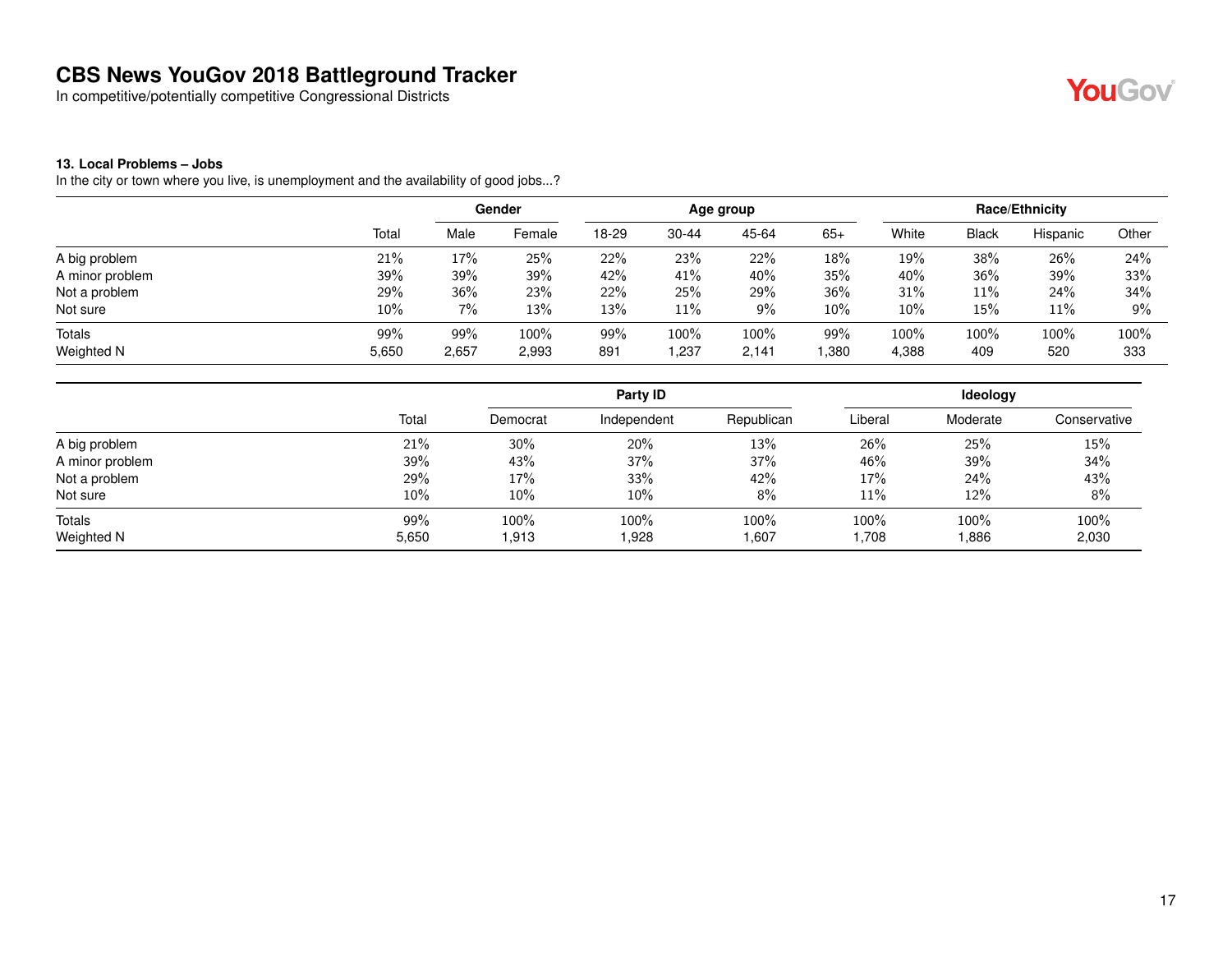In competitive/potentially competitive Congressional Districts



#### **13. Local Problems – Jobs**

In the city or town where you live, is unemployment and the availability of good jobs...?

| Total | Male  | Female | 18-29           | $30 - 44$ | 45-64 | $65+$              | White | <b>Black</b> | Hispanic | Other                 |
|-------|-------|--------|-----------------|-----------|-------|--------------------|-------|--------------|----------|-----------------------|
| 21%   | 17%   | 25%    | 22%             | 23%       | 22%   | 18%                | 19%   | 38%          | 26%      | 24%                   |
| 39%   | 39%   | 39%    | 42%             | 41%       | 40%   | 35%                | 40%   | 36%          | 39%      | 33%                   |
| 29%   | 36%   | 23%    | 22%             | 25%       | 29%   | 36%                | 31%   | 11%          | 24%      | 34%                   |
| 10%   | 7%    | 13%    | 13%             | 11%       | 9%    | 10%                | 10%   | 15%          | 11%      | $9\%$                 |
| 99%   | 99%   | 100%   | 99%             | 100%      | 100%  | 99%                | 100%  | 100%         | 100%     | 100%<br>333           |
|       | 5,650 | 2,657  | Gender<br>2,993 | 891       | 1,237 | Age group<br>2,141 | ,380  | 4,388        | 409      | Race/Ethnicity<br>520 |

|                 |       |          | Party ID    |            |         | Ideology |              |
|-----------------|-------|----------|-------------|------------|---------|----------|--------------|
|                 | Total | Democrat | Independent | Republican | Liberal | Moderate | Conservative |
| A big problem   | 21%   | 30%      | 20%         | 13%        | 26%     | 25%      | 15%          |
| A minor problem | 39%   | 43%      | 37%         | 37%        | 46%     | 39%      | 34%          |
| Not a problem   | 29%   | 17%      | 33%         | 42%        | 17%     | 24%      | 43%          |
| Not sure        | 10%   | 10%      | 10%         | 8%         | 11%     | 12%      | 8%           |
| Totals          | 99%   | 100%     | 100%        | 100%       | 100%    | 100%     | 100%         |
| Weighted N      | 5,650 | 1,913    | 1,928       | 1,607      | 1,708   | 886.     | 2,030        |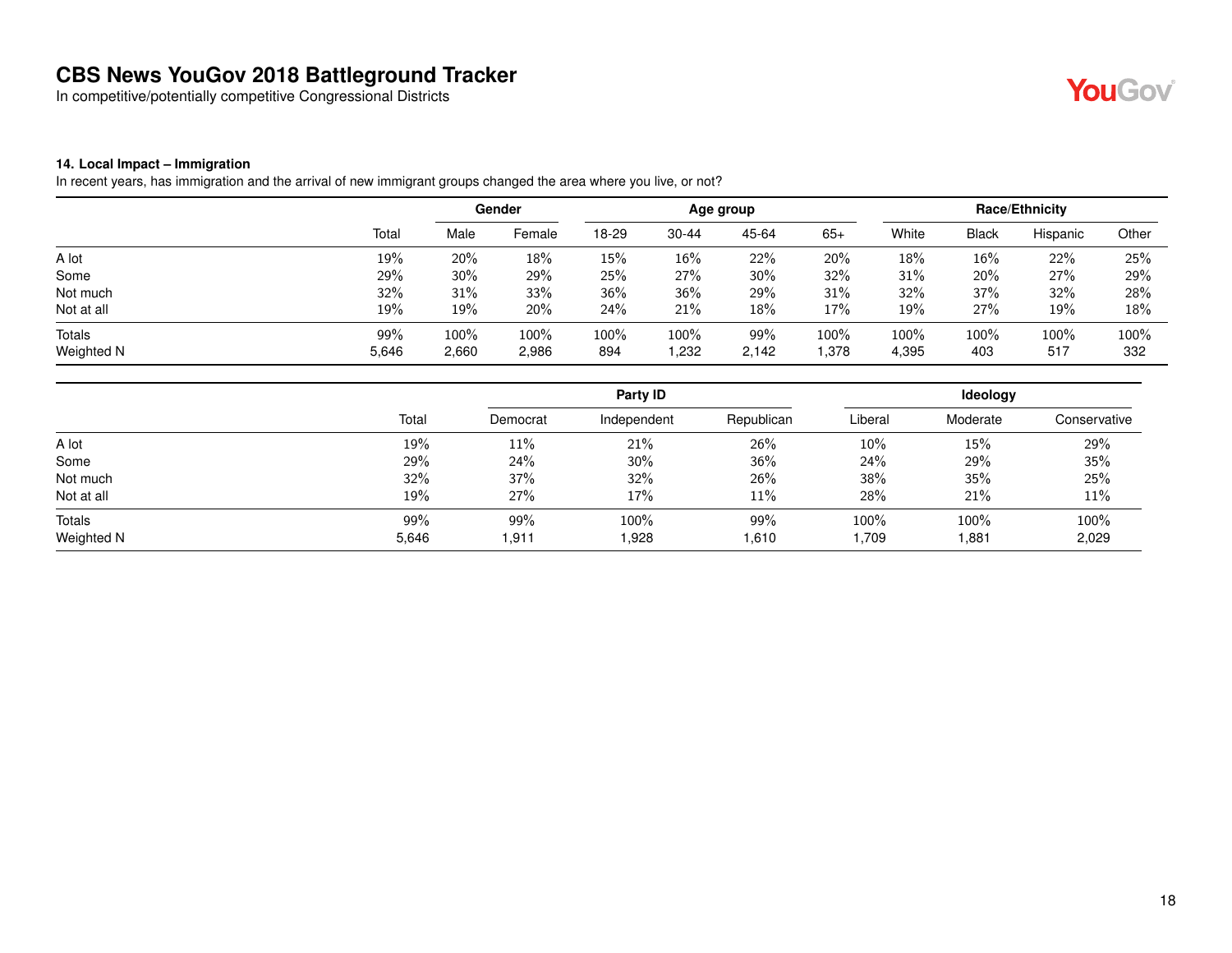In competitive/potentially competitive Congressional Districts



#### **14. Local Impact – Immigration**

In recent years, has immigration and the arrival of new immigrant groups changed the area where you live, or not?

|               |       |       | Gender |       |           | Age group |        |       |              | <b>Race/Ethnicity</b> |       |
|---------------|-------|-------|--------|-------|-----------|-----------|--------|-------|--------------|-----------------------|-------|
|               | Total | Male  | Female | 18-29 | $30 - 44$ | 45-64     | $65+$  | White | <b>Black</b> | Hispanic              | Other |
| A lot         | 19%   | 20%   | 18%    | 15%   | 16%       | 22%       | 20%    | 18%   | 16%          | 22%                   | 25%   |
| Some          | 29%   | 30%   | 29%    | 25%   | 27%       | 30%       | 32%    | 31%   | 20%          | 27%                   | 29%   |
| Not much      | 32%   | 31%   | 33%    | 36%   | 36%       | 29%       | 31%    | 32%   | 37%          | 32%                   | 28%   |
| Not at all    | 19%   | 19%   | 20%    | 24%   | 21%       | 18%       | 17%    | 19%   | 27%          | 19%                   | 18%   |
| <b>Totals</b> | 99%   | 100%  | 100%   | 100%  | 100%      | 99%       | 100%   | 100%  | 100%         | 100%                  | 100%  |
| Weighted N    | 5,646 | 2,660 | 2,986  | 894   | .232      | 2,142     | 378. ا | 4,395 | 403          | 517                   | 332   |

|            |       |          | Party ID    |            |         | <b>Ideology</b> |              |
|------------|-------|----------|-------------|------------|---------|-----------------|--------------|
|            | Total | Democrat | Independent | Republican | Liberal | Moderate        | Conservative |
| A lot      | 19%   | 11%      | 21%         | 26%        | 10%     | 15%             | 29%          |
| Some       | 29%   | 24%      | 30%         | 36%        | 24%     | 29%             | 35%          |
| Not much   | 32%   | 37%      | 32%         | 26%        | 38%     | 35%             | 25%          |
| Not at all | 19%   | 27%      | 17%         | 11%        | 28%     | 21%             | 11%          |
| Totals     | 99%   | 99%      | 100%        | 99%        | 100%    | 100%            | 100%         |
| Weighted N | 5,646 | 1.911    | .928        | 1,610      | 1,709   | .881            | 2,029        |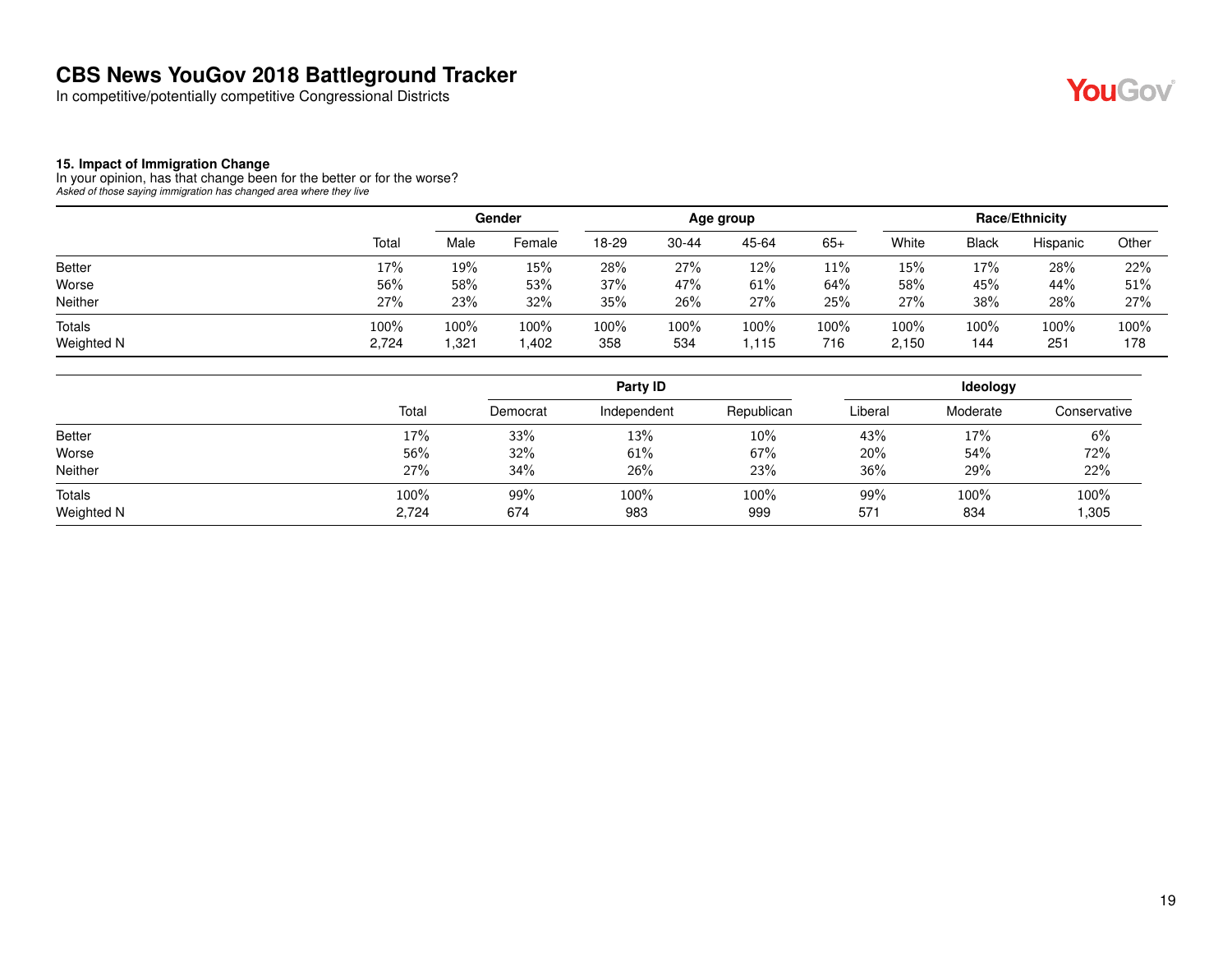In competitive/potentially competitive Congressional Districts



#### **15. Impact of Immigration Change**

In your opinion, has that change been for the better or for the worse? *Asked of those saying immigration has changed area where they live*

|                             |               |              | Gender        |             |             | Age group     |             |               |             | Race/Ethnicity |             |
|-----------------------------|---------------|--------------|---------------|-------------|-------------|---------------|-------------|---------------|-------------|----------------|-------------|
|                             | Total         | Male         | Female        | 18-29       | 30-44       | 45-64         | $65+$       | White         | Black       | Hispanic       | Other       |
| <b>Better</b>               | 17%           | 19%          | 15%           | 28%         | 27%         | 12%           | 11%         | 15%           | 17%         | 28%            | 22%         |
| Worse                       | 56%           | 58%          | 53%           | 37%         | 47%         | 61%           | 64%         | 58%           | 45%         | 44%            | 51%         |
| Neither                     | 27%           | 23%          | 32%           | 35%         | 26%         | 27%           | 25%         | 27%           | 38%         | 28%            | 27%         |
| <b>Totals</b><br>Weighted N | 100%<br>2,724 | 100%<br>.321 | 100%<br>1,402 | 100%<br>358 | 100%<br>534 | 100%<br>l.115 | 100%<br>716 | 100%<br>2,150 | 100%<br>144 | 100%<br>251    | 100%<br>178 |

|                      |               |            | Party ID    |             |            | ldeology    |              |  |  |
|----------------------|---------------|------------|-------------|-------------|------------|-------------|--------------|--|--|
|                      | Total         | Democrat   | Independent | Republican  | Liberal    | Moderate    | Conservative |  |  |
| <b>Better</b>        | 17%           | 33%        | 13%         | 10%         | 43%        | 17%         | 6%           |  |  |
| Worse                | 56%           | 32%        | 61%         | 67%         | 20%        | 54%         | 72%          |  |  |
| Neither              | 27%           | 34%        | 26%         | 23%         | 36%        | 29%         | 22%          |  |  |
| Totals<br>Weighted N | 100%<br>2,724 | 99%<br>674 | 100%<br>983 | 100%<br>999 | 99%<br>571 | 100%<br>834 | 100%<br>,305 |  |  |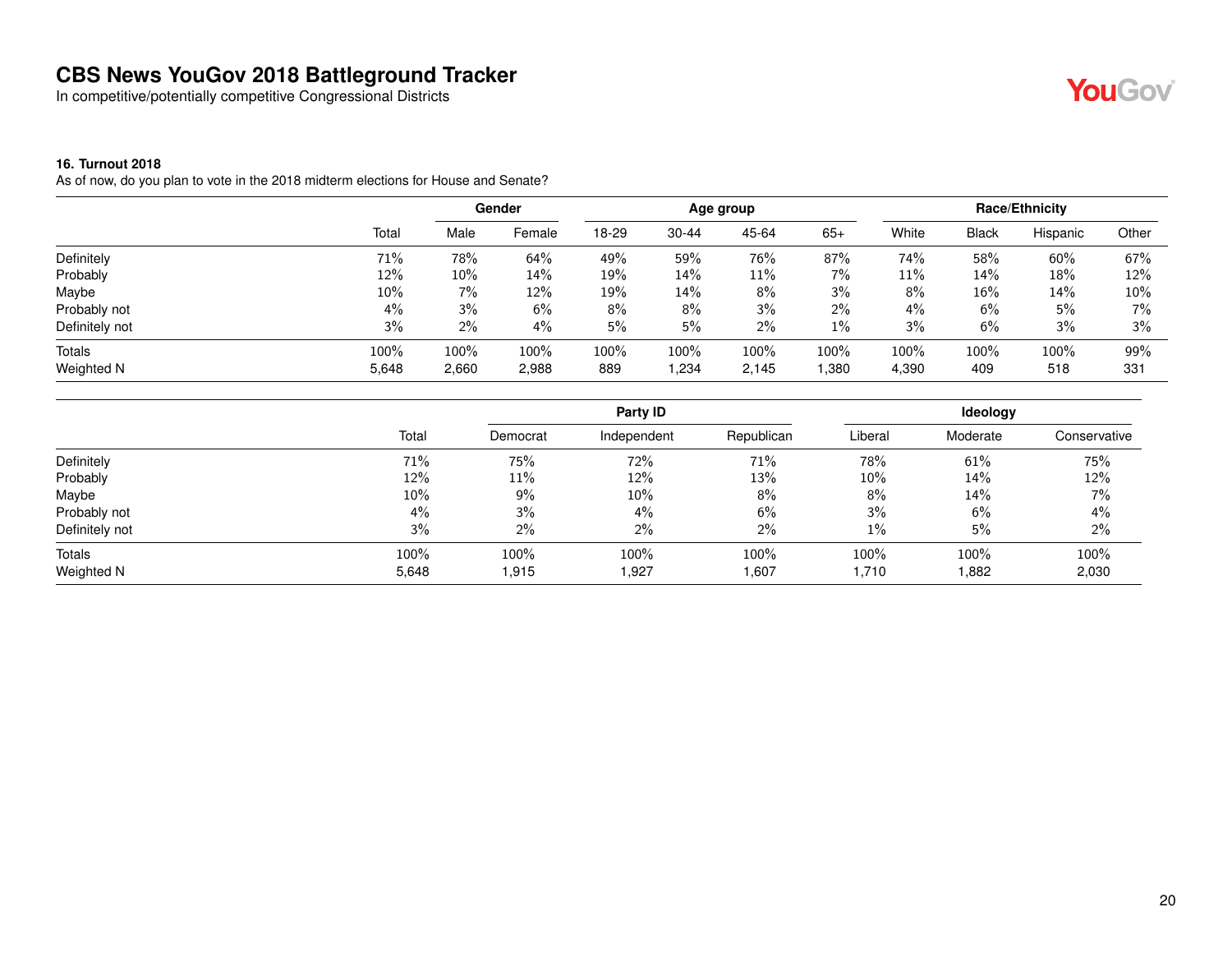In competitive/potentially competitive Congressional Districts

#### **16. Turnout 2018**

As of now, do you plan to vote in the 2018 midterm elections for House and Senate?

|                |       |        | Gender |       |           | Age group |       |        |              | Race/Ethnicity |       |
|----------------|-------|--------|--------|-------|-----------|-----------|-------|--------|--------------|----------------|-------|
|                | Total | Male   | Female | 18-29 | $30 - 44$ | 45-64     | $65+$ | White  | <b>Black</b> | Hispanic       | Other |
| Definitely     | 71%   | 78%    | 64%    | 49%   | 59%       | 76%       | 87%   | 74%    | 58%          | 60%            | 67%   |
| Probably       | 12%   | $10\%$ | 14%    | 19%   | 14%       | 11%       | $7\%$ | $11\%$ | 14%          | 18%            | 12%   |
| Maybe          | 10%   | 7%     | 12%    | 19%   | 14%       | 8%        | 3%    | 8%     | 16%          | 14%            | 10%   |
| Probably not   | 4%    | 3%     | 6%     | 8%    | 8%        | 3%        | $2\%$ | 4%     | 6%           | 5%             | 7%    |
| Definitely not | 3%    | 2%     | 4%     | 5%    | 5%        | 2%        | $1\%$ | 3%     | 6%           | 3%             | 3%    |
| Totals         | 100%  | 100%   | 100%   | 100%  | 100%      | 100%      | 100%  | 100%   | 100%         | 100%           | 99%   |
| Weighted N     | 5,648 | 2,660  | 2,988  | 889   | .234      | 2,145     | 1,380 | 4,390  | 409          | 518            | 331   |

|                |       |          | Party ID    |            |         | <b>Ideology</b> |              |
|----------------|-------|----------|-------------|------------|---------|-----------------|--------------|
|                | Total | Democrat | Independent | Republican | Liberal | Moderate        | Conservative |
| Definitely     | 71%   | 75%      | 72%         | 71%        | 78%     | 61%             | 75%          |
| Probably       | 12%   | 11%      | 12%         | 13%        | $10\%$  | 14%             | 12%          |
| Maybe          | 10%   | 9%       | 10%         | 8%         | 8%      | 14%             | 7%           |
| Probably not   | $4\%$ | 3%       | 4%          | 6%         | 3%      | 6%              | 4%           |
| Definitely not | 3%    | 2%       | 2%          | 2%         | 1%      | 5%              | 2%           |
| Totals         | 100%  | 100%     | 100%        | 100%       | 100%    | 100%            | 100%         |
| Weighted N     | 5,648 | 1,915    | 1,927       | 1,607      | 1,710   | 1,882           | 2,030        |



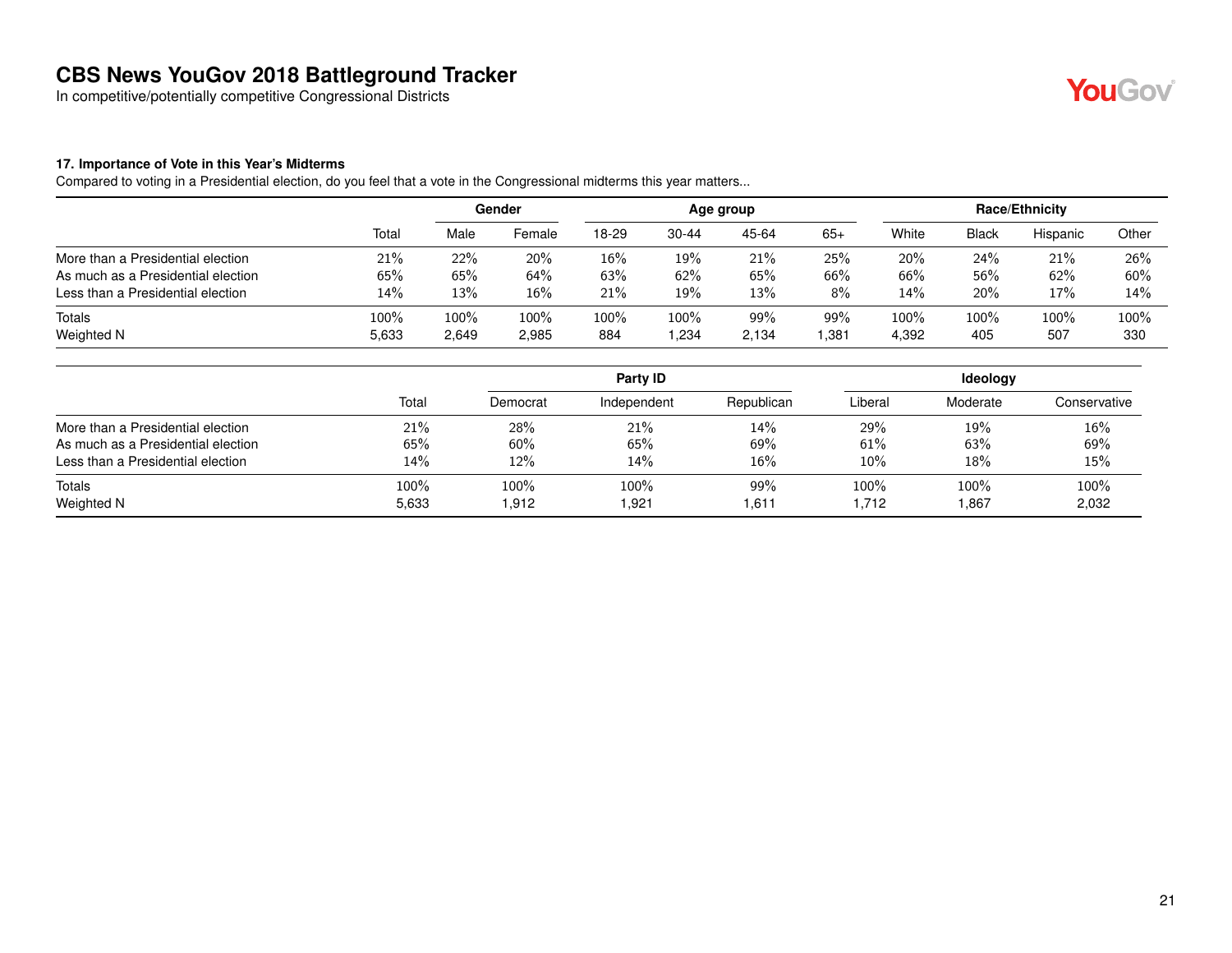In competitive/potentially competitive Congressional Districts



#### **17. Importance of Vote in this Year's Midterms**

Compared to voting in a Presidential election, do you feel that a vote in the Congressional midterms this year matters...

|                                    |       | Gender |        | Age group |           |       |       | <b>Race/Ethnicity</b> |              |          |       |
|------------------------------------|-------|--------|--------|-----------|-----------|-------|-------|-----------------------|--------------|----------|-------|
|                                    | Total | Male   | Female | 18-29     | $30 - 44$ | 45-64 | $65+$ | White                 | <b>Black</b> | Hispanic | Other |
| More than a Presidential election  | 21%   | 22%    | 20%    | 16%       | 19%       | 21%   | 25%   | 20%                   | 24%          | 21%      | 26%   |
| As much as a Presidential election | 65%   | 65%    | 64%    | 63%       | 62%       | 65%   | 66%   | 66%                   | 56%          | 62%      | 60%   |
| Less than a Presidential election  | 14%   | 13%    | 16%    | 21%       | 19%       | 13%   | 8%    | 14%                   | 20%          | 17%      | 14%   |
| <b>Totals</b>                      | 100%  | 100%   | 100%   | 100%      | 100%      | 99%   | 99%   | 100%                  | 100%         | 100%     | 100%  |
| Weighted N                         | 5,633 | 2,649  | 2,985  | 884       | ,234      | 2,134 | .381  | 4,392                 | 405          | 507      | 330   |

|                                    |       |          | Party ID    |            | Ideology |          |              |  |
|------------------------------------|-------|----------|-------------|------------|----------|----------|--------------|--|
|                                    | Total | Democrat | Independent | Republican | Liberal  | Moderate | Conservative |  |
| More than a Presidential election  | 21%   | 28%      | 21%         | 14%        | 29%      | 19%      | 16%          |  |
| As much as a Presidential election | 65%   | 60%      | 65%         | 69%        | 61%      | 63%      | 69%          |  |
| Less than a Presidential election  | 14%   | 12%      | 14%         | 16%        | 10%      | 18%      | 15%          |  |
| Totals                             | 100%  | 100%     | 100%        | 99%        | 100%     | 100%     | 100%         |  |
| Weighted N                         | 5,633 | 1,912    | 921.ا       | 611. ا     | 712.     | 1,867    | 2,032        |  |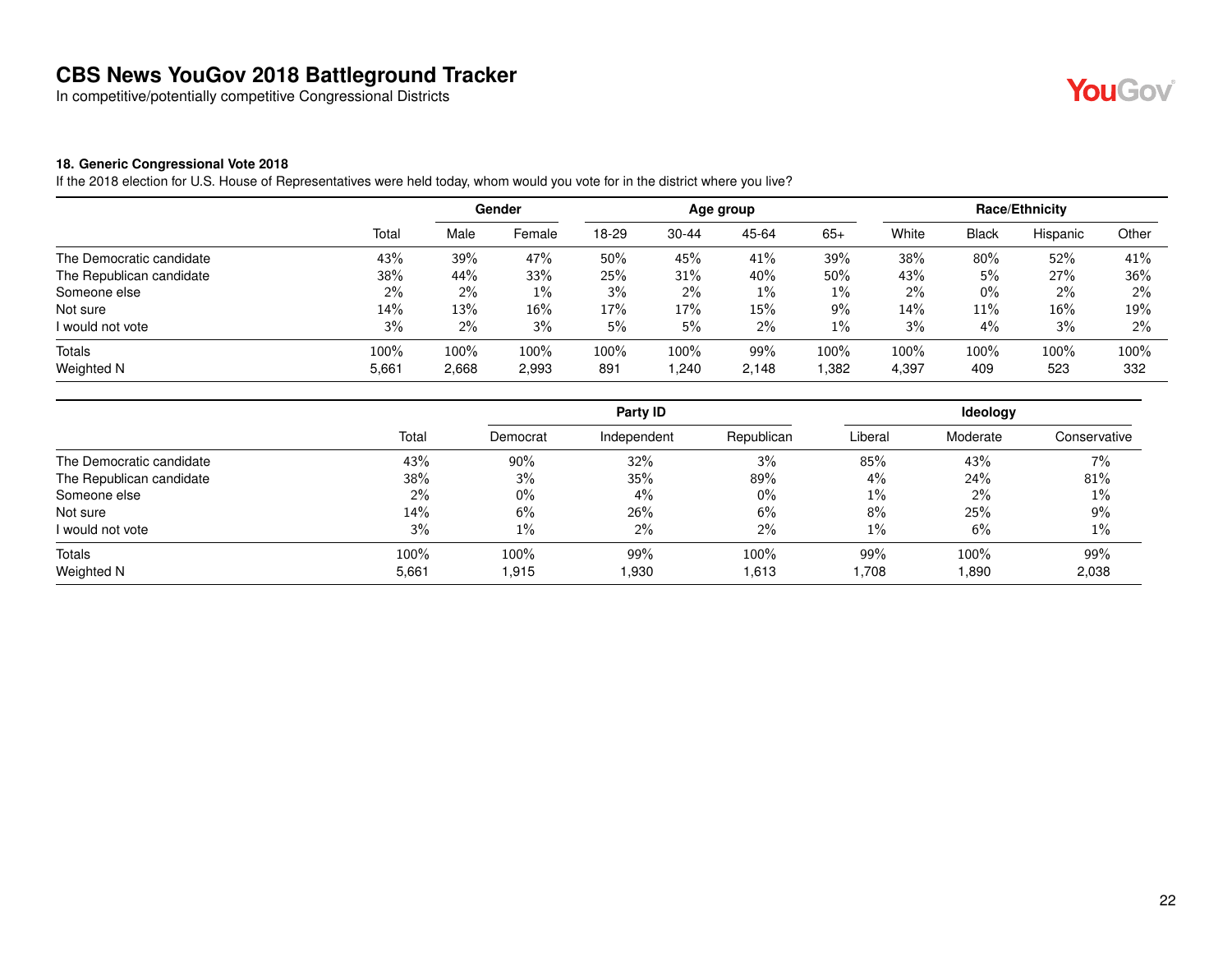In competitive/potentially competitive Congressional Districts



#### **18. Generic Congressional Vote 2018**

If the 2018 election for U.S. House of Representatives were held today, whom would you vote for in the district where you live?

|                          |       |       | Gender | Age group |           |       |       | <b>Race/Ethnicity</b> |              |          |       |
|--------------------------|-------|-------|--------|-----------|-----------|-------|-------|-----------------------|--------------|----------|-------|
|                          | Total | Male  | Female | 18-29     | $30 - 44$ | 45-64 | $65+$ | White                 | <b>Black</b> | Hispanic | Other |
| The Democratic candidate | 43%   | 39%   | 47%    | 50%       | 45%       | 41%   | 39%   | 38%                   | 80%          | 52%      | 41%   |
| The Republican candidate | 38%   | 44%   | 33%    | 25%       | 31%       | 40%   | 50%   | 43%                   | 5%           | 27%      | 36%   |
| Someone else             | 2%    | $2\%$ | $1\%$  | 3%        | 2%        | $1\%$ | $1\%$ | 2%                    | $0\%$        | 2%       | $2\%$ |
| Not sure                 | 14%   | 13%   | 16%    | 17%       | 17%       | 15%   | 9%    | 14%                   | 11%          | 16%      | 19%   |
| I would not vote         | 3%    | 2%    | 3%     | 5%        | 5%        | $2\%$ | 1%    | 3%                    | 4%           | 3%       | $2\%$ |
| Totals                   | 100%  | 100%  | 100%   | 100%      | 100%      | 99%   | 100%  | 100%                  | 100%         | 100%     | 100%  |
| Weighted N               | 5,661 | 2,668 | 2,993  | 891       | 1,240     | 2,148 | .382  | 4,397                 | 409          | 523      | 332   |

|                          |       |          | Party ID    |            |         | Ideology |              |  |  |
|--------------------------|-------|----------|-------------|------------|---------|----------|--------------|--|--|
|                          | Total | Democrat | Independent | Republican | Liberal | Moderate | Conservative |  |  |
| The Democratic candidate | 43%   | 90%      | 32%         | 3%         | 85%     | 43%      | 7%           |  |  |
| The Republican candidate | 38%   | 3%       | 35%         | 89%        | $4\%$   | 24%      | 81%          |  |  |
| Someone else             | $2\%$ | $0\%$    | $4\%$       | $0\%$      | $1\%$   | $2\%$    | 1%           |  |  |
| Not sure                 | 14%   | 6%       | 26%         | $6\%$      | 8%      | 25%      | 9%           |  |  |
| I would not vote         | 3%    | $1\%$    | $2\%$       | $2\%$      | $1\%$   | 6%       | 1%           |  |  |
| Totals                   | 100%  | 100%     | 99%         | 100%       | 99%     | 100%     | 99%          |  |  |
| Weighted N               | 5,661 | 1.915    | 1,930       | 1,613      | 1,708   | ,890     | 2,038        |  |  |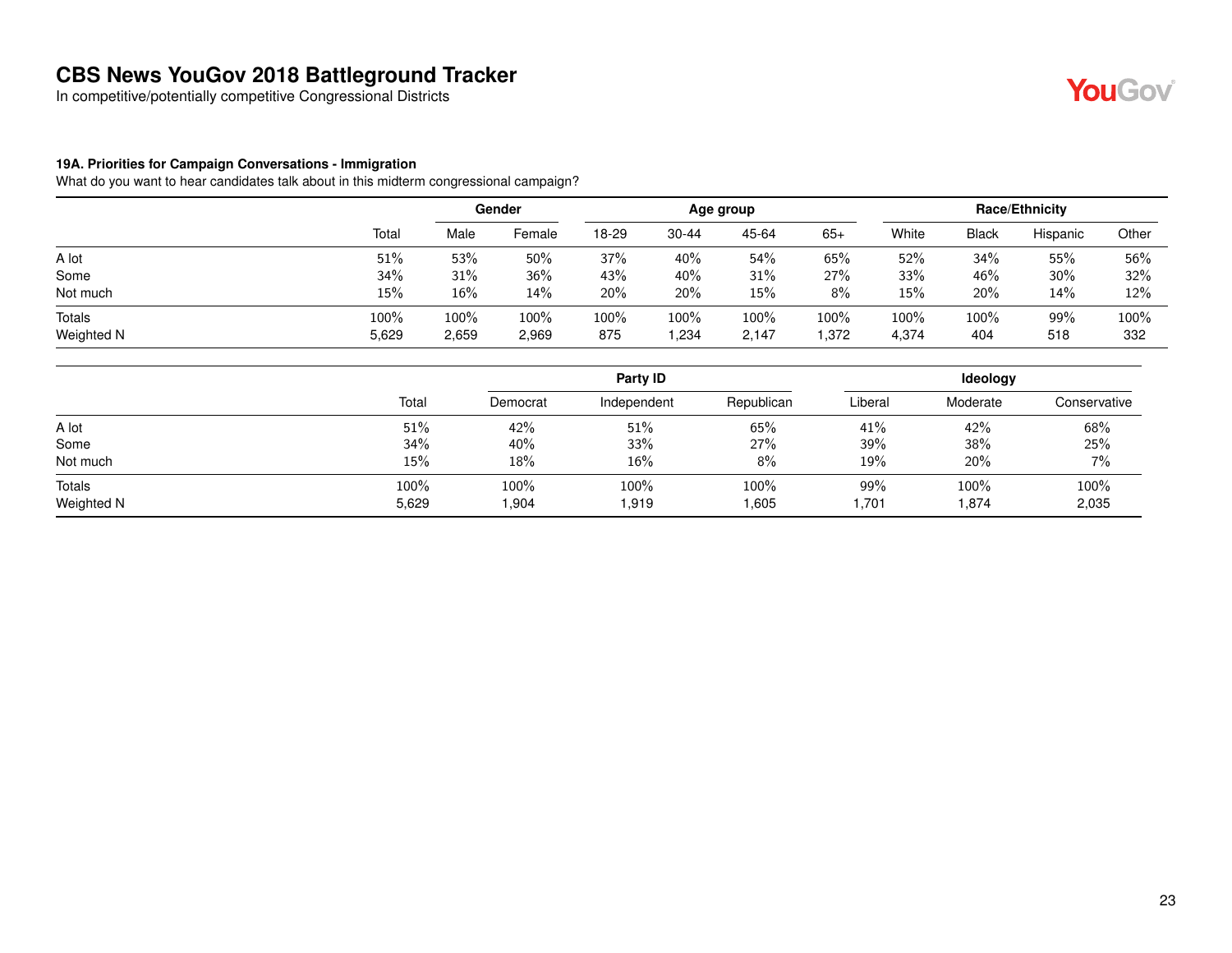In competitive/potentially competitive Congressional Districts

## YouGov®

#### **19A. Priorities for Campaign Conversations - Immigration**

|               |       |       | Gender |       |           | Age group |       |       |              | Race/Ethnicity |         |
|---------------|-------|-------|--------|-------|-----------|-----------|-------|-------|--------------|----------------|---------|
|               | Total | Male  | Female | 18-29 | $30 - 44$ | 45-64     | $65+$ | White | <b>Black</b> | Hispanic       | Other   |
| A lot         | 51%   | 53%   | 50%    | 37%   | 40%       | 54%       | 65%   | 52%   | 34%          | 55%            | 56%     |
| Some          | 34%   | 31%   | 36%    | 43%   | 40%       | 31%       | 27%   | 33%   | 46%          | $30\%$         | 32%     |
| Not much      | 15%   | 16%   | 14%    | 20%   | 20%       | $15\%$    | 8%    | 15%   | 20%          | 14%            | 12%     |
| <b>Totals</b> | 100%  | 100%  | 100%   | 100%  | 100%      | 100%      | 100%  | 100%  | 100%         | 99%            | $100\%$ |
| Weighted N    | 5,629 | 2,659 | 2,969  | 875   | .234،     | 2,147     | .372  | 4,374 | 404          | 518            | 332     |

|                      |               |              | Party ID      |               | <b>Ideology</b> |               |               |  |
|----------------------|---------------|--------------|---------------|---------------|-----------------|---------------|---------------|--|
|                      | Total         | Democrat     | Independent   | Republican    | Liberal         | Moderate      | Conservative  |  |
| A lot                | 51%           | 42%          | 51%           | 65%           | 41%             | 42%           | 68%           |  |
| Some                 | 34%           | 40%          | 33%           | 27%           | 39%             | 38%           | 25%           |  |
| Not much             | 15%           | 18%          | 16%           | 8%            | 19%             | 20%           | 7%            |  |
| Totals<br>Weighted N | 100%<br>5,629 | 100%<br>.904 | 100%<br>1,919 | 100%<br>1,605 | 99%<br>1,701    | 100%<br>1,874 | 100%<br>2,035 |  |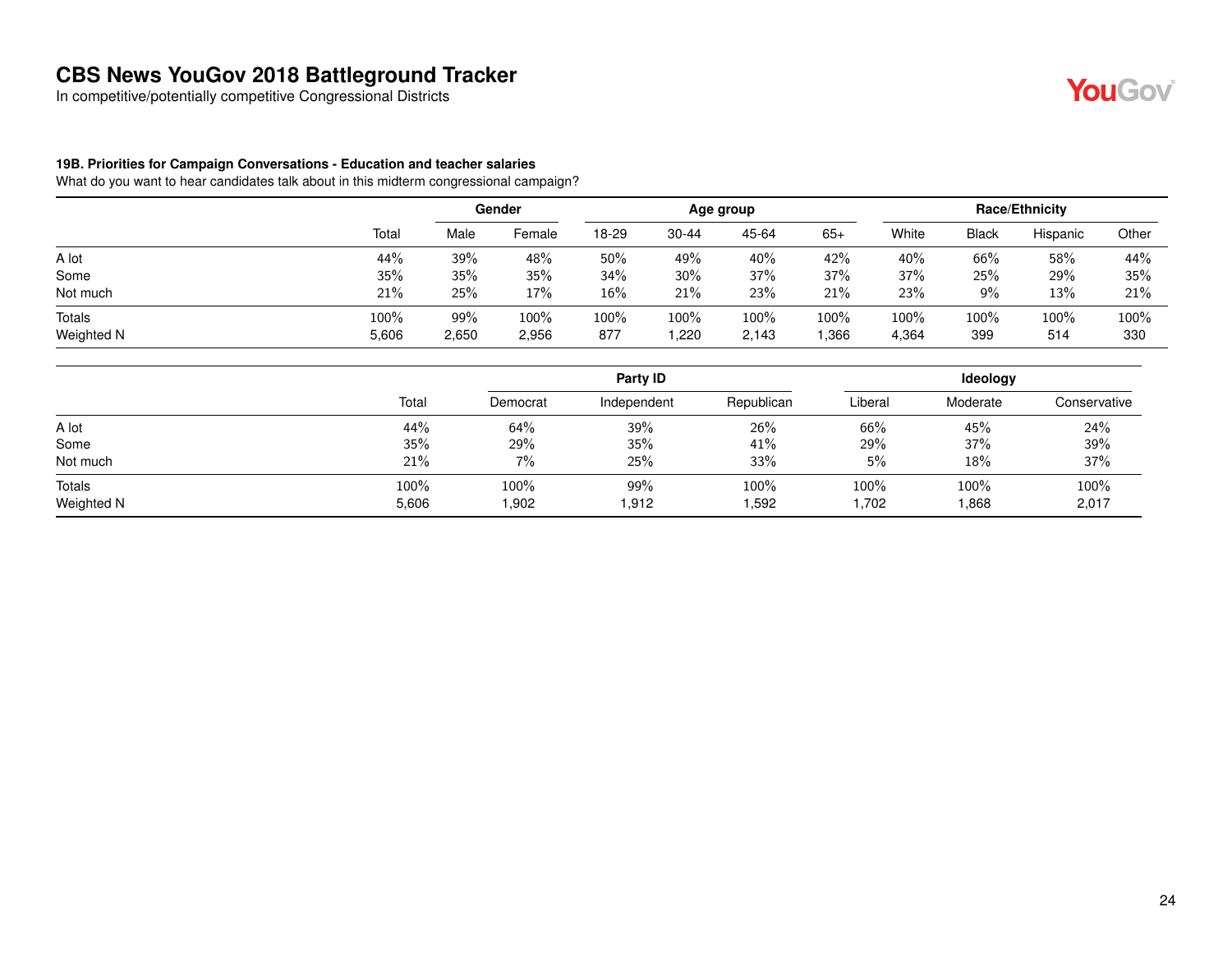In competitive/potentially competitive Congressional Districts

#### **19B. Priorities for Campaign Conversations - Education and teacher salaries**

|               |       |       | Gender |        |       | Age group |        |       |       | <b>Race/Ethnicity</b> |       |
|---------------|-------|-------|--------|--------|-------|-----------|--------|-------|-------|-----------------------|-------|
|               | Total | Male  | Female | 18-29  | 30-44 | 45-64     | $65+$  | White | Black | Hispanic              | Other |
| A lot         | 44%   | 39%   | 48%    | 50%    | 49%   | 40%       | 42%    | 40%   | 66%   | 58%                   | 44%   |
| Some          | 35%   | 35%   | 35%    | 34%    | 30%   | 37%       | 37%    | 37%   | 25%   | 29%                   | 35%   |
| Not much      | 21%   | 25%   | 17%    | $16\%$ | 21%   | 23%       | 21%    | 23%   | 9%    | 13%                   | 21%   |
| <b>Totals</b> | 100%  | 99%   | 100%   | 100%   | 100%  | 100%      | 100%   | 100%  | 100%  | 100%                  | 100%  |
| Weighted N    | 5,606 | 2,650 | 2,956  | 877    | ,220  | 2,143     | 366. ا | 4,364 | 399   | 514                   | 330   |

|                      |               |              | Party ID     |               |              | Ideology      |               |  |
|----------------------|---------------|--------------|--------------|---------------|--------------|---------------|---------------|--|
|                      | Total         | Democrat     | Independent  | Republican    | Liberal      | Moderate      | Conservative  |  |
| A lot                | 44%           | 64%          | 39%          | 26%           | 66%          | 45%           | 24%           |  |
| Some                 | 35%           | 29%          | 35%          | 41%           | 29%          | 37%           | 39%           |  |
| Not much             | 21%           | 7%           | 25%          | 33%           | 5%           | 18%           | 37%           |  |
| Totals<br>Weighted N | 100%<br>5,606 | 100%<br>.902 | 99%<br>1,912 | 100%<br>1,592 | 100%<br>.702 | 100%<br>1,868 | 100%<br>2,017 |  |

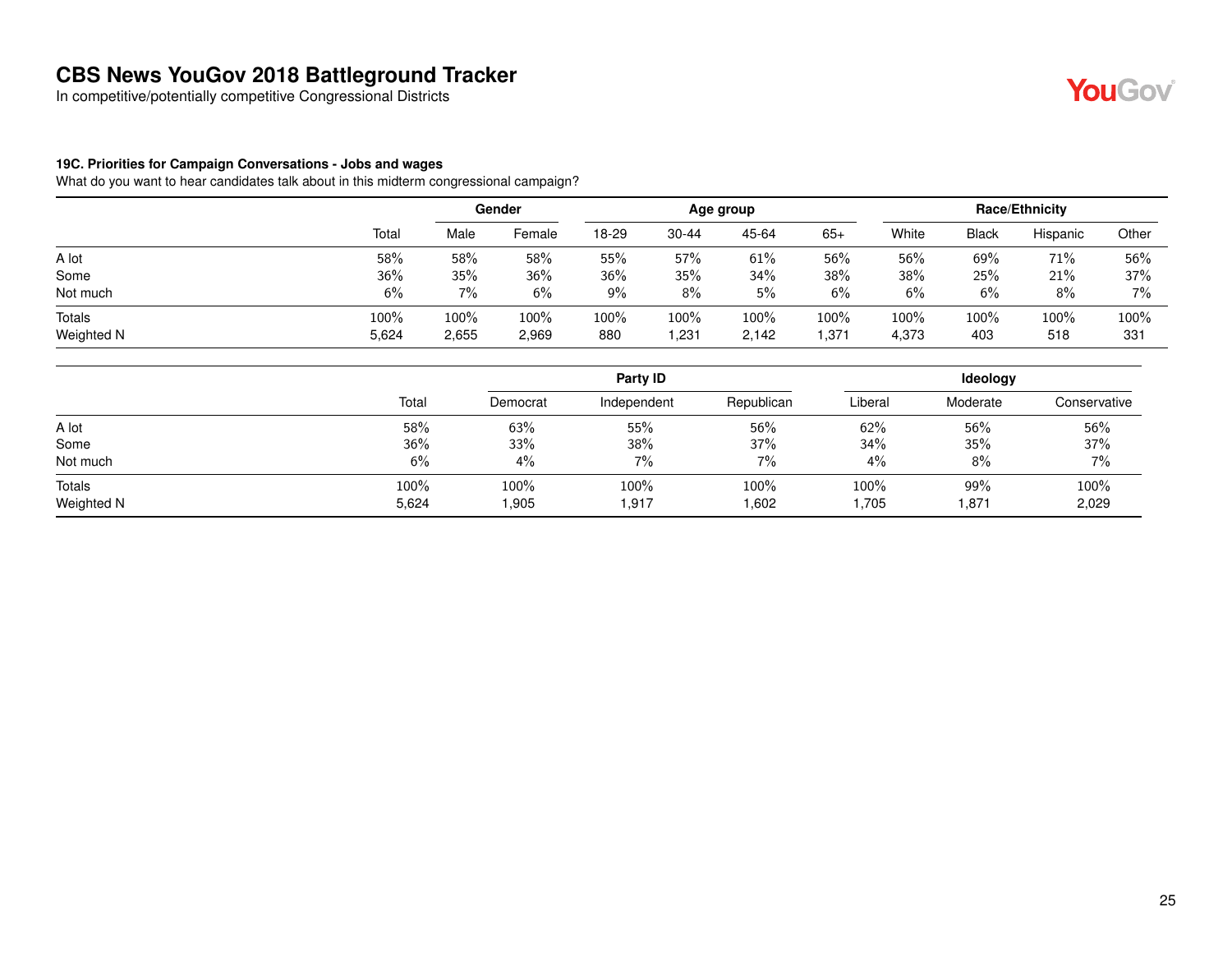In competitive/potentially competitive Congressional Districts

#### **19C. Priorities for Campaign Conversations - Jobs and wages**

|               |       |       | Gender | Age group |           |       |       | <b>Race/Ethnicity</b> |       |          |       |
|---------------|-------|-------|--------|-----------|-----------|-------|-------|-----------------------|-------|----------|-------|
|               | Total | Male  | Female | 18-29     | $30 - 44$ | 45-64 | $65+$ | White                 | Black | Hispanic | Other |
| A lot         | 58%   | 58%   | 58%    | 55%       | 57%       | 61%   | 56%   | 56%                   | 69%   | 71%      | 56%   |
| Some          | 36%   | 35%   | 36%    | 36%       | 35%       | 34%   | 38%   | 38%                   | 25%   | 21%      | 37%   |
| Not much      | 6%    | $7\%$ | 6%     | 9%        | 8%        | 5%    | 6%    | 6%                    | 6%    | 8%       | 7%    |
| <b>Totals</b> | 100%  | 100%  | 100%   | 100%      | 100%      | 100%  | 100%  | 100%                  | 100%  | 100%     | 100%  |
| Weighted N    | 5,624 | 2,655 | 2,969  | 880       | .231      | 2,142 | 371.، | 4,373                 | 403   | 518      | 331   |

|                      |               | Party ID       |               |               | Ideology     |              |               |  |
|----------------------|---------------|----------------|---------------|---------------|--------------|--------------|---------------|--|
|                      | Total         | Democrat       | Independent   | Republican    | Liberal      | Moderate     | Conservative  |  |
| A lot                | 58%           | 63%            | 55%           | 56%           | 62%          | 56%          | 56%           |  |
| Some                 | 36%           | 33%            | 38%           | 37%           | 34%          | 35%          | 37%           |  |
| Not much             | 6%            | 4%             | 7%            | 7%            | 4%           | 8%           | $7\%$         |  |
| Totals<br>Weighted N | 100%<br>5,624 | 100%<br>905. ا | 100%<br>1,917 | 100%<br>1,602 | 100%<br>.705 | 99%<br>1,871 | 100%<br>2,029 |  |

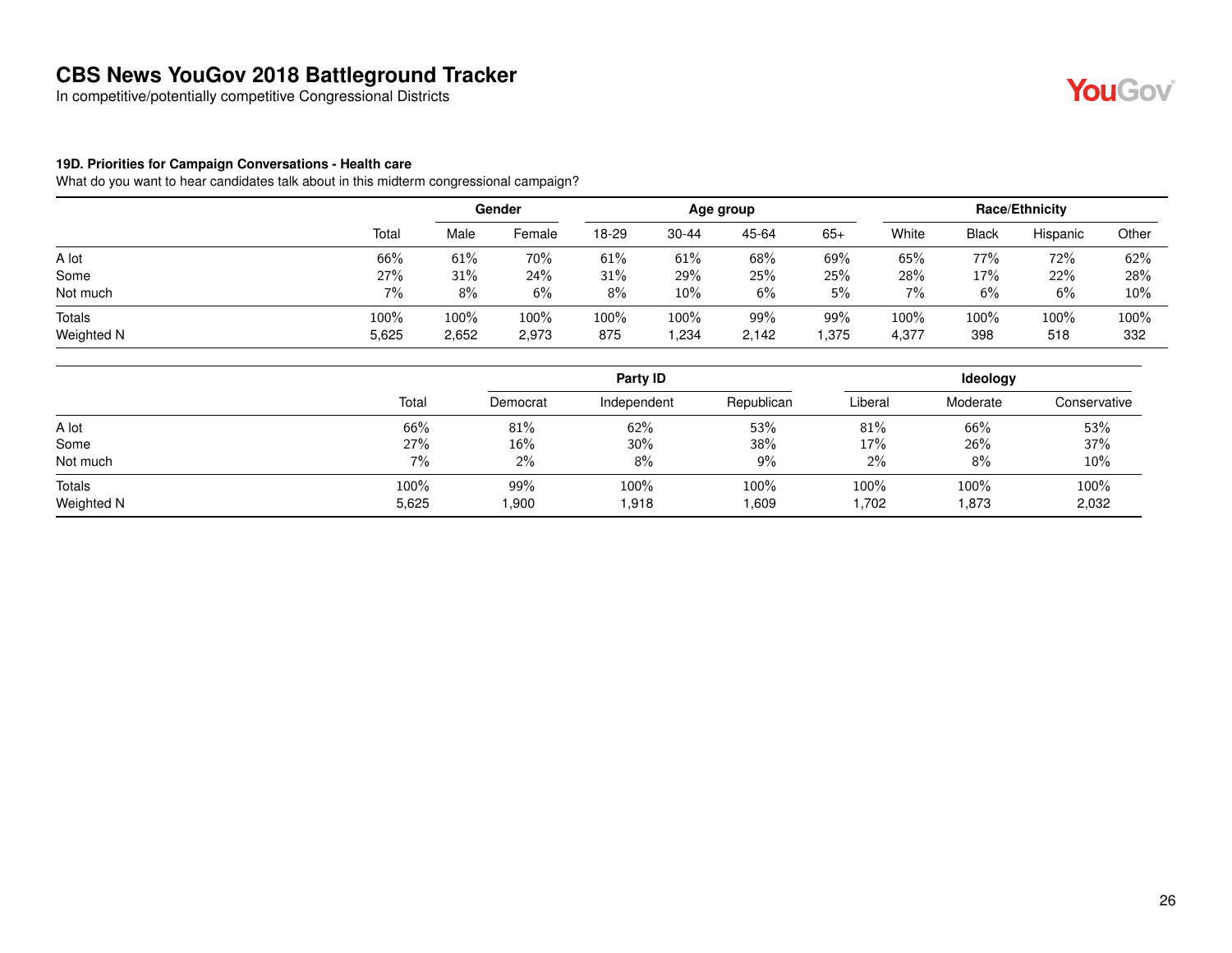In competitive/potentially competitive Congressional Districts

## **YouGov**

#### **19D. Priorities for Campaign Conversations - Health care**

|               |       | Gender |        | Age group |           |       |       | <b>Race/Ethnicity</b> |              |          |         |
|---------------|-------|--------|--------|-----------|-----------|-------|-------|-----------------------|--------------|----------|---------|
|               | Total | Male   | Female | 18-29     | $30 - 44$ | 45-64 | $65+$ | White                 | <b>Black</b> | Hispanic | Other   |
| A lot         | 66%   | 61%    | 70%    | 61%       | 61%       | 68%   | 69%   | 65%                   | 77%          | 72%      | 62%     |
| Some          | 27%   | 31%    | 24%    | 31%       | 29%       | 25%   | 25%   | 28%                   | 17%          | 22%      | 28%     |
| Not much      | $7\%$ | 8%     | 6%     | 8%        | 10%       | 6%    | 5%    | 7%                    | 6%           | 6%       | 10%     |
| <b>Totals</b> | 100%  | 100%   | 100%   | 100%      | 100%      | 99%   | 99%   | 100%                  | 100%         | 100%     | $100\%$ |
| Weighted N    | 5,625 | 2,652  | 2,973  | 875       | .234،     | 2,142 | .375  | 4,377                 | 398          | 518      | 332     |

|                      |               |             | Party ID      |               | <b>Ideology</b> |               |               |  |  |
|----------------------|---------------|-------------|---------------|---------------|-----------------|---------------|---------------|--|--|
|                      | Total         | Democrat    | Independent   | Republican    | Liberal         | Moderate      | Conservative  |  |  |
| A lot                | 66%           | 81%         | 62%           | 53%           | 81%             | 66%           | 53%           |  |  |
| Some                 | 27%           | 16%         | 30%           | 38%           | 17%             | 26%           | 37%           |  |  |
| Not much             | 7%            | 2%          | 8%            | 9%            | 2%              | 8%            | 10%           |  |  |
| Totals<br>Weighted N | 100%<br>5,625 | 99%<br>900. | 100%<br>1,918 | 100%<br>1,609 | 100%<br>702. ا  | 100%<br>1,873 | 100%<br>2,032 |  |  |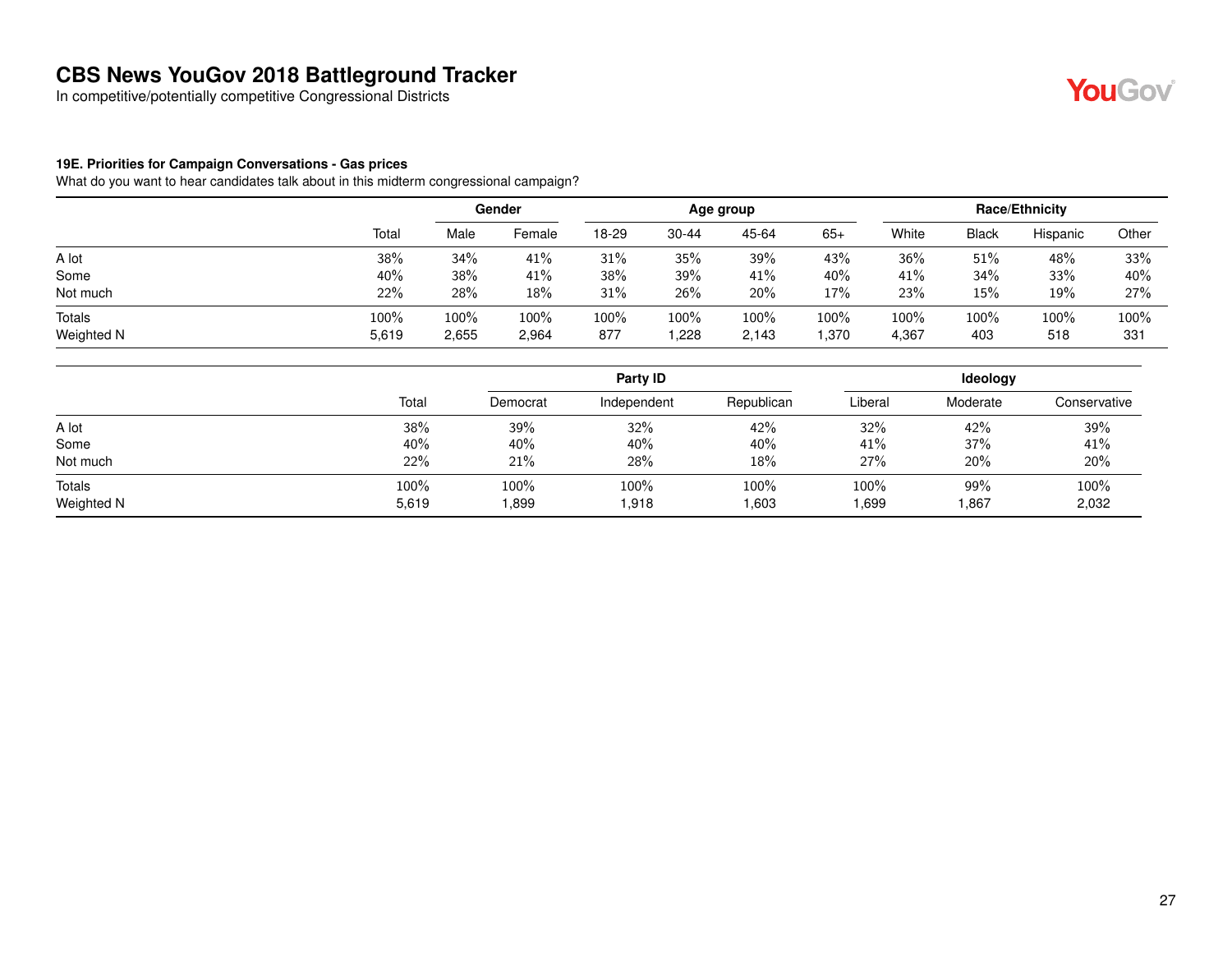In competitive/potentially competitive Congressional Districts

## YouGov®

#### **19E. Priorities for Campaign Conversations - Gas prices**

|               |       | Gender |        | Age group |           |       |       | <b>Race/Ethnicity</b> |              |          |         |
|---------------|-------|--------|--------|-----------|-----------|-------|-------|-----------------------|--------------|----------|---------|
|               | Total | Male   | Female | 18-29     | $30 - 44$ | 45-64 | $65+$ | White                 | <b>Black</b> | Hispanic | Other   |
| A lot         | 38%   | 34%    | 41%    | 31%       | 35%       | 39%   | 43%   | 36%                   | 51%          | 48%      | 33%     |
| Some          | 40%   | 38%    | 41%    | 38%       | 39%       | 41%   | 40%   | 41%                   | 34%          | 33%      | 40%     |
| Not much      | 22%   | 28%    | 18%    | 31%       | 26%       | 20%   | 17%   | 23%                   | 15%          | 19%      | 27%     |
| <b>Totals</b> | 100%  | 100%   | 100%   | 100%      | $100\%$   | 100%  | 100%  | 100%                  | $100\%$      | 100%     | $100\%$ |
| Weighted N    | 5,619 | 2,655  | 2,964  | 877       | .228      | 2,143 | ,370  | 4,367                 | 403          | 518      | 331     |

|       | Party ID |             |            | <b>Ideology</b> |          |               |  |
|-------|----------|-------------|------------|-----------------|----------|---------------|--|
| Total | Democrat | Independent | Republican | Liberal         | Moderate | Conservative  |  |
| 38%   | 39%      | 32%         | 42%        | 32%             | 42%      | 39%           |  |
| 40%   | 40%      | 40%         | 40%        | 41%             | 37%      | 41%           |  |
| 22%   | 21%      | 28%         | 18%        | 27%             | 20%      | 20%           |  |
| 100%  | 100%     | 100%        | 100%       | 100%            | 99%      | 100%<br>2,032 |  |
|       | 5,619    | .899        | 1,918      | 1,603           | .699     | 867,          |  |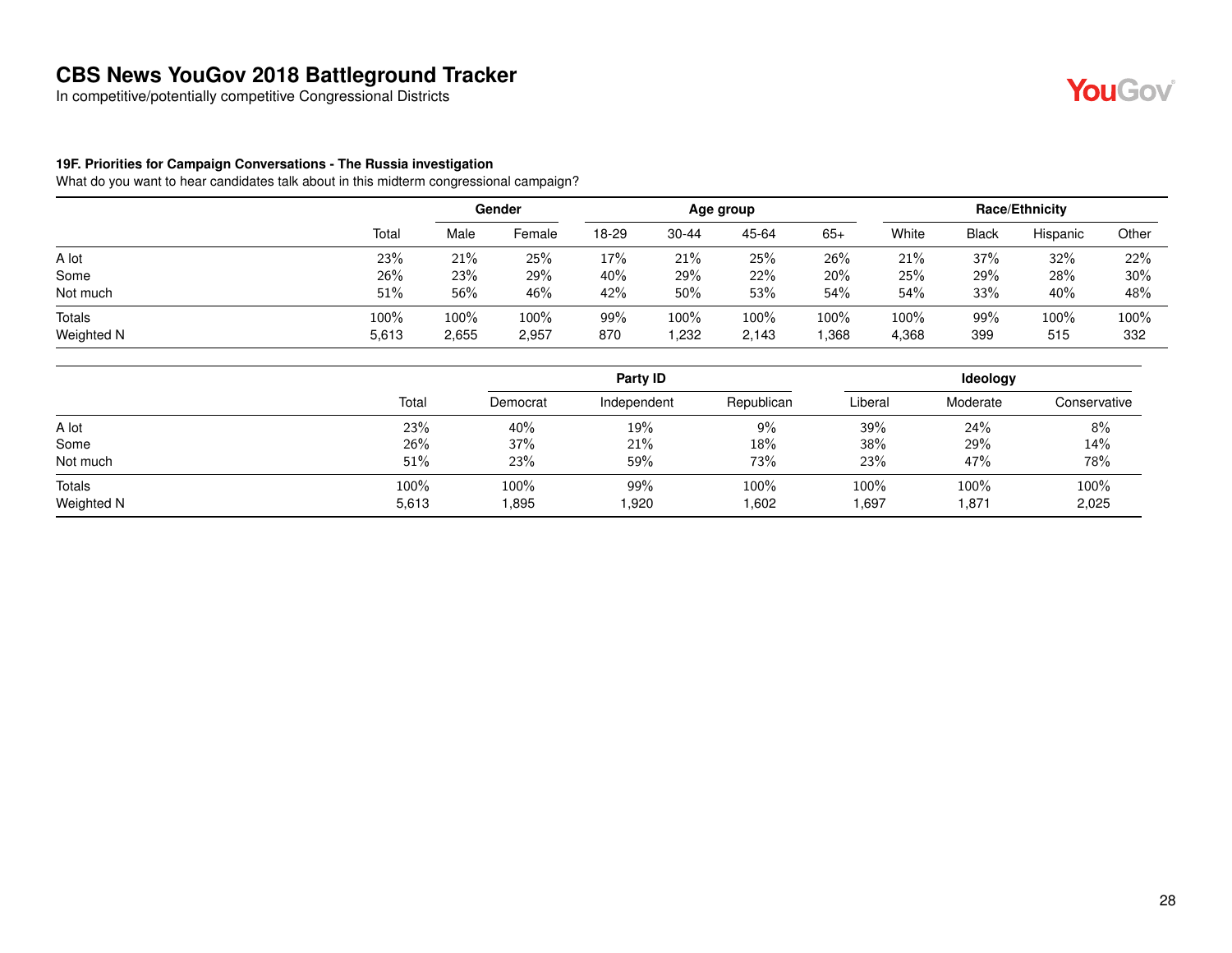In competitive/potentially competitive Congressional Districts

#### **19F. Priorities for Campaign Conversations - The Russia investigation**

What do you want to hear candidates talk about in this midterm congressional campaign?

|            |       | Gender |        | Age group |           |       |       | <b>Race/Ethnicity</b> |       |          |       |
|------------|-------|--------|--------|-----------|-----------|-------|-------|-----------------------|-------|----------|-------|
|            | Total | Male   | Female | 18-29     | $30 - 44$ | 45-64 | $65+$ | White                 | Black | Hispanic | Other |
| A lot      | 23%   | 21%    | 25%    | 17%       | 21%       | 25%   | 26%   | 21%                   | 37%   | 32%      | 22%   |
| Some       | 26%   | 23%    | 29%    | 40%       | 29%       | 22%   | 20%   | 25%                   | 29%   | 28%      | 30%   |
| Not much   | 51%   | 56%    | 46%    | 42%       | 50%       | 53%   | 54%   | 54%                   | 33%   | 40%      | 48%   |
| Totals     | 100%  | 100%   | 100%   | 99%       | 100%      | 100%  | 100%  | 100%                  | 99%   | 100%     | 100%  |
| Weighted N | 5,613 | 2,655  | 2,957  | 870       | ,232      | 2,143 | .368  | 4,368                 | 399   | 515      | 332   |

|                      |               |              | Party ID     |               |               | Ideology      |               |
|----------------------|---------------|--------------|--------------|---------------|---------------|---------------|---------------|
|                      | Total         | Democrat     | Independent  | Republican    | Liberal       | Moderate      | Conservative  |
| A lot                | 23%           | 40%          | 19%          | 9%            | 39%           | 24%           | 8%            |
| Some                 | 26%           | 37%          | 21%          | 18%           | 38%           | 29%           | 14%           |
| Not much             | 51%           | 23%          | 59%          | 73%           | 23%           | 47%           | 78%           |
| Totals<br>Weighted N | 100%<br>5,613 | 100%<br>.895 | 99%<br>1,920 | 100%<br>1,602 | 100%<br>1,697 | 100%<br>1,871 | 100%<br>2,025 |

YouGov®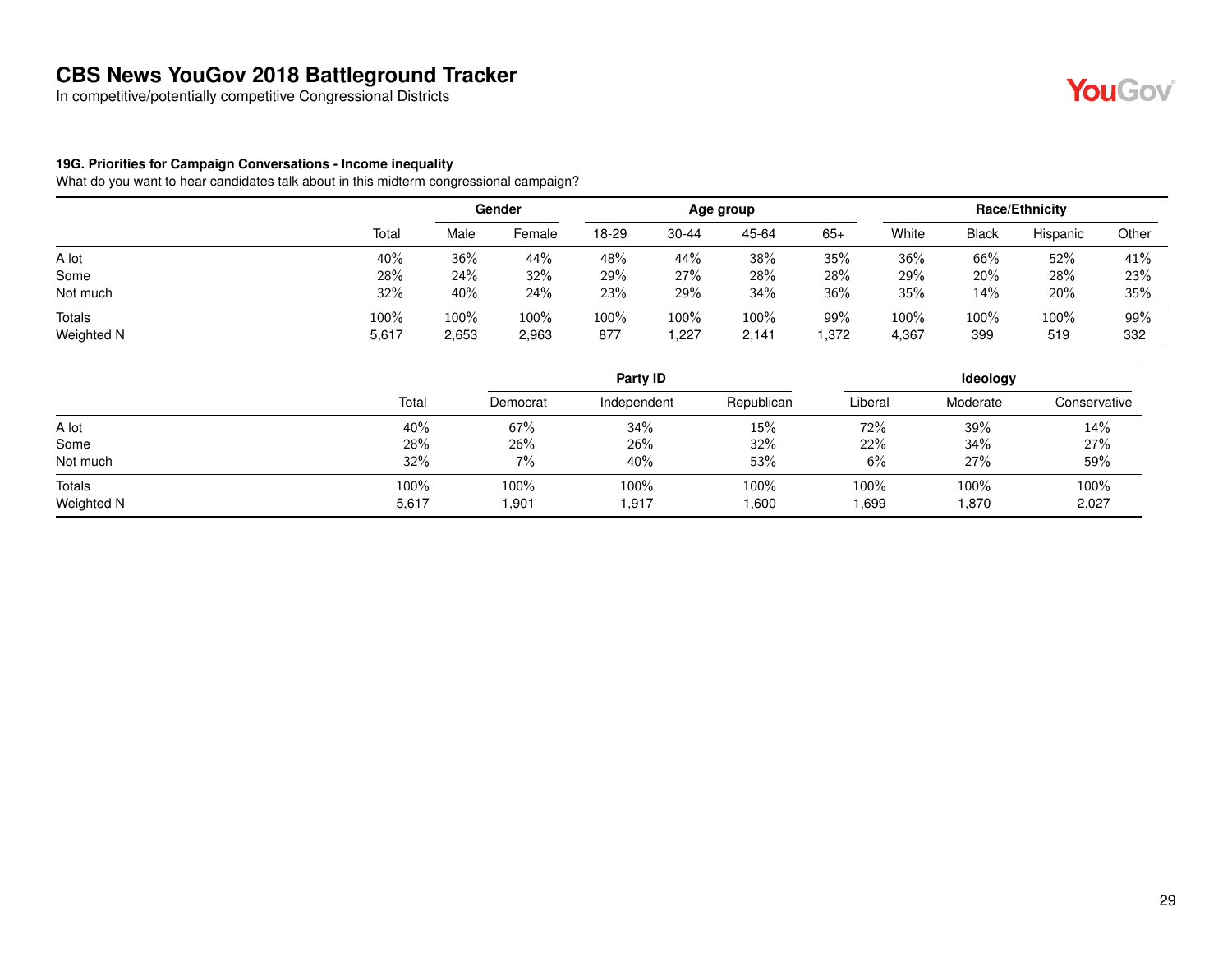In competitive/potentially competitive Congressional Districts

#### **19G. Priorities for Campaign Conversations - Income inequality**

|               |       | Gender |        | Age group |           |       |       | <b>Race/Ethnicity</b> |              |          |       |
|---------------|-------|--------|--------|-----------|-----------|-------|-------|-----------------------|--------------|----------|-------|
|               | Total | Male   | Female | 18-29     | $30 - 44$ | 45-64 | $65+$ | White                 | <b>Black</b> | Hispanic | Other |
| A lot         | 40%   | 36%    | 44%    | 48%       | 44%       | 38%   | 35%   | 36%                   | 66%          | 52%      | 41%   |
| Some          | 28%   | 24%    | 32%    | 29%       | 27%       | 28%   | 28%   | 29%                   | 20%          | 28%      | 23%   |
| Not much      | 32%   | 40%    | 24%    | 23%       | 29%       | 34%   | 36%   | 35%                   | 14%          | 20%      | 35%   |
| <b>Totals</b> | 100%  | 100%   | 100%   | 100%      | 100%      | 100%  | 99%   | 100%                  | 100%         | 100%     | 99%   |
| Weighted N    | 5,617 | 2,653  | 2,963  | 877       | .227      | 2,141 | 1,372 | 4,367                 | 399          | 519      | 332   |

|                      |               |                | Party ID      |               | <b>Ideology</b> |               |               |  |
|----------------------|---------------|----------------|---------------|---------------|-----------------|---------------|---------------|--|
|                      | Total         | Democrat       | Independent   | Republican    | Liberal         | Moderate      | Conservative  |  |
| A lot                | 40%           | 67%            | 34%           | 15%           | 72%             | 39%           | 14%           |  |
| Some                 | 28%           | 26%            | 26%           | 32%           | 22%             | 34%           | 27%           |  |
| Not much             | 32%           | 7%             | 40%           | 53%           | 6%              | 27%           | 59%           |  |
| Totals<br>Weighted N | 100%<br>5,617 | 100%<br>901. ا | 100%<br>1,917 | 100%<br>1,600 | 100%<br>1,699   | 100%<br>1,870 | 100%<br>2,027 |  |

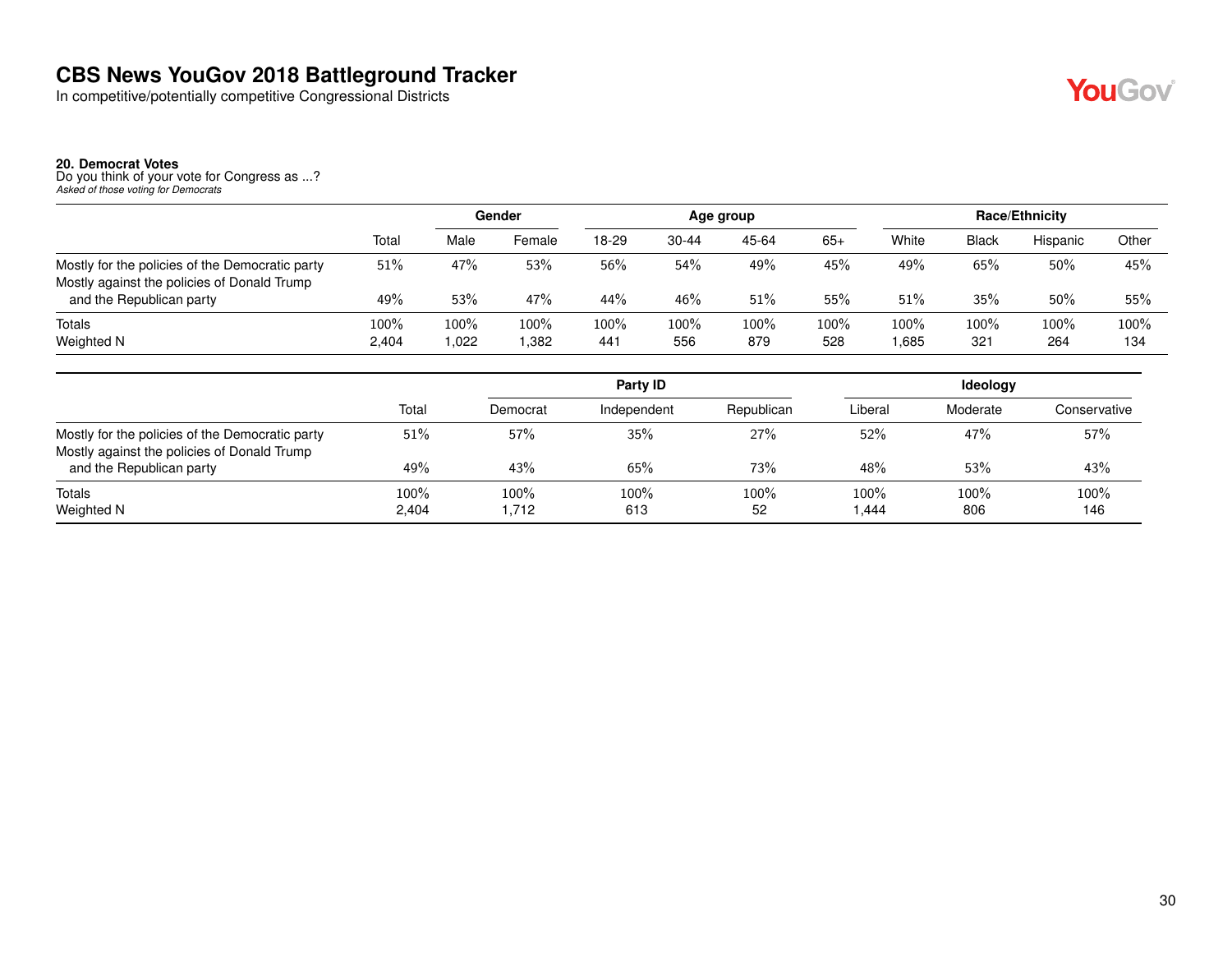In competitive/potentially competitive Congressional Districts

**20. Democrat Votes** Do you think of your vote for Congress as ...? *Asked of those voting for Democrats*

|                                                                                                |                  | Gender      |              | Age group   |             |             |             | <b>Race/Ethnicity</b> |             |             |                |
|------------------------------------------------------------------------------------------------|------------------|-------------|--------------|-------------|-------------|-------------|-------------|-----------------------|-------------|-------------|----------------|
|                                                                                                | Total            | Male        | Female       | 18-29       | 30-44       | 45-64       | $65+$       | White                 | Black       | Hispanic    | Other          |
| Mostly for the policies of the Democratic party<br>Mostly against the policies of Donald Trump | 51%              | 47%         | 53%          | 56%         | 54%         | 49%         | 45%         | 49%                   | 65%         | 50%         | 45%            |
| and the Republican party                                                                       | 49%              | 53%         | 47%          | 44%         | 46%         | 51%         | 55%         | 51%                   | 35%         | 50%         | 55%            |
| Totals<br>Weighted N                                                                           | $100\%$<br>2,404 | 100%<br>022 | 100%<br>.382 | 100%<br>441 | 100%<br>556 | 100%<br>879 | 100%<br>528 | 100%<br>1,685         | 100%<br>321 | 100%<br>264 | $100\%$<br>134 |

|                                                 |       |          | Party ID    |            |         | <b>Ideology</b> |              |
|-------------------------------------------------|-------|----------|-------------|------------|---------|-----------------|--------------|
|                                                 | Total | Democrat | Independent | Republican | Liberal | Moderate        | Conservative |
| Mostly for the policies of the Democratic party | 51%   | 57%      | 35%         | 27%        | 52%     | 47%             | 57%          |
| Mostly against the policies of Donald Trump     |       |          |             |            |         |                 |              |
| and the Republican party                        | 49%   | 43%      | 65%         | 73%        | 48%     | 53%             | 43%          |
| Totals                                          | 100%  | 100%     | 100%        | 100%       | 100%    | 100%            | 100%         |
| Weighted N                                      | 2,404 | 1,712    | 613         | 52         | 1,444   | 806             | 146          |

**YouGov**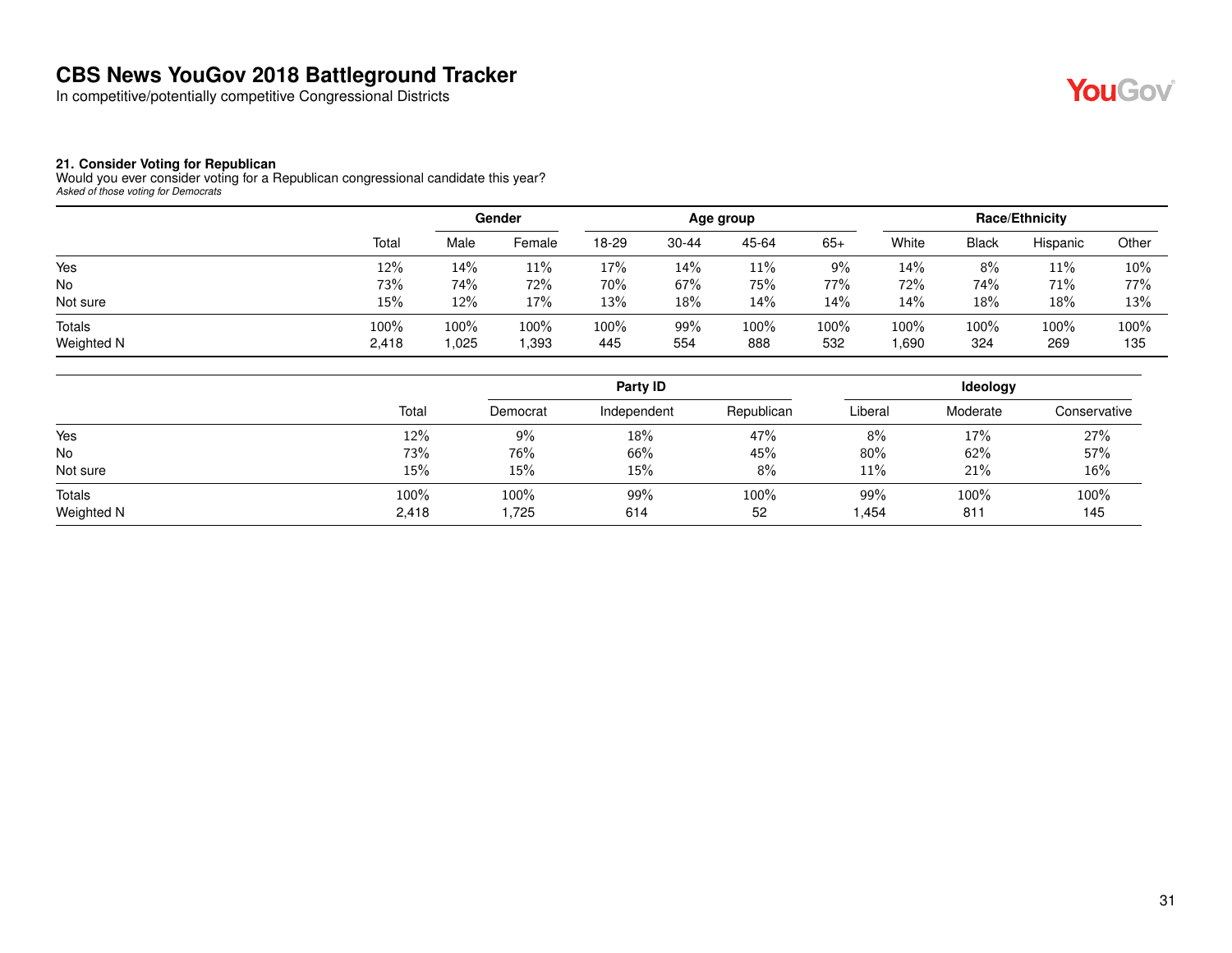In competitive/potentially competitive Congressional Districts



#### **21. Consider Voting for Republican**

Would you ever consider voting for a Republican congressional candidate this year? *Asked of those voting for Democrats*

|                      |               |              | Gender       |             |            | Age group   |             |              |              | Race/Ethnicity |             |
|----------------------|---------------|--------------|--------------|-------------|------------|-------------|-------------|--------------|--------------|----------------|-------------|
|                      | Total         | Male         | Female       | 18-29       | $30 - 44$  | 45-64       | $65+$       | White        | <b>Black</b> | Hispanic       | Other       |
| Yes                  | 12%           | 14%          | 11%          | 17%         | 14%        | 11%         | 9%          | 14%          | 8%           | 11%            | 10%         |
| No                   | 73%           | 74%          | 72%          | 70%         | 67%        | 75%         | 77%         | 72%          | 74%          | 71%            | 77%         |
| Not sure             | 15%           | 12%          | 17%          | 13%         | 18%        | 14%         | 14%         | 14%          | 18%          | 18%            | 13%         |
| Totals<br>Weighted N | 100%<br>2,418 | 100%<br>.025 | 100%<br>,393 | 100%<br>445 | 99%<br>554 | 100%<br>888 | 100%<br>532 | 100%<br>,690 | 100%<br>324  | 100%<br>269    | 100%<br>135 |

|                      |               | Party ID      |             |            | Ideology     |                         |              |  |
|----------------------|---------------|---------------|-------------|------------|--------------|-------------------------|--------------|--|
|                      | Total         | Democrat      | Independent | Republican | Liberal      | Moderate                | Conservative |  |
| Yes                  | 12%           | 9%            | 18%         | 47%        | 8%           | 17%                     | 27%          |  |
| <b>No</b>            | 73%           | 76%           | 66%         | 45%        | 80%          | 62%                     | 57%          |  |
| Not sure             | 15%           | 15%           | 15%         | 8%         | 11%          | 21%                     | 16%          |  |
| Totals<br>Weighted N | 100%<br>2,418 | 100%<br>1,725 | 99%<br>614  | 100%<br>52 | 99%<br>1,454 | 100%<br>81 <sup>°</sup> | 100%<br>145  |  |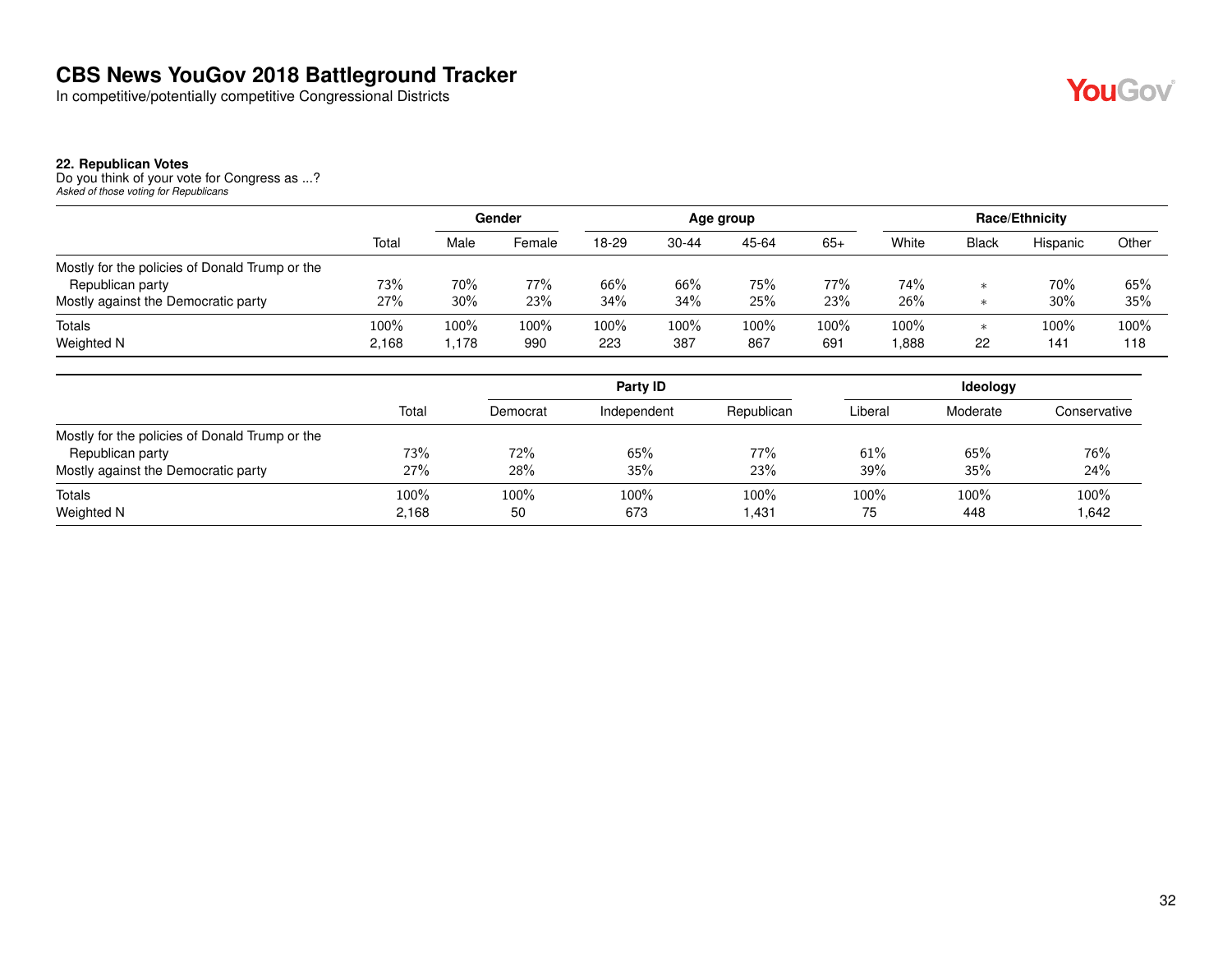In competitive/potentially competitive Congressional Districts

#### **22. Republican Votes**

Do you think of your vote for Congress as ...? *Asked of those voting for Republicans*

|                                                |       | Gender |        |       | Age group |       |       |       | <b>Race/Ethnicity</b> |          |       |  |
|------------------------------------------------|-------|--------|--------|-------|-----------|-------|-------|-------|-----------------------|----------|-------|--|
|                                                | Total | Male   | Female | 18-29 | $30 - 44$ | 45-64 | $65+$ | White | <b>Black</b>          | Hispanic | Other |  |
| Mostly for the policies of Donald Trump or the |       |        |        |       |           |       |       |       |                       |          |       |  |
| Republican party                               | 73%   | 70%    | 77%    | 66%   | 66%       | 75%   | 77%   | 74%   | $\ast$                | 70%      | 65%   |  |
| Mostly against the Democratic party            | 27%   | 30%    | 23%    | 34%   | 34%       | 25%   | 23%   | 26%   | $\ast$                | 30%      | 35%   |  |
| Totals                                         | 100%  | 100%   | 100%   | 100%  | 100%      | 100%  | 100%  | 100%  | $\ast$                | 100%     | 100%  |  |
| Weighted N                                     | 2,168 | .178   | 990    | 223   | 387       | 867   | 691   | 888,  | 22                    | 141      | 118   |  |

|                                                |         |          | Party ID    |            | <b>Ideology</b> |          |              |  |
|------------------------------------------------|---------|----------|-------------|------------|-----------------|----------|--------------|--|
|                                                | Total   | Democrat | Independent | Republican | Liberal         | Moderate | Conservative |  |
| Mostly for the policies of Donald Trump or the |         |          |             |            |                 |          |              |  |
| Republican party                               | 73%     | 72%      | 65%         | 77%        | 61%             | 65%      | 76%          |  |
| Mostly against the Democratic party            | 27%     | 28%      | 35%         | 23%        | 39%             | 35%      | 24%          |  |
| Totals                                         | $100\%$ | 100%     | 100%        | $100\%$    | 100%            | 100%     | 100%         |  |
| <b>Weighted N</b>                              | 2.168   | 50       | 673         | 1,431      | 75              | 448      | .642 ا       |  |

YouGov®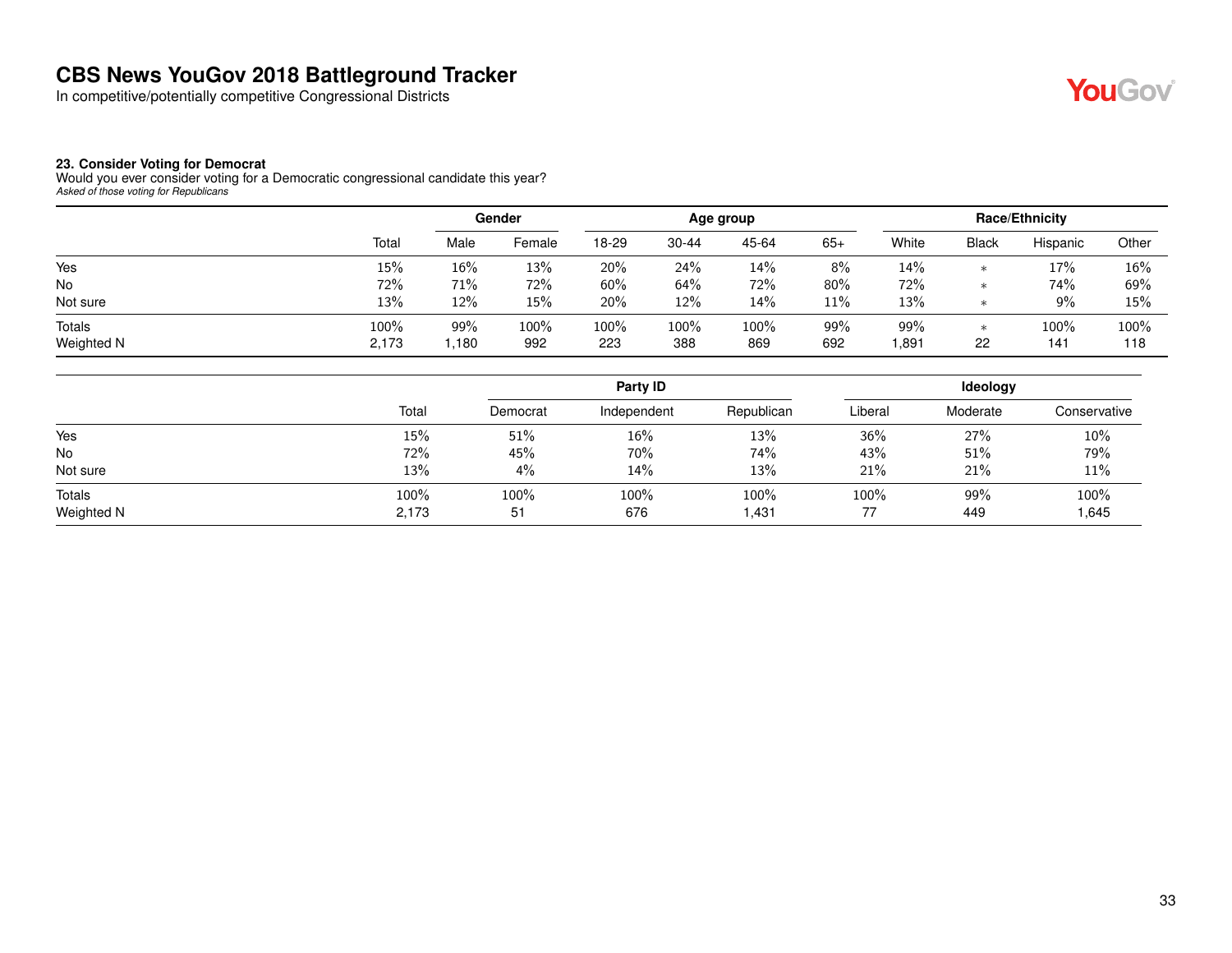In competitive/potentially competitive Congressional Districts



#### **23. Consider Voting for Democrat**

Would you ever consider voting for a Democratic congressional candidate this year? *Asked of those voting for Republicans*

|                      |               |             | Gender      |             |             | Age group   |            |             |              | <b>Race/Ethnicity</b> |             |
|----------------------|---------------|-------------|-------------|-------------|-------------|-------------|------------|-------------|--------------|-----------------------|-------------|
|                      | Total         | Male        | Female      | 18-29       | $30 - 44$   | 45-64       | $65+$      | White       | <b>Black</b> | Hispanic              | Other       |
| Yes                  | 15%           | 16%         | 13%         | 20%         | 24%         | 14%         | 8%         | 14%         | ж            | 17%                   | 16%         |
| No                   | 72%           | 71%         | 72%         | 60%         | 64%         | 72%         | 80%        | 72%         | $\ast$       | 74%                   | 69%         |
| Not sure             | 13%           | 12%         | 15%         | 20%         | 12%         | 14%         | 11%        | 13%         | ж            | 9%                    | 15%         |
| Totals<br>Weighted N | 100%<br>2,173 | 99%<br>.180 | 100%<br>992 | 100%<br>223 | 100%<br>388 | 100%<br>869 | 99%<br>692 | 99%<br>.891 | ∗<br>22      | 100%<br>141           | 100%<br>118 |

|                      |               | Party ID   |             |               | Ideology |            |              |
|----------------------|---------------|------------|-------------|---------------|----------|------------|--------------|
|                      | Total         | Democrat   | Independent | Republican    | Liberal  | Moderate   | Conservative |
| Yes                  | 15%           | 51%        | 16%         | 13%           | 36%      | 27%        | 10%          |
| No                   | 72%           | 45%        | 70%         | 74%           | 43%      | 51%        | 79%          |
| Not sure             | 13%           | 4%         | 14%         | 13%           | 21%      | 21%        | 11%          |
| Totals<br>Weighted N | 100%<br>2,173 | 100%<br>51 | 100%<br>676 | 100%<br>1,431 | 100%     | 99%<br>449 | 100%<br>.645 |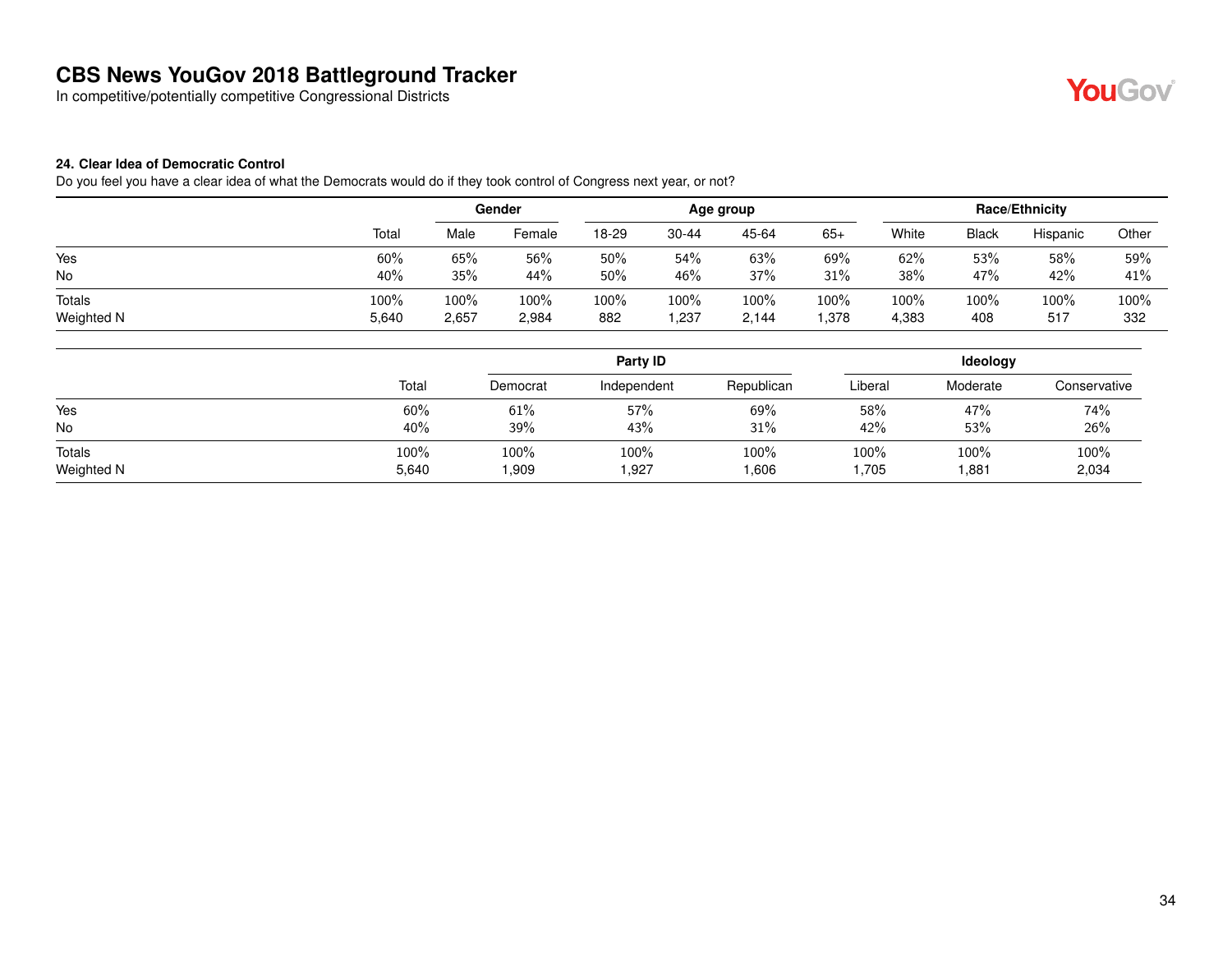In competitive/potentially competitive Congressional Districts



#### **24. Clear Idea of Democratic Control**

Do you feel you have a clear idea of what the Democrats would do if they took control of Congress next year, or not?

|            |       | Gender |        | Age group |           |       | Race/Ethnicity |       |              |          |       |
|------------|-------|--------|--------|-----------|-----------|-------|----------------|-------|--------------|----------|-------|
|            | Total | Male   | Female | 18-29     | $30 - 44$ | 45-64 | $65+$          | White | <b>Black</b> | Hispanic | Other |
| Yes        | 60%   | 65%    | 56%    | 50%       | 54%       | 63%   | 69%            | 62%   | 53%          | 58%      | 59%   |
| No         | 40%   | 35%    | 44%    | 50%       | 46%       | 37%   | 31%            | 38%   | 47%          | 42%      | 41%   |
| Totals     | 100%  | 100%   | 100%   | 100%      | 100%      | 100%  | 100%           | 100%  | 100%         | 100%     | 100%  |
| Weighted N | 5,640 | 2,657  | 2,984  | 882       | ,237      | 2,144 | ,378           | 4,383 | 408          | 517      | 332   |

|            |       |          | Party ID    |            | Ideology |          |              |  |
|------------|-------|----------|-------------|------------|----------|----------|--------------|--|
|            | Total | Democrat | Independent | Republican | Liberal  | Moderate | Conservative |  |
| Yes        | 60%   | 61%      | 57%         | 69%        | 58%      | 47%      | 74%          |  |
| No         | 40%   | 39%      | 43%         | 31%        | 42%      | 53%      | 26%          |  |
| Totals     | 100%  | 100%     | 100%        | 100%       | 100%     | 100%     | 100%         |  |
| Weighted N | 5,640 | 1,909    | .927        | .606       | 705, ا   | .881     | 2,034        |  |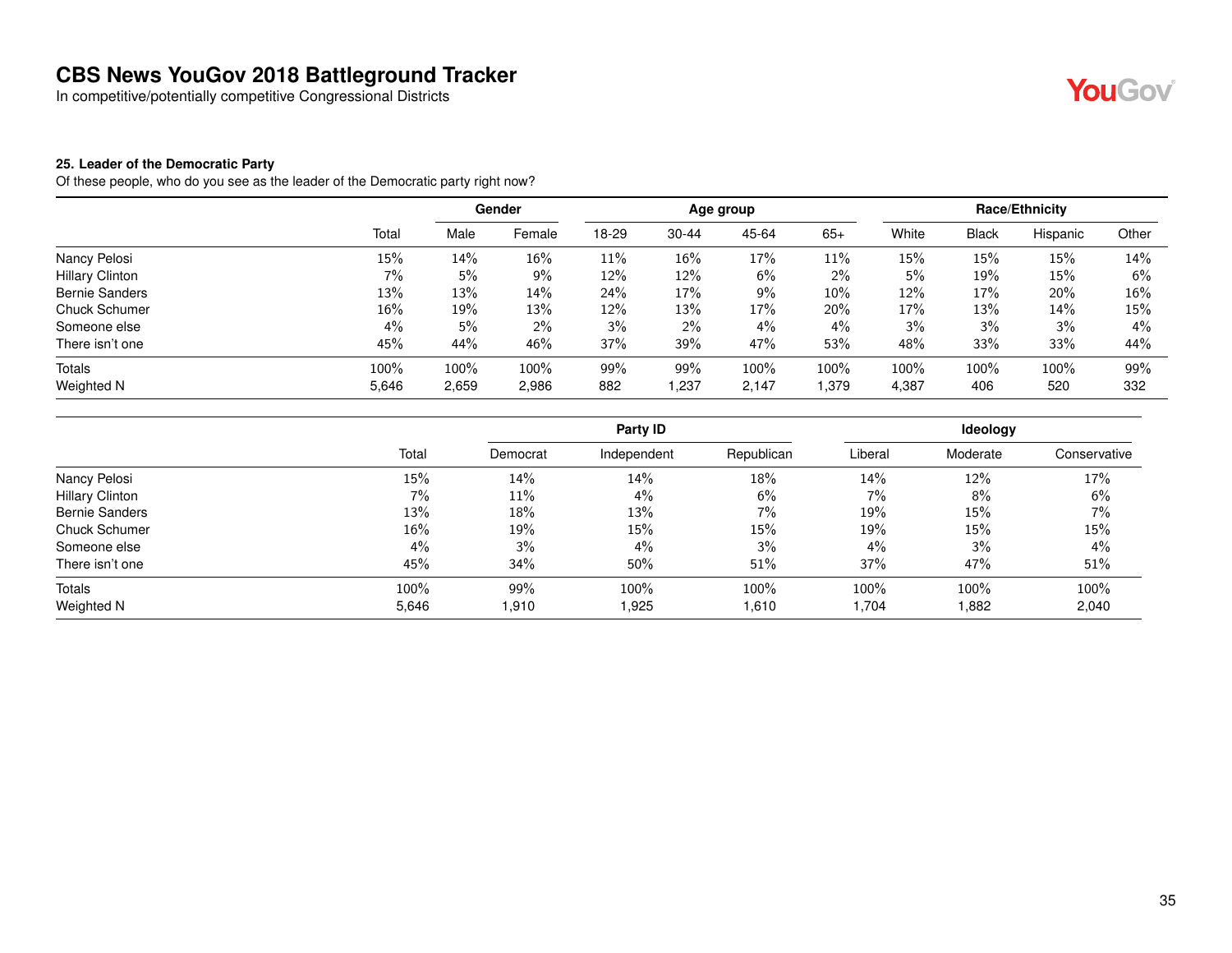In competitive/potentially competitive Congressional Districts



#### **25. Leader of the Democratic Party**

Of these people, who do you see as the leader of the Democratic party right now?

|                        |       | Gender |        | Age group |           |       |        | <b>Race/Ethnicity</b> |              |          |       |
|------------------------|-------|--------|--------|-----------|-----------|-------|--------|-----------------------|--------------|----------|-------|
|                        | Total | Male   | Female | 18-29     | $30 - 44$ | 45-64 | $65+$  | White                 | <b>Black</b> | Hispanic | Other |
| Nancy Pelosi           | 15%   | 14%    | $16\%$ | 11%       | 16%       | 17%   | 11%    | 15%                   | 15%          | 15%      | 14%   |
| <b>Hillary Clinton</b> | 7%    | 5%     | 9%     | 12%       | 12%       | 6%    | $2\%$  | 5%                    | 19%          | 15%      | 6%    |
| <b>Bernie Sanders</b>  | 13%   | 13%    | 14%    | 24%       | 17%       | 9%    | $10\%$ | 12%                   | 17%          | 20%      | 16%   |
| Chuck Schumer          | 16%   | 19%    | 13%    | 12%       | 13%       | 17%   | 20%    | 17%                   | 13%          | 14%      | 15%   |
| Someone else           | $4\%$ | 5%     | 2%     | 3%        | $2\%$     | 4%    | $4\%$  | 3%                    | 3%           | 3%       | $4\%$ |
| There isn't one        | 45%   | 44%    | 46%    | 37%       | 39%       | 47%   | 53%    | 48%                   | 33%          | 33%      | 44%   |
| Totals                 | 100%  | 100%   | 100%   | 99%       | 99%       | 100%  | 100%   | 100%                  | 100%         | 100%     | 99%   |
| Weighted N             | 5,646 | 2,659  | 2,986  | 882       | 1,237     | 2,147 | 1,379  | 4,387                 | 406          | 520      | 332   |

|                        |        |          | Party ID    |            | Ideology |          |              |  |
|------------------------|--------|----------|-------------|------------|----------|----------|--------------|--|
|                        | Total  | Democrat | Independent | Republican | Liberal  | Moderate | Conservative |  |
| Nancy Pelosi           | 15%    | 14%      | 14%         | 18%        | 14%      | 12%      | 17%          |  |
| <b>Hillary Clinton</b> | 7%     | 11%      | 4%          | 6%         | $7\%$    | 8%       | 6%           |  |
| <b>Bernie Sanders</b>  | 13%    | 18%      | 13%         | 7%         | 19%      | 15%      | 7%           |  |
| Chuck Schumer          | $16\%$ | 19%      | 15%         | 15%        | 19%      | 15%      | 15%          |  |
| Someone else           | $4\%$  | 3%       | 4%          | 3%         | 4%       | 3%       | 4%           |  |
| There isn't one        | 45%    | 34%      | 50%         | 51%        | 37%      | 47%      | 51%          |  |
| Totals                 | 100%   | 99%      | 100%        | 100%       | 100%     | 100%     | 100%         |  |
| Weighted N             | 5,646  | 1.910    | 1,925       | 1,610      | 1,704    | 882, ا   | 2,040        |  |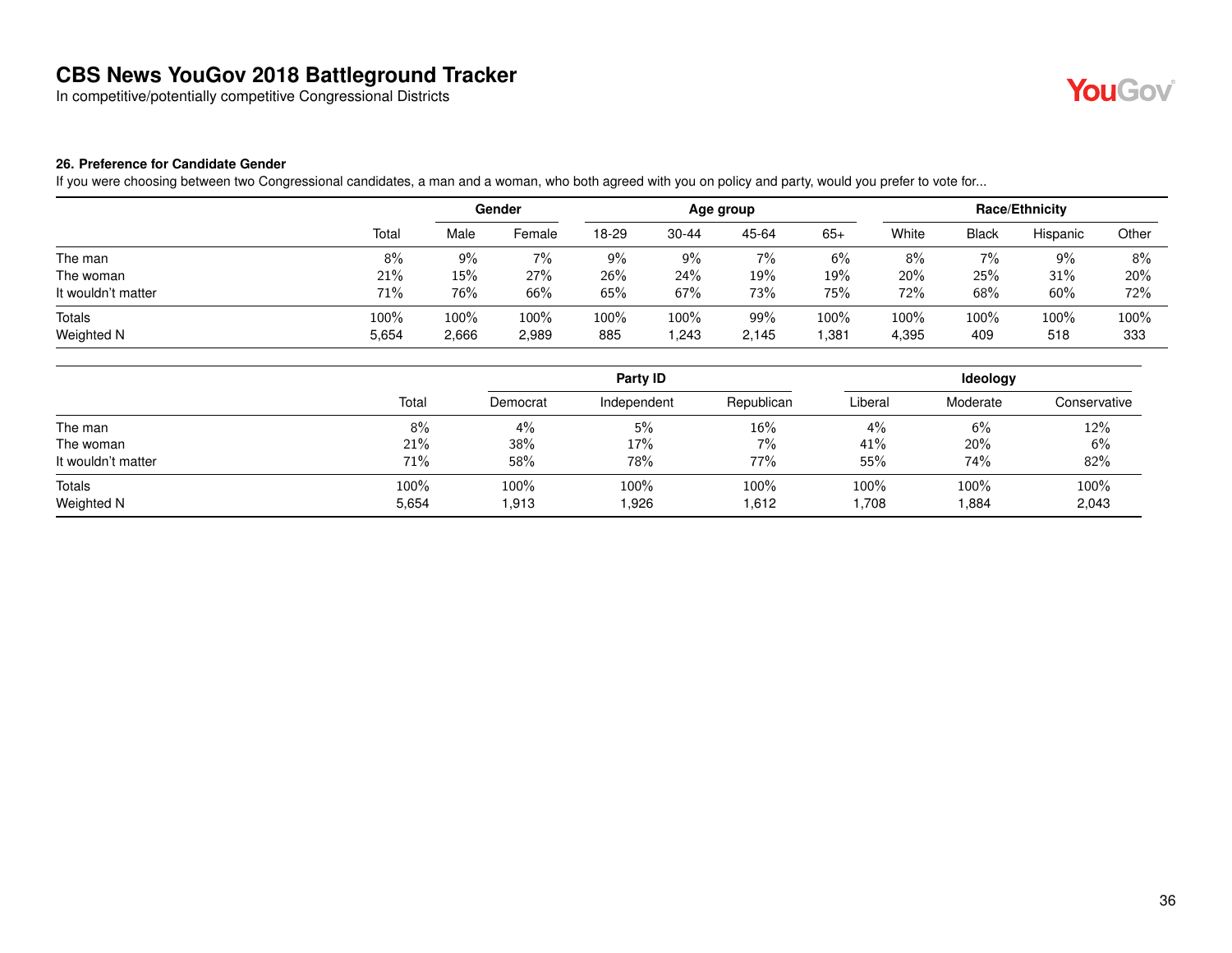In competitive/potentially competitive Congressional Districts



#### **26. Preference for Candidate Gender**

If you were choosing between two Congressional candidates, a man and a woman, who both agreed with you on policy and party, would you prefer to vote for...

|                    |       | Gender |        | Age group |           |       |       | Race/Ethnicity |              |          |       |
|--------------------|-------|--------|--------|-----------|-----------|-------|-------|----------------|--------------|----------|-------|
|                    | Total | Male   | Female | 18-29     | $30 - 44$ | 45-64 | $65+$ | White          | <b>Black</b> | Hispanic | Other |
| The man            | 8%    | $9\%$  | 7%     | 9%        | $9\%$     | 7%    | 6%    | 8%             | $7\%$        | $9\%$    | 8%    |
| The woman          | 21%   | 15%    | 27%    | 26%       | 24%       | 19%   | 19%   | 20%            | 25%          | 31%      | 20%   |
| It wouldn't matter | 71%   | 76%    | 66%    | 65%       | 67%       | 73%   | 75%   | 72%            | 68%          | 60%      | 72%   |
| Totals             | 100%  | 100%   | 100%   | 100%      | 100%      | 99%   | 100%  | 100%           | 100%         | 100%     | 100%  |
| Weighted N         | 5,654 | 2,666  | 2,989  | 885       | ,243      | 2,145 | .381  | 4,395          | 409          | 518      | 333   |

|                      |               |               | Party ID      |               | Ideology     |               |               |  |
|----------------------|---------------|---------------|---------------|---------------|--------------|---------------|---------------|--|
|                      | Total         | Democrat      | Independent   | Republican    | Liberal      | Moderate      | Conservative  |  |
| The man              | 8%            | 4%            | 5%            | $16\%$        | $4\%$        | 6%            | 12%           |  |
| The woman            | 21%           | 38%           | 17%           | 7%            | 41%          | 20%           | 6%            |  |
| It wouldn't matter   | 71%           | 58%           | 78%           | 77%           | 55%          | 74%           | 82%           |  |
| Totals<br>Weighted N | 100%<br>5,654 | 100%<br>1,913 | 100%<br>1,926 | 100%<br>1,612 | 100%<br>708, | 100%<br>1,884 | 100%<br>2,043 |  |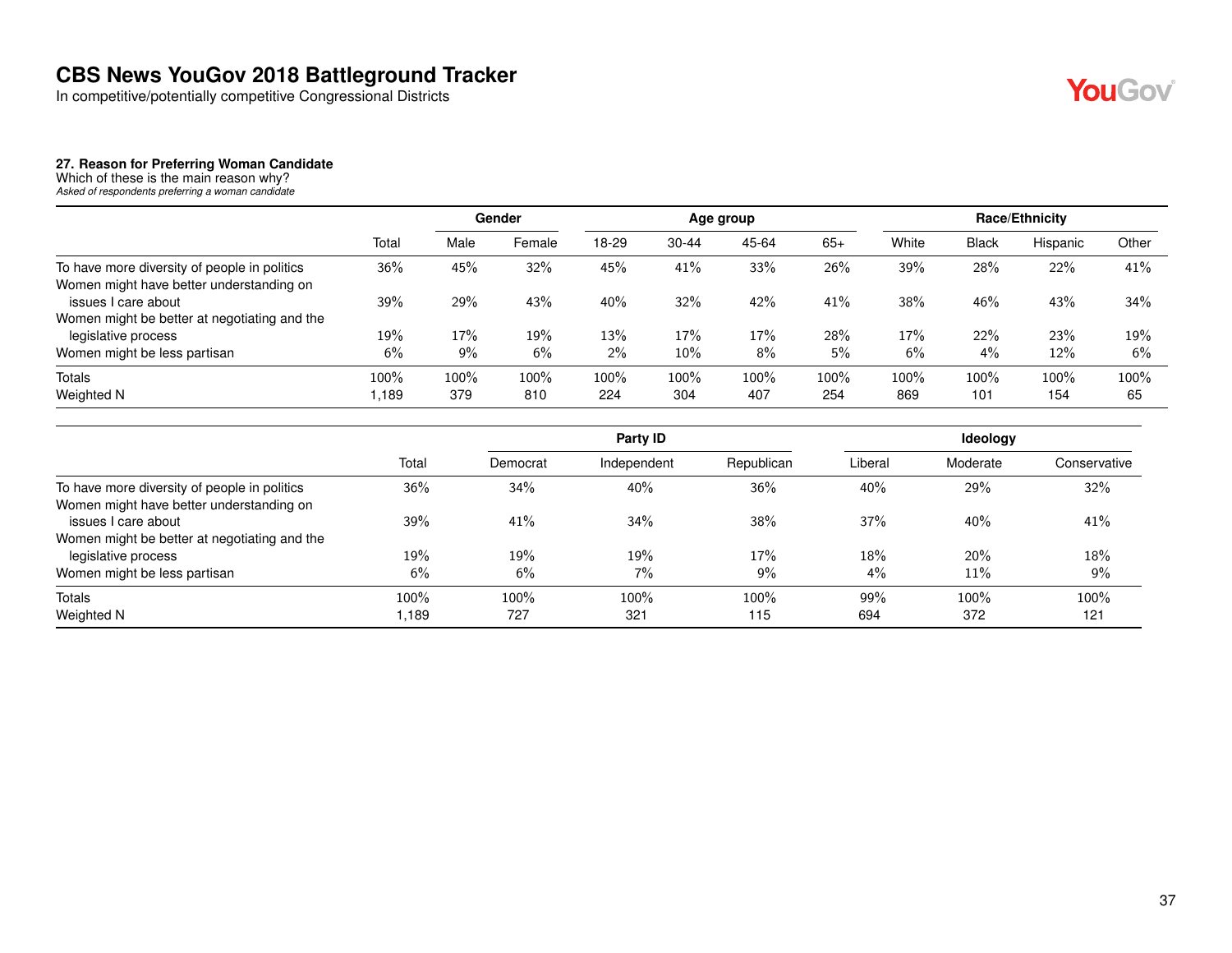In competitive/potentially competitive Congressional Districts



#### **27. Reason for Preferring Woman Candidate**

Which of these is the main reason why? *Asked of respondents preferring a woman candidate*

|                                                                     |       | Gender |        | Age group |           |       |            | <b>Race/Ethnicity</b> |              |          |       |
|---------------------------------------------------------------------|-------|--------|--------|-----------|-----------|-------|------------|-----------------------|--------------|----------|-------|
|                                                                     | Total | Male   | Female | 18-29     | $30 - 44$ | 45-64 | $65+$      | White                 | <b>Black</b> | Hispanic | Other |
| To have more diversity of people in politics                        | 36%   | 45%    | 32%    | 45%       | 41%       | 33%   | 26%        | 39%                   | 28%          | 22%      | 41%   |
| Women might have better understanding on<br>issues I care about     | 39%   | 29%    | 43%    | 40%       | 32%       | 42%   | 41%        | 38%                   | 46%          | 43%      | 34%   |
| Women might be better at negotiating and the<br>legislative process | 19%   | 17%    | 19%    | 13%       | 17%       | 17%   | <b>28%</b> | 17%                   | 22%          | 23%      | 19%   |
| Women might be less partisan                                        | 6%    | 9%     | 6%     | 2%        | 10%       | 8%    | 5%         | 6%                    | $4\%$        | 12%      | 6%    |
| <b>Totals</b>                                                       | 100%  | 100%   | 100%   | 100%      | 100%      | 100%  | 100%       | 100%                  | 100%         | 100%     | 100%  |
| Weighted N                                                          | .189  | 379    | 810    | 224       | 304       | 407   | 254        | 869                   | 101          | 154      | 65    |

|                                              |       |          | Party ID    |            |         | Ideology |              |
|----------------------------------------------|-------|----------|-------------|------------|---------|----------|--------------|
|                                              | Total | Democrat | Independent | Republican | Liberal | Moderate | Conservative |
| To have more diversity of people in politics | 36%   | 34%      | 40%         | 36%        | 40%     | 29%      | 32%          |
| Women might have better understanding on     |       |          |             |            |         |          |              |
| issues I care about                          | 39%   | 41%      | 34%         | 38%        | 37%     | 40%      | 41%          |
| Women might be better at negotiating and the |       |          |             |            |         |          |              |
| legislative process                          | 19%   | 19%      | 19%         | 17%        | 18%     | 20%      | 18%          |
| Women might be less partisan                 | 6%    | 6%       | 7%          | 9%         | 4%      | 11%      | 9%           |
| Totals                                       | 100%  | 100%     | 100%        | 100%       | 99%     | 100%     | 100%         |
| Weighted N                                   | 189.  | 727      | 321         | 115        | 694     | 372      | 121          |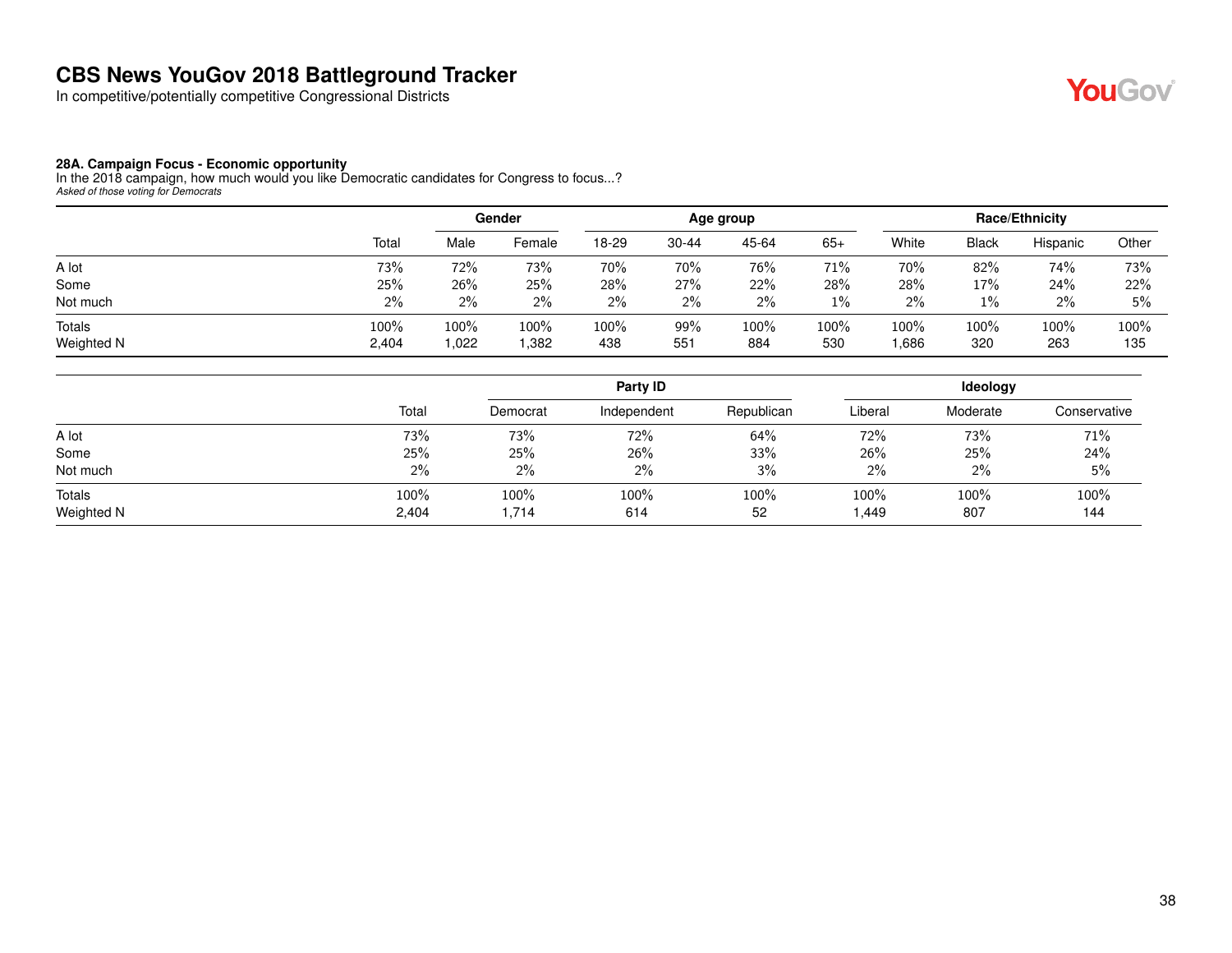In competitive/potentially competitive Congressional Districts



#### **28A. Campaign Focus - Economic opportunity**

In the 2018 campaign, how much would you like Democratic candidates for Congress to focus...? *Asked of those voting for Democrats*

|                             |               |             | Gender       | Age group   |            |             |             | <b>Race/Ethnicity</b> |              |             |             |
|-----------------------------|---------------|-------------|--------------|-------------|------------|-------------|-------------|-----------------------|--------------|-------------|-------------|
|                             | Total         | Male        | Female       | 18-29       | $30 - 44$  | 45-64       | $65+$       | White                 | <b>Black</b> | Hispanic    | Other       |
| A lot                       | 73%           | 72%         | 73%          | 70%         | 70%        | 76%         | 71%         | 70%                   | 82%          | 74%         | 73%         |
| Some                        | 25%           | 26%         | 25%          | 28%         | 27%        | 22%         | 28%         | 28%                   | 17%          | 24%         | 22%         |
| Not much                    | 2%            | 2%          | 2%           | 2%          | 2%         | 2%          | $1\%$       | 2%                    | $1\%$        | 2%          | 5%          |
| <b>Totals</b><br>Weighted N | 100%<br>2,404 | 100%<br>022 | 100%<br>.382 | 100%<br>438 | 99%<br>551 | 100%<br>884 | 100%<br>530 | 100%<br>.686          | 100%<br>320  | 100%<br>263 | 100%<br>135 |

|                      |               |               | Party <b>ID</b> |            | Ideology      |             |              |  |
|----------------------|---------------|---------------|-----------------|------------|---------------|-------------|--------------|--|
|                      | Total         | Democrat      | Independent     | Republican | Liberal       | Moderate    | Conservative |  |
| A lot                | 73%           | 73%           | 72%             | 64%        | 72%           | 73%         | 71%          |  |
| Some                 | 25%           | 25%           | 26%             | 33%        | 26%           | 25%         | 24%          |  |
| Not much             | $2\%$         | $2\%$         | $2\%$           | 3%         | 2%            | 2%          | 5%           |  |
| Totals<br>Weighted N | 100%<br>2,404 | 100%<br>1,714 | 100%<br>614     | 100%<br>52 | 100%<br>1,449 | 100%<br>807 | 100%<br>144  |  |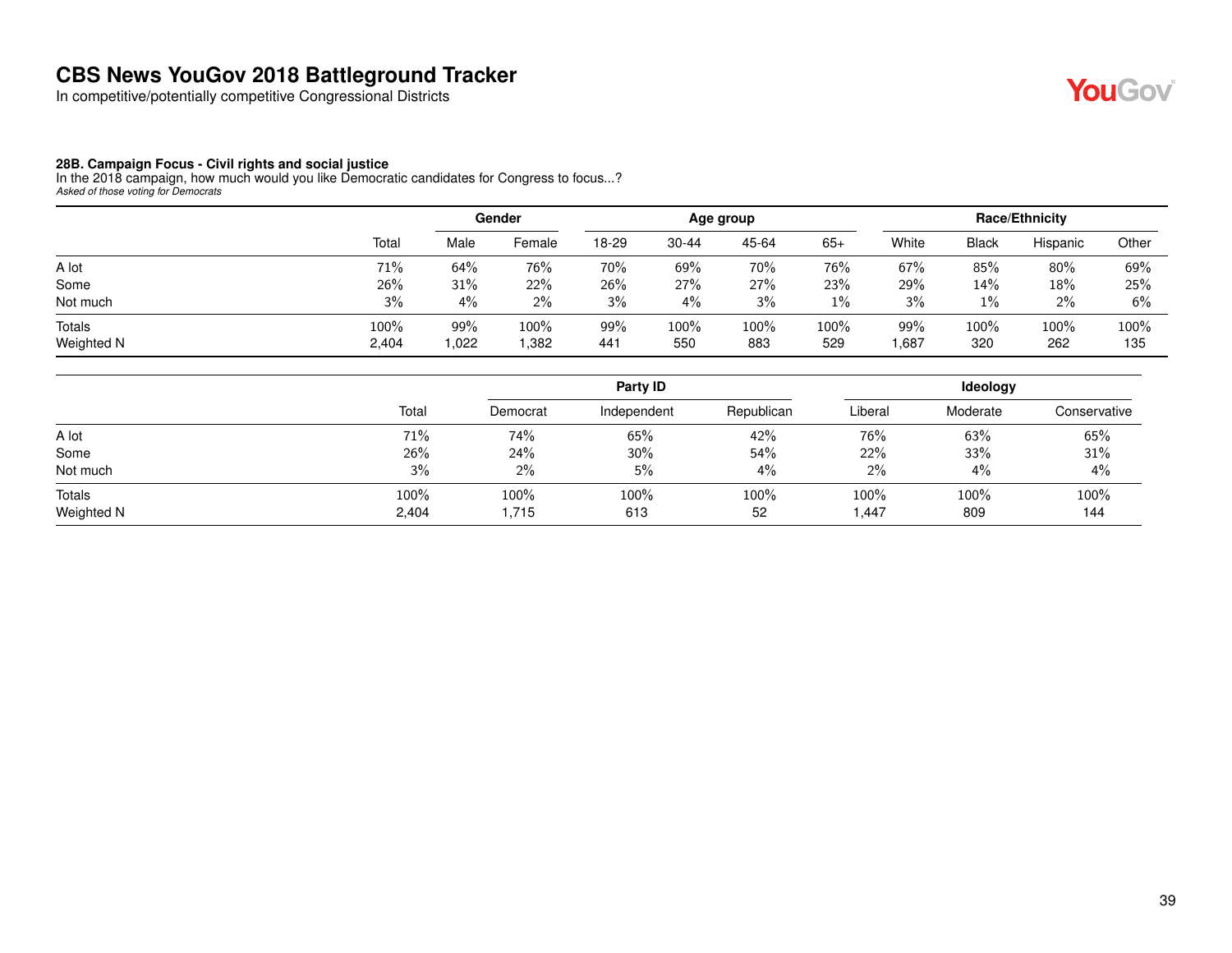In competitive/potentially competitive Congressional Districts

## YouGov®

#### **28B. Campaign Focus - Civil rights and social justice**

In the 2018 campaign, how much would you like Democratic candidates for Congress to focus...? *Asked of those voting for Democrats*

|                             |               |            | Gender       | Age group  |             |             |             | Race/Ethnicity |              |             |             |
|-----------------------------|---------------|------------|--------------|------------|-------------|-------------|-------------|----------------|--------------|-------------|-------------|
|                             | Total         | Male       | Female       | 18-29      | $30 - 44$   | 45-64       | $65+$       | White          | <b>Black</b> | Hispanic    | Other       |
| A lot                       | 71%           | 64%        | 76%          | 70%        | 69%         | 70%         | 76%         | 67%            | 85%          | 80%         | 69%         |
| Some                        | 26%           | 31%        | 22%          | 26%        | 27%         | 27%         | 23%         | 29%            | 14%          | 18%         | 25%         |
| Not much                    | 3%            | 4%         | 2%           | 3%         | $4\%$       | 3%          | 1%          | 3%             | 1%           | 2%          | 6%          |
| <b>Totals</b><br>Weighted N | 100%<br>2,404 | 99%<br>022 | 100%<br>.382 | 99%<br>441 | 100%<br>550 | 100%<br>883 | 100%<br>529 | 99%<br>.687    | 100%<br>320  | 100%<br>262 | 100%<br>135 |

|                      |               |               | Party ID    | Ideology   |               |             |              |
|----------------------|---------------|---------------|-------------|------------|---------------|-------------|--------------|
|                      | Total         | Democrat      | Independent | Republican | Liberal       | Moderate    | Conservative |
| A lot                | 71%           | 74%           | 65%         | 42%        | 76%           | 63%         | 65%          |
| Some                 | 26%           | 24%           | 30%         | 54%        | 22%           | 33%         | 31%          |
| Not much             | 3%            | $2\%$         | 5%          | 4%         | 2%            | 4%          | 4%           |
| Totals<br>Weighted N | 100%<br>2,404 | 100%<br>1,715 | 100%<br>613 | 100%<br>52 | 100%<br>1,447 | 100%<br>809 | 100%<br>144  |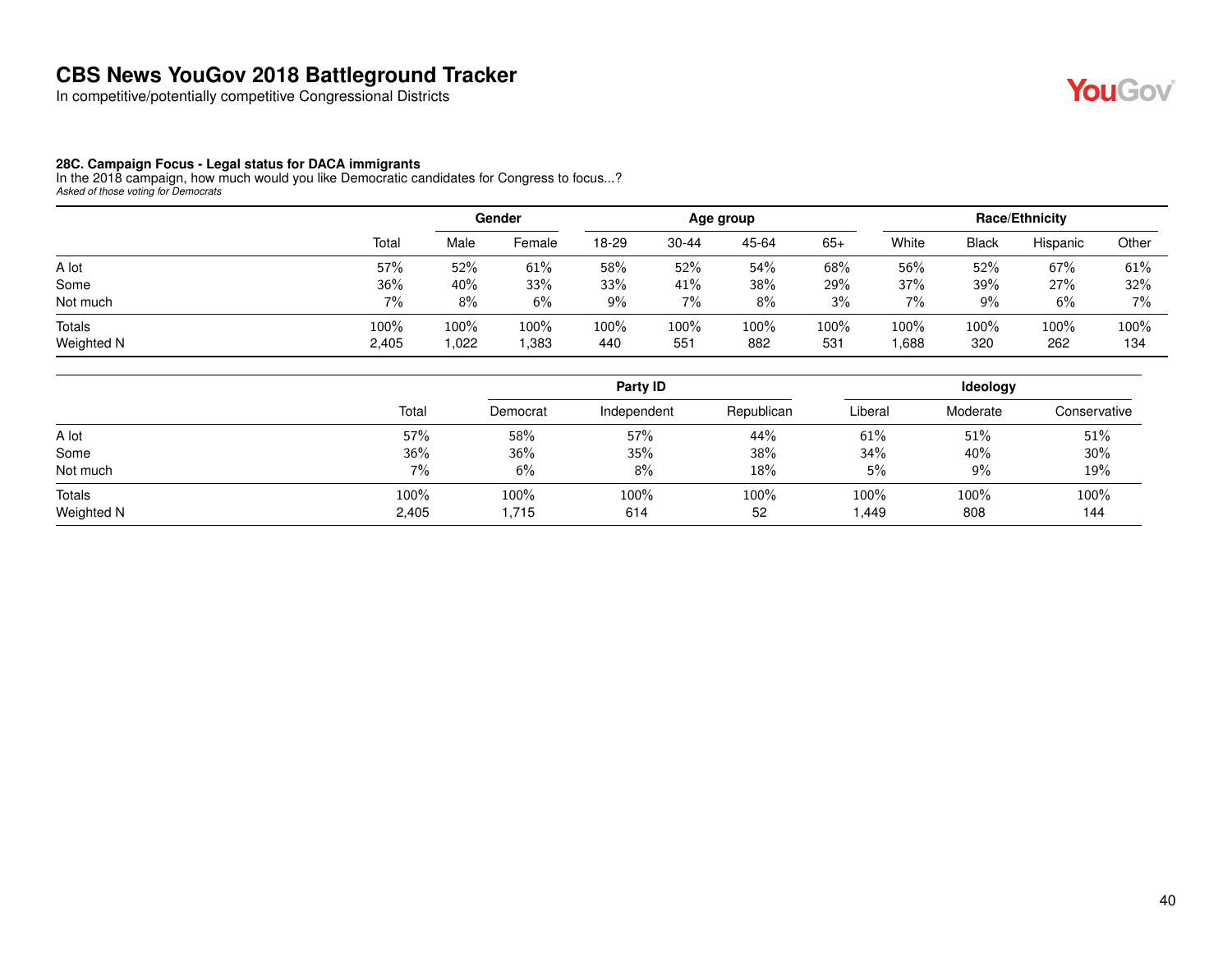In competitive/potentially competitive Congressional Districts

#### **28C. Campaign Focus - Legal status for DACA immigrants**

In the 2018 campaign, how much would you like Democratic candidates for Congress to focus...? *Asked of those voting for Democrats*

|                             |               |             | Gender       | Age group   |                |             |             | <b>Race/Ethnicity</b> |              |             |             |
|-----------------------------|---------------|-------------|--------------|-------------|----------------|-------------|-------------|-----------------------|--------------|-------------|-------------|
|                             | Total         | Male        | Female       | 18-29       | 30-44          | 45-64       | $65+$       | White                 | <b>Black</b> | Hispanic    | Other       |
| A lot                       | 57%           | 52%         | 61%          | 58%         | 52%            | 54%         | 68%         | 56%                   | 52%          | 67%         | 61%         |
| Some                        | 36%           | 40%         | 33%          | 33%         | 41%            | 38%         | 29%         | 37%                   | 39%          | 27%         | 32%         |
| Not much                    | 7%            | 8%          | 6%           | $9\%$       | 7%             | 8%          | 3%          | 7%                    | 9%           | 6%          | $7\%$       |
| <b>Totals</b><br>Weighted N | 100%<br>2,405 | 100%<br>022 | 100%<br>.383 | 100%<br>440 | $100\%$<br>551 | 100%<br>882 | 100%<br>531 | $100\%$<br>.688       | 100%<br>320  | 100%<br>262 | 100%<br>134 |

|                      |               |               | Party ID    |            | Ideology      |             |              |  |
|----------------------|---------------|---------------|-------------|------------|---------------|-------------|--------------|--|
|                      | Total         | Democrat      | Independent | Republican | Liberal       | Moderate    | Conservative |  |
| A lot                | 57%           | 58%           | 57%         | 44%        | 61%           | 51%         | 51%          |  |
| Some                 | 36%           | 36%           | 35%         | 38%        | 34%           | 40%         | $30\%$       |  |
| Not much             | 7%            | 6%            | 8%          | 18%        | 5%            | $9\%$       | 19%          |  |
| Totals<br>Weighted N | 100%<br>2,405 | 100%<br>1,715 | 100%<br>614 | 100%<br>52 | 100%<br>1,449 | 100%<br>808 | 100%<br>144  |  |

**YouGov**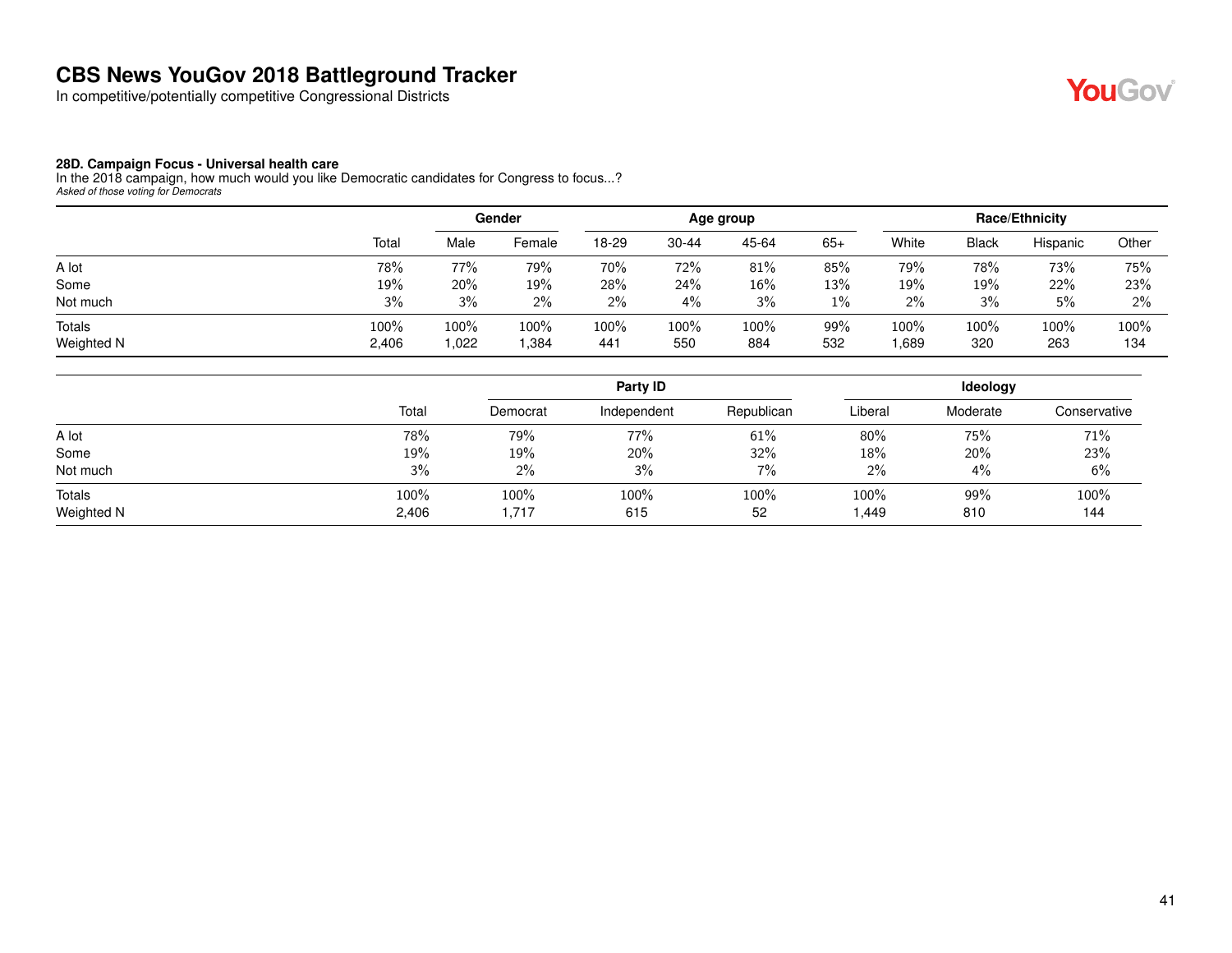In competitive/potentially competitive Congressional Districts



#### **28D. Campaign Focus - Universal health care**

In the 2018 campaign, how much would you like Democratic candidates for Congress to focus...? *Asked of those voting for Democrats*

|                             |               |             | Gender       | Age group   |             |             |            | <b>Race/Ethnicity</b> |              |             |             |
|-----------------------------|---------------|-------------|--------------|-------------|-------------|-------------|------------|-----------------------|--------------|-------------|-------------|
|                             | Total         | Male        | Female       | 18-29       | $30 - 44$   | 45-64       | $65+$      | White                 | <b>Black</b> | Hispanic    | Other       |
| A lot                       | 78%           | 77%         | 79%          | 70%         | 72%         | 81%         | 85%        | 79%                   | 78%          | 73%         | 75%         |
| Some                        | 19%           | 20%         | 19%          | 28%         | 24%         | $16\%$      | 13%        | 19%                   | 19%          | 22%         | 23%         |
| Not much                    | 3%            | 3%          | 2%           | 2%          | 4%          | 3%          | $1\%$      | 2%                    | 3%           | 5%          | 2%          |
| <b>Totals</b><br>Weighted N | 100%<br>2,406 | 100%<br>022 | 100%<br>.384 | 100%<br>441 | 100%<br>550 | 100%<br>884 | 99%<br>532 | 100%<br>.689          | 100%<br>320  | 100%<br>263 | 100%<br>134 |

|                      |               |               | Party <b>ID</b> |            | Ideology      |            |              |  |
|----------------------|---------------|---------------|-----------------|------------|---------------|------------|--------------|--|
|                      | Total         | Democrat      | Independent     | Republican | Liberal       | Moderate   | Conservative |  |
| A lot                | 78%           | 79%           | 77%             | 61%        | 80%           | 75%        | 71%          |  |
| Some                 | 19%           | 19%           | 20%             | 32%        | 18%           | 20%        | 23%          |  |
| Not much             | 3%            | $2\%$         | 3%              | 7%         | 2%            | 4%         | 6%           |  |
| Totals<br>Weighted N | 100%<br>2,406 | 100%<br>1,717 | 100%<br>615     | 100%<br>52 | 100%<br>1,449 | 99%<br>810 | 100%<br>144  |  |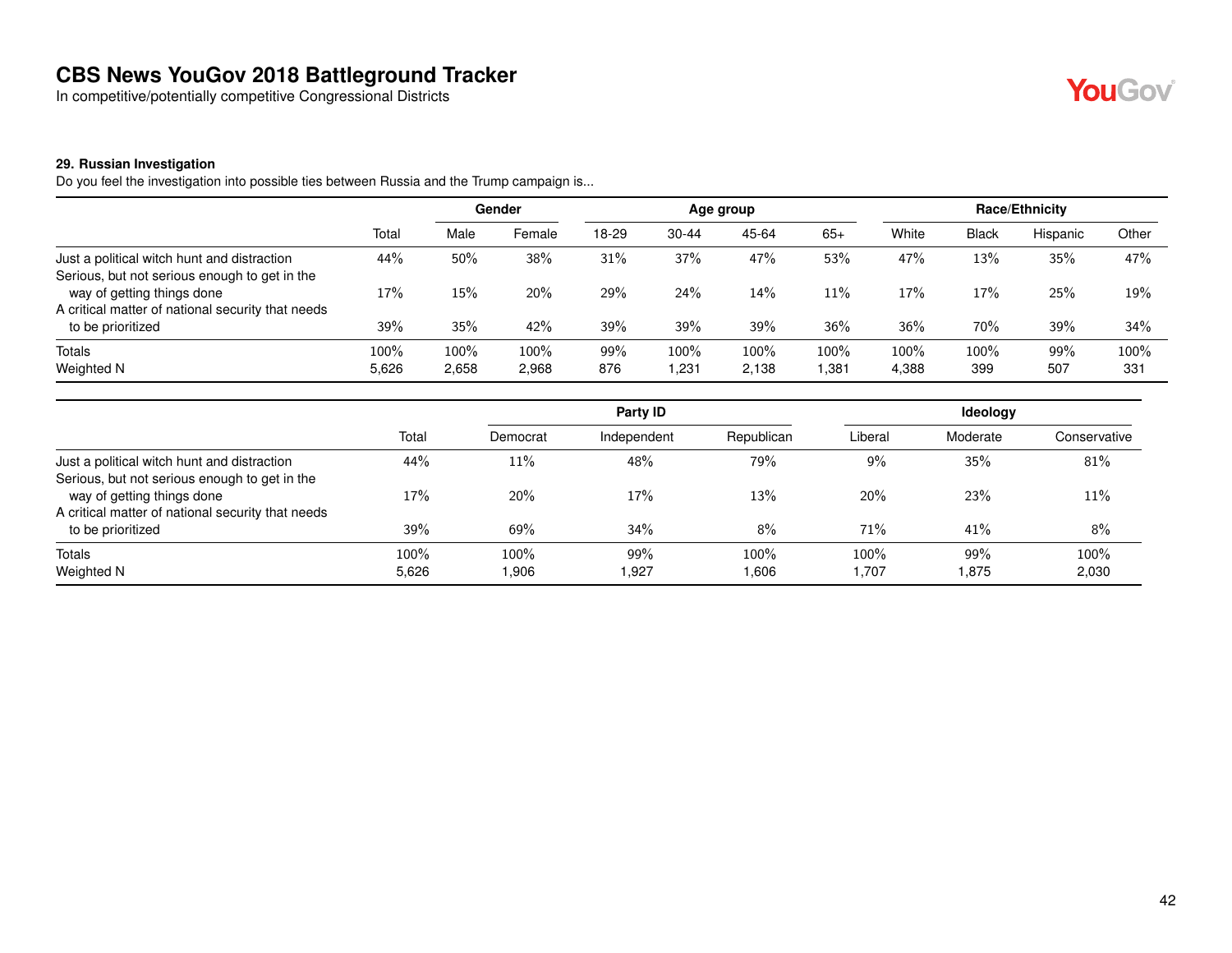In competitive/potentially competitive Congressional Districts



#### **29. Russian Investigation**

Do you feel the investigation into possible ties between Russia and the Trump campaign is...

|                                                                             |               | <b>Gender</b>    |               | Age group  |                |               |               | <b>Race/Ethnicity</b> |              |            |             |
|-----------------------------------------------------------------------------|---------------|------------------|---------------|------------|----------------|---------------|---------------|-----------------------|--------------|------------|-------------|
|                                                                             | Total         | Male             | Female        | 18-29      | $30 - 44$      | 45-64         | $65+$         | White                 | <b>Black</b> | Hispanic   | Other       |
| Just a political witch hunt and distraction                                 | 44%           | 50%              | 38%           | 31%        | 37%            | 47%           | 53%           | 47%                   | 13%          | 35%        | 47%         |
| Serious, but not serious enough to get in the<br>way of getting things done | 17%           | 15%              | 20%           | 29%        | 24%            | 14%           | 11%           | 17%                   | 17%          | 25%        | 19%         |
| A critical matter of national security that needs<br>to be prioritized      | 39%           | 35%              | 42%           | 39%        | 39%            | 39%           | 36%           | 36%                   | 70%          | 39%        | 34%         |
| <b>Totals</b><br>Weighted N                                                 | 100%<br>5,626 | $100\%$<br>2,658 | 100%<br>2,968 | 99%<br>876 | 100%<br>231. ا | 100%<br>2,138 | 100%<br>1,381 | 100%<br>4,388         | 100%<br>399  | 99%<br>507 | 100%<br>331 |

|                                                                                              |               |              | Party ID     |               |               | Ideology    |               |
|----------------------------------------------------------------------------------------------|---------------|--------------|--------------|---------------|---------------|-------------|---------------|
|                                                                                              | Total         | Democrat     | Independent  | Republican    | Liberal       | Moderate    | Conservative  |
| Just a political witch hunt and distraction<br>Serious, but not serious enough to get in the | 44%           | 11%          | 48%          | 79%           | 9%            | 35%         | 81%           |
| way of getting things done                                                                   | 17%           | 20%          | 17%          | 13%           | 20%           | 23%         | 11%           |
| A critical matter of national security that needs<br>to be prioritized                       | 39%           | 69%          | 34%          | 8%            | 71%           | 41%         | 8%            |
| Totals<br>Weighted N                                                                         | 100%<br>5,626 | 100%<br>.906 | 99%<br>1,927 | 100%<br>0.606 | 100%<br>1,707 | 99%<br>.875 | 100%<br>2,030 |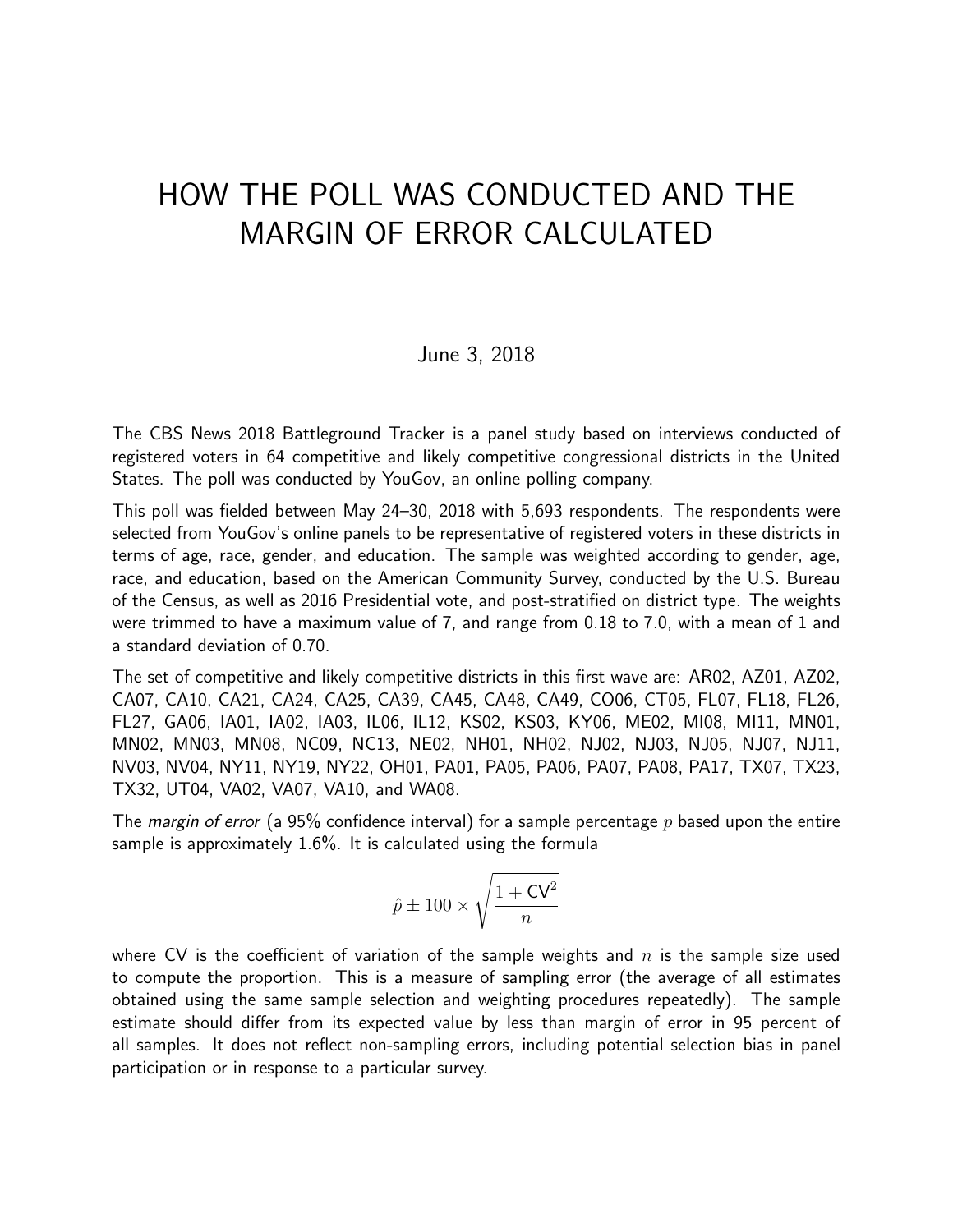# HOW THE POLL WAS CONDUCTED AND THE MARGIN OF ERROR CALCULATED

#### June 3, 2018

The CBS News 2018 Battleground Tracker is a panel study based on interviews conducted of registered voters in 64 competitive and likely competitive congressional districts in the United States. The poll was conducted by YouGov, an online polling company.

This poll was fielded between May 24–30, 2018 with 5,693 respondents. The respondents were selected from YouGov's online panels to be representative of registered voters in these districts in terms of age, race, gender, and education. The sample was weighted according to gender, age, race, and education, based on the American Community Survey, conducted by the U.S. Bureau of the Census, as well as 2016 Presidential vote, and post-stratified on district type. The weights were trimmed to have a maximum value of 7, and range from 0.18 to 7.0, with a mean of 1 and a standard deviation of 0.70.

The set of competitive and likely competitive districts in this first wave are: AR02, AZ01, AZ02, CA07, CA10, CA21, CA24, CA25, CA39, CA45, CA48, CA49, CO06, CT05, FL07, FL18, FL26, FL27, GA06, IA01, IA02, IA03, IL06, IL12, KS02, KS03, KY06, ME02, MI08, MI11, MN01, MN02, MN03, MN08, NC09, NC13, NE02, NH01, NH02, NJ02, NJ03, NJ05, NJ07, NJ11, NV03, NV04, NY11, NY19, NY22, OH01, PA01, PA05, PA06, PA07, PA08, PA17, TX07, TX23, TX32, UT04, VA02, VA07, VA10, and WA08.

The *margin of error* (a 95% confidence interval) for a sample percentage *p* based upon the entire sample is approximately 1.6%. It is calculated using the formula

$$
\hat{p} \pm 100 \times \sqrt{\frac{1 + \text{CV}^2}{n}}
$$

where CV is the coefficient of variation of the sample weights and  $n$  is the sample size used to compute the proportion. This is a measure of sampling error (the average of all estimates obtained using the same sample selection and weighting procedures repeatedly). The sample estimate should differ from its expected value by less than margin of error in 95 percent of all samples. It does not reflect non-sampling errors, including potential selection bias in panel participation or in response to a particular survey.